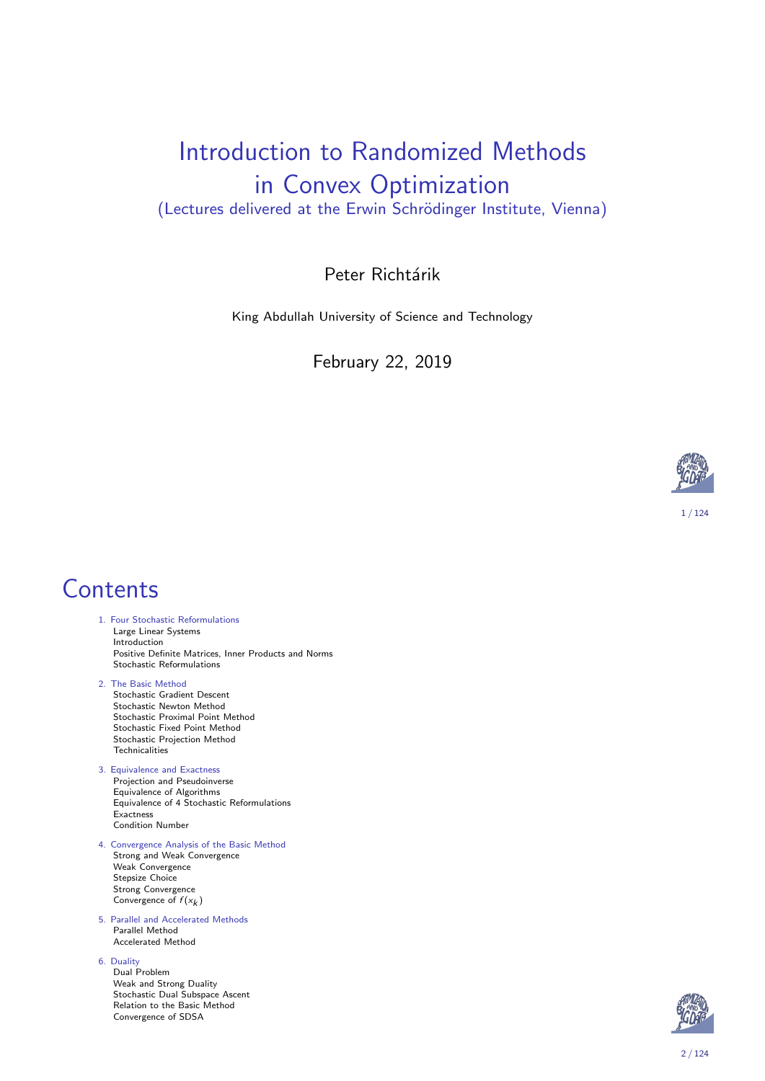#### Introduction to Randomized Methods in Convex Optimization (Lectures delivered at the Erwin Schrödinger Institute, Vienna)

#### Peter Richtárik

King Abdullah University of Science and Technology

February 22, 2019



#### 1 / 124

#### **Contents**

- 1. Four Stochastic Reformulations Large Linear Systems Introduction Positive Definite Matrices, Inner Products and Norms Stochastic Reformulations
- 2. The Basic Method Stochastic Gradient Descent Stochastic Newton Method Stochastic Proximal Point Method Stochastic Fixed Point Method Stochastic Projection Method Technicalities
- [3. Equiva](#page-1-0)lence and Exactness Projection and Pseudoinverse [Equivalence of Algorit](#page-3-0)hms [Eq](#page-4-0)uivalence of 4 Stochastic Reformulations Exactness [Con](#page-10-0)dition Number
- [4. Converge](#page-11-0)nce Analysis of the Basic Method [Stron](#page-12-0)g and Weak Convergence Weak Convergence [St](#page-16-0)epsize Choice [Stron](#page-17-0)g Convergence [Convergence o](#page-22-0)f  $f(x_k)$
- [5](#page-29-0). Parallel and Accelerated Methods [Parallel Meth](#page-32-0)od [Accel](#page-33-0)erated Method
- [6.](#page-40-0) Duality
	- Dual Problem [Weak a](#page-46-0)nd Strong Duality Stochastic Dual Subspace Ascent Relation to the Basic Method Convergence of SDSA

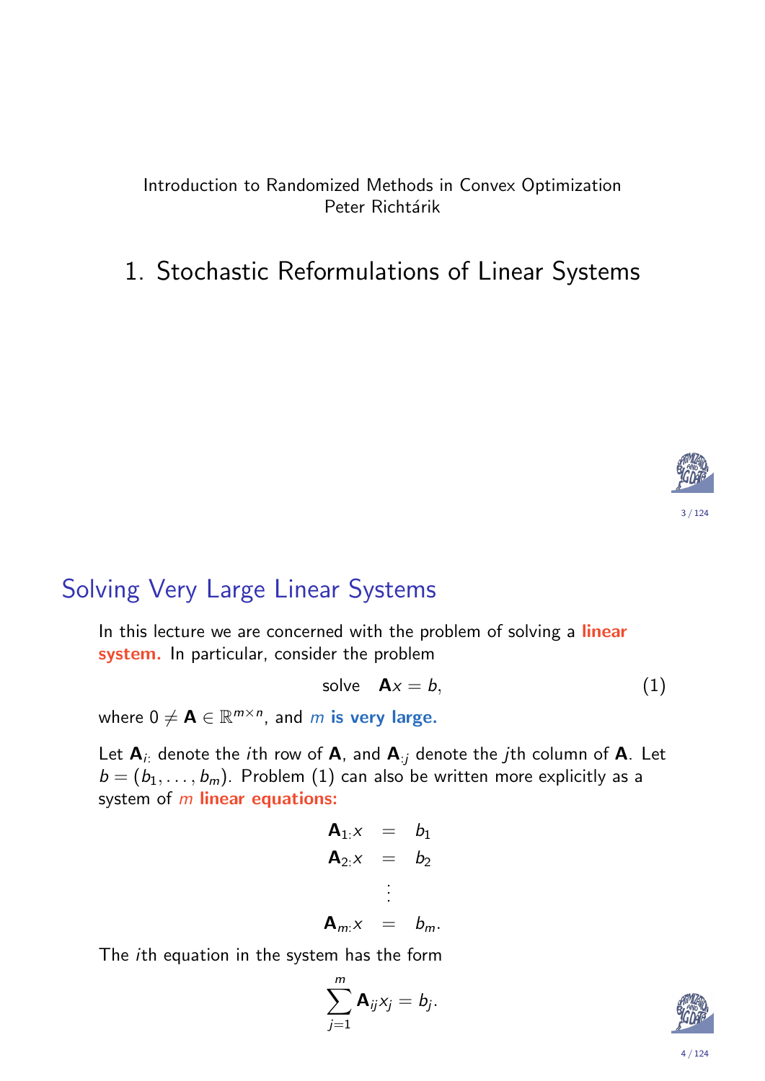#### Introduction to Randomized Methods in Convex Optimization Peter Richtárik

#### 1. Stochastic Reformulations of Linear Systems



### Solving Very Large Linear Systems

In this lecture we are concerned with the problem of solving a linear system. In particular, consider the problem

$$
solve \t A x = b, \t(1)
$$

where  $0\neq \textbf{A}\in \mathbb{R}^{m\times n}$ , and  $m$  is very large.

<span id="page-1-1"></span><span id="page-1-0"></span>Let  $A_i$ : denote the *i*th row of  $A$ , and  $A_{i,j}$  denote the *j*th column of  $A$ . Let  $b = (b_1, \ldots, b_m)$ . Problem (1) can also be written more explicitly as a system of  $m$  linear equations:

$$
A_{1:X} = b_1
$$
  
\n
$$
A_{2:X} = b_2
$$
  
\n
$$
\vdots
$$
  
\n
$$
A_{m:X} = b_m.
$$

The ith equation in the system has the form

$$
\sum_{j=1}^m \mathbf{A}_{ij}x_j = b_j.
$$

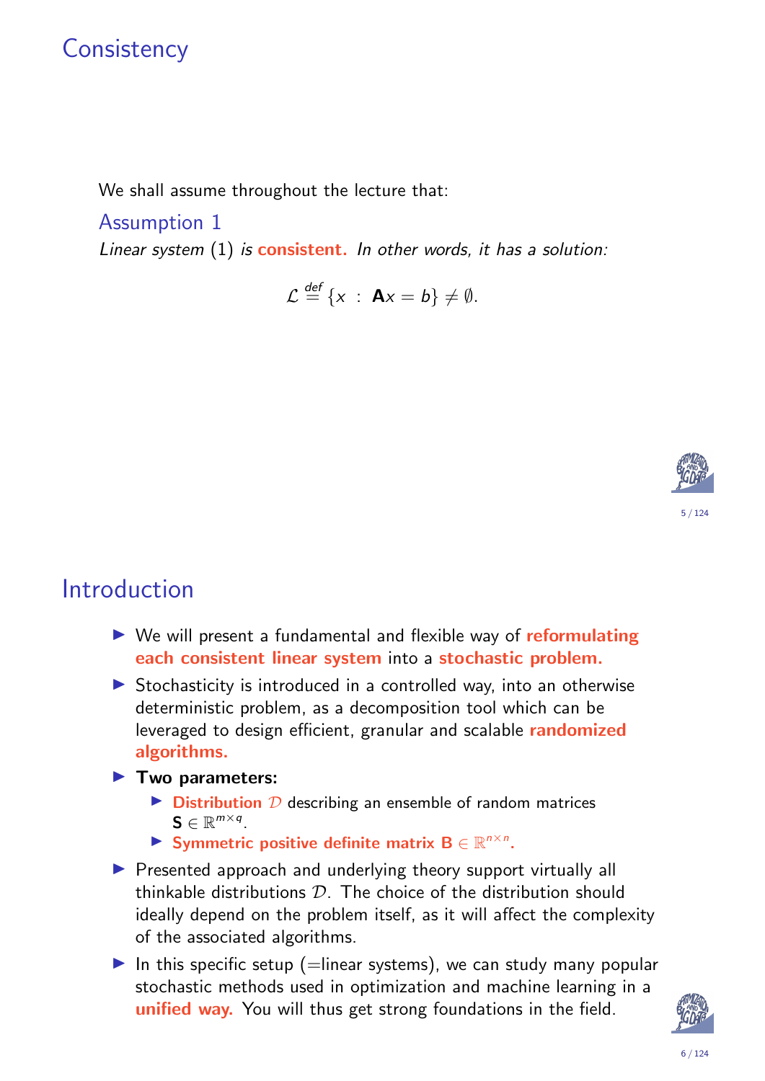## **Consistency**

We shall assume throughout the lecture that:

Assumption 1

Linear system  $(1)$  is consistent. In other words, it has a solution:

 $\mathcal{L} \stackrel{\text{def}}{=} \{x : \mathbf{A}x = b\} \neq \emptyset.$ 



## Introduction

- $\triangleright$  We will present a fundamental and flexible way of reformulating each consistent linear system into a stochastic problem.
- $\triangleright$  Stochasticity is introduced in a controlled way, into an otherwise deterministic problem, as a decomposition tool which can be leveraged to design efficient, granular and scalable randomized algorithms.
- $\blacktriangleright$  Two parameters:
	- $\triangleright$  Distribution  $D$  describing an ensemble of random matrices  $\mathbf{S} \in \mathbb{R}^{m \times q}$ .
	- Symmetric positive definite matrix  $B \in \mathbb{R}^{n \times n}$ .
- $\triangleright$  Presented approach and underlying theory support virtually all thinkable distributions  $D$ . The choice of the distribution should ideally depend on the problem itself, as it will affect the complexity of the associated algorithms.
- In this specific setup (=linear systems), we can study many popular stochastic methods used in optimization and machine learning in a unified way. You will thus get strong foundations in the field.

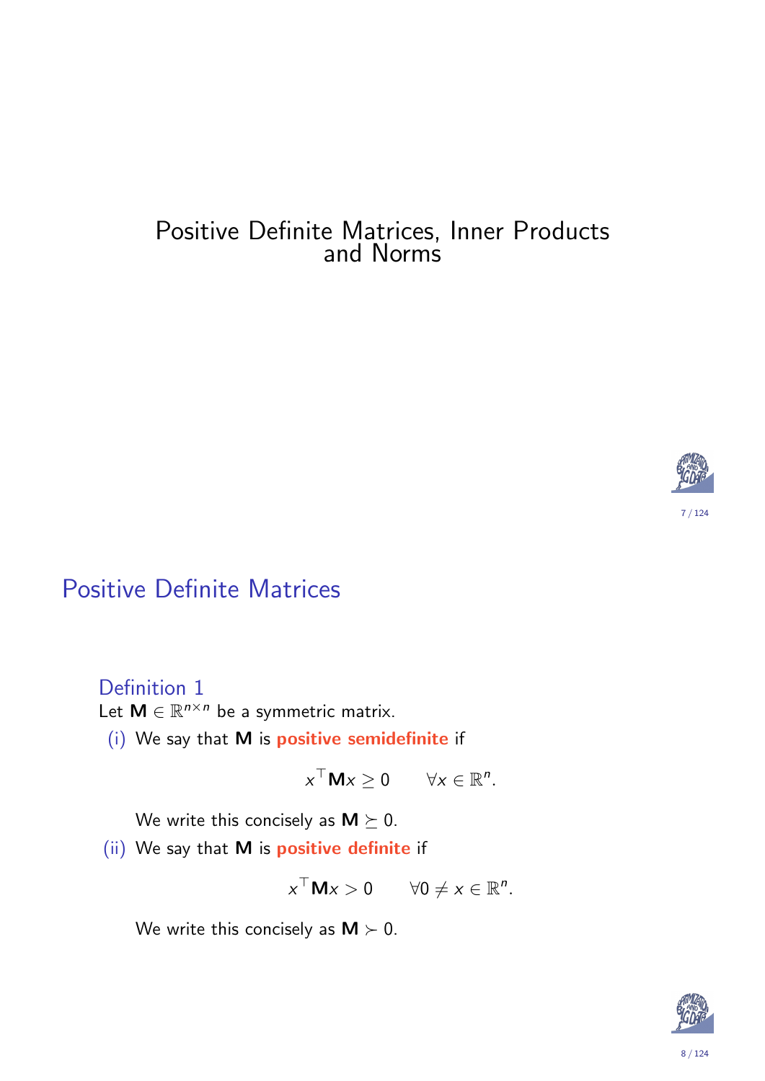#### Positive Definite Matrices, Inner Products and Norms



### Positive Definite Matrices

Definition 1

Let  $M \in \mathbb{R}^{n \times n}$  be a symmetric matrix.

<span id="page-3-0"></span>(i) We say that M is positive semidefinite if

 $x^{\top}$ M $x \ge 0$   $\forall x \in \mathbb{R}^n$ .

We write this concisely as  $M \succeq 0$ .

(ii) We say that M is positive definite if

$$
x^{\top} \mathbf{M} x > 0 \qquad \forall 0 \neq x \in \mathbb{R}^n.
$$

We write this concisely as  $M \succ 0$ .

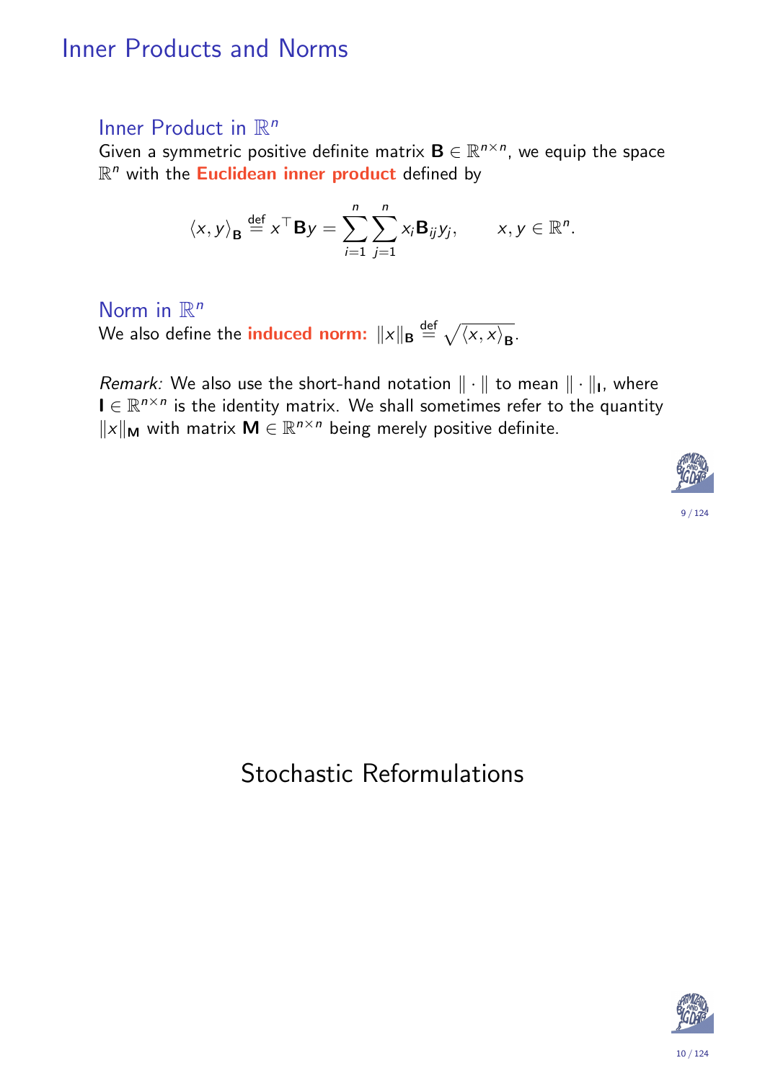### Inner Products and Norms

#### Inner Product in  $\mathbb{R}^n$

Given a symmetric positive definite matrix  $\mathbf{B} \in \mathbb{R}^{n \times n}$ , we equip the space R<sup>n</sup> with the **Euclidean inner product** defined by

$$
\langle x, y \rangle_{\mathbf{B}} \stackrel{\text{def}}{=} x^\top \mathbf{B} y = \sum_{i=1}^n \sum_{j=1}^n x_i \mathbf{B}_{ij} y_j, \qquad x, y \in \mathbb{R}^n.
$$

Norm in  $\mathbb{R}^n$ 

We also define the induced norm:  $\|x\|_{\mathbf{B}} \stackrel{\text{def}}{=} \sqrt{\langle x, x \rangle_{\mathbf{B}}}.$ 

*Remark:* We also use the short-hand notation  $\|\cdot\|$  to mean  $\|\cdot\|_1$ , where  $I \in \mathbb{R}^{n \times n}$  is the identity matrix. We shall sometimes refer to the quantity  $||x||_{\mathbf{M}}$  with matrix  $\mathbf{M} \in \mathbb{R}^{n \times n}$  being merely positive definite.



#### 9 / 124

### <span id="page-4-0"></span>Stochastic Reformulations

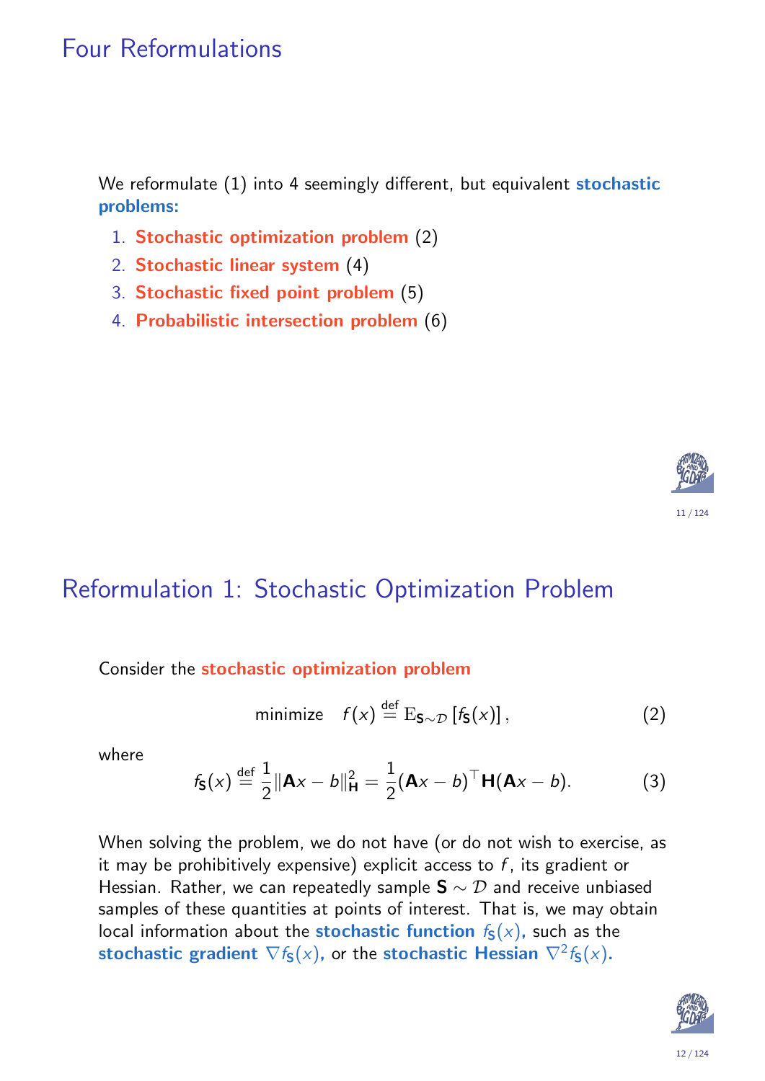## Four Reformulations

We reformulate (1) into 4 seemingly different, but equivalent stochastic problems:

- 1. Stochastic optimization problem (2)
- 2. Stochastic linear system (4)
- 3. Stochastic fixed point problem (5)
- 4. Probabilistic intersection problem (6)



## Reformulation 1: Stochastic Optimization Problem

#### Consider the stochastic optimization problem

$$
\text{minimize} \quad f(x) \stackrel{\text{def}}{=} \mathrm{E}_{\mathbf{S} \sim \mathcal{D}} \left[ f_{\mathbf{S}}(x) \right], \tag{2}
$$

where

$$
f_{\mathbf{S}}(x) \stackrel{\text{def}}{=} \frac{1}{2} \|\mathbf{A}x - b\|_{\mathbf{H}}^2 = \frac{1}{2} (\mathbf{A}x - b)^{\top} \mathbf{H} (\mathbf{A}x - b).
$$
 (3)

<span id="page-5-0"></span>Wh[en](#page-1-1) solving the problem, we do not have (or do not wish to exercise, as it may be prohibitively expensive) explicit access to  $f$ , its gradient or Hessian. Rather, we [ca](#page-5-0)n repeatedly sample  $S \sim D$  and receive unbiased samples of the[se](#page-6-0) quantities at points of interest. That is, we may obtain local information a[bo](#page-6-1)[ut](#page-7-0) the **stochastic function**  $f_S(x)$ , such as the stochastic gradient  $\nabla f_\mathsf{S}(x)$ , or the stochastic Hessian  $\nabla^2 f_\mathsf{S}(x)$ .

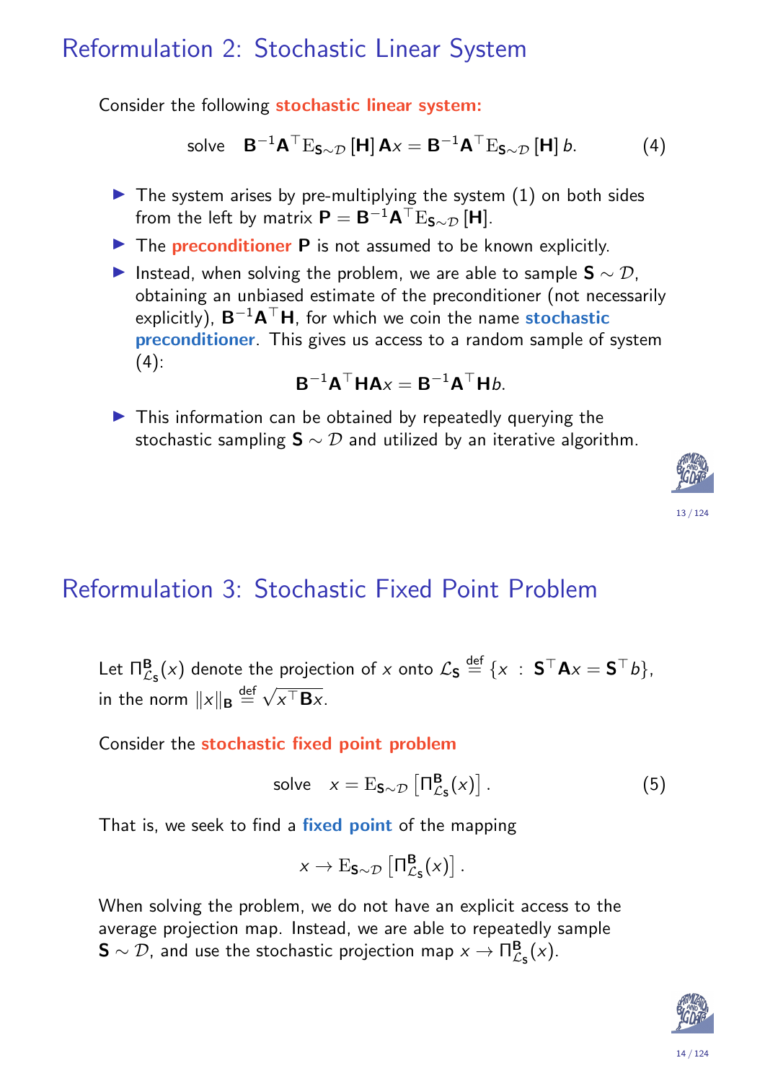### Reformulation 2: Stochastic Linear System

Consider the following stochastic linear system:

solve 
$$
\mathbf{B}^{-1}\mathbf{A}^{\top}E_{\mathbf{S}\sim\mathcal{D}}[\mathbf{H}]\mathbf{A}x = \mathbf{B}^{-1}\mathbf{A}^{\top}E_{\mathbf{S}\sim\mathcal{D}}[\mathbf{H}]\mathbf{b}.
$$
 (4)

- $\blacktriangleright$  The system arises by pre-multiplying the system  $(1)$  on both sides from the left by matrix  $\bm{\mathsf{P}} = \mathsf{B}^{-1}\mathsf{A}^\top \mathrm{E}_{\mathsf{S} \sim \mathcal{D}} \left[ \bm{\mathsf{H}} \right]$ .
- $\triangleright$  The **preconditioner P** is not assumed to be known explicitly.
- Instead, when solving the problem, we are able to sample  $S \sim \mathcal{D}$ , obtaining an unbiased estimate of the preconditioner (not necessarily explicitly),  $B^{-1}A^{\top}H$ , for which we coin the name **stochastic** preconditioner. This gives us access to a random sample of system  $(4)$ :

$$
\mathbf{B}^{-1}\mathbf{A}^{\top}\mathbf{H}\mathbf{A}x = \mathbf{B}^{-1}\mathbf{A}^{\top}\mathbf{H}b.
$$

 $\blacktriangleright$  This information can be obtained by repeatedly querying the stochastic sampling  $S \sim D$  and utilized by an iterative algorithm.



## Reformulation 3: Stochastic Fixed Point Problem

Let  $\Pi^{\mathbf{B}}_{\mathcal{L}_{\mathbf{S}}}(x)$  denote the projection of  $x$  onto  $\mathcal{L}_{\mathbf{S}} \stackrel{\mathsf{def}}{=} \{x \; : \; \mathbf{S}^\top \mathbf{A} x = \mathbf{S}^\top b\},$ in the norm  $\|x\|_{\mathbf{B}}\stackrel{\mathsf{def}}{=}$ √  $x^{\top}$ **B**x.

Consider the stochastic fixed point problem

$$
solve \t x = \mathrm{E}_{S \sim \mathcal{D}} \left[ \Pi_{\mathcal{L}_S}^{\mathbf{B}}(x) \right]. \t (5)
$$

<span id="page-6-0"></span>That is, we seek to find a fixed point of the mapping

$$
x\to \mathrm{E}_{\mathbf{S}\sim\mathcal{D}}\left[\Pi_{\mathcal{L}_{\mathbf{S}}}^{\mathbf{B}}(x)\right].
$$

<span id="page-6-1"></span>When solving the problem, we do not have an explicit access to the average projection map. Instead, we are able to repeatedly sample  $\mathsf{S} \sim \mathcal{D}$ , and use the stochastic projection map  $\mathsf{x} \to \mathsf{\Pi}^\mathsf{B}_\mathcal{C}$  $\frac{\mathbf{B}}{\mathcal{L}_\mathbf{S}}(x)$ .

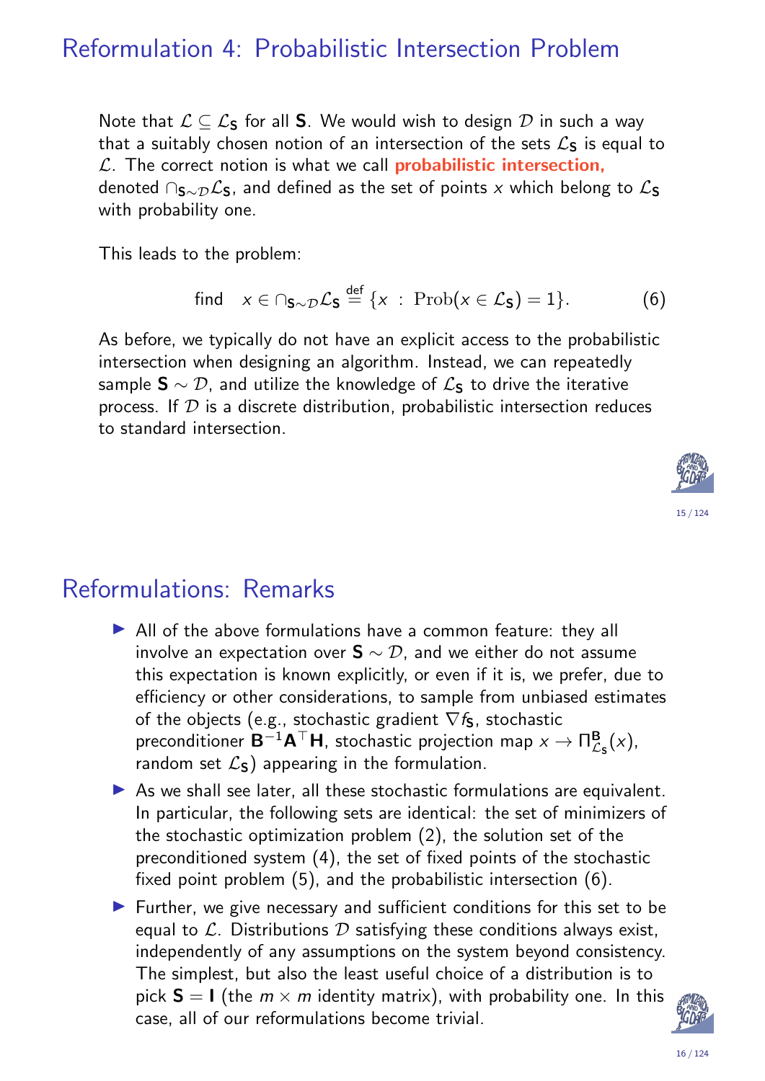### Reformulation 4: Probabilistic Intersection Problem

Note that  $\mathcal{L} \subseteq \mathcal{L}_S$  for all S. We would wish to design  $\mathcal{D}$  in such a way that a suitably chosen notion of an intersection of the sets  $\mathcal{L}_\mathbf{S}$  is equal to  $\mathcal{L}$ . The correct notion is what we call **probabilistic intersection**, denoted  $\cap$ <sub>S∼D</sub> $\mathcal{L}_S$ , and defined as the set of points x which belong to  $\mathcal{L}_S$ with probability one.

This leads to the problem:

find 
$$
x \in \bigcap_{S \sim \mathcal{D}} \mathcal{L}_S \stackrel{\text{def}}{=} \{x : \text{Prob}(x \in \mathcal{L}_S) = 1\}.
$$
 (6)

As before, we typically do not have an explicit access to the probabilistic intersection when designing an algorithm. Instead, we can repeatedly sample  $\mathbf{S} \sim \mathcal{D}$ , and utilize the knowledge of  $\mathcal{L}_{\mathbf{S}}$  to drive the iterative process. If  $D$  is a discrete distribution, probabilistic intersection reduces to standard intersection.



### Reformulations: Remarks

- $\triangleright$  All of the above formulations have a common feature: they all involve an expectation over  $S \sim \mathcal{D}$ , and we either do not assume this expectation is known explicitly, or even if it is, we prefer, due to efficiency or other considerations, to sample from unbiased estimates of the objects (e.g., stochastic gradient  $\nabla f_{\mathbf{S}}$ , stochastic preconditioner  $\mathsf{B}^{-1}\mathsf{A}^\top\mathsf{H}$ , stochastic projection map  $x\to \Pi_f^\mathsf{B}$  $\frac{\mathbf{B}}{\mathcal{L}_\mathbf{S}}(x),$ random set  $\mathcal{L}_s$ ) appearing in the formulation.
- $\triangleright$  As we shall see later, all these stochastic formulations are equivalent. In particular, the following sets are identical: the set of minimizers of the stochastic optimization problem (2), the solution set of the preconditioned system (4), the set of fixed points of the stochastic fixed point problem (5), and the probabilistic intersection (6).
- <span id="page-7-0"></span>Further, we give necessary and sufficient conditions for this set to be equal [to](#page-6-0)  $\mathcal{L}$ . Dist[ri](#page-5-0)butions  $\mathcal{D}$  satisfying these conditions always exist, inde[pe](#page-6-1)ndently of any assumpti[on](#page-7-0)s on the system beyond consistency. The simplest, but also the least useful choice of a distribution is to pick  $S = I$  (the  $m \times m$  identity matrix), with probability one. In this case, all of our reformulations become trivial.

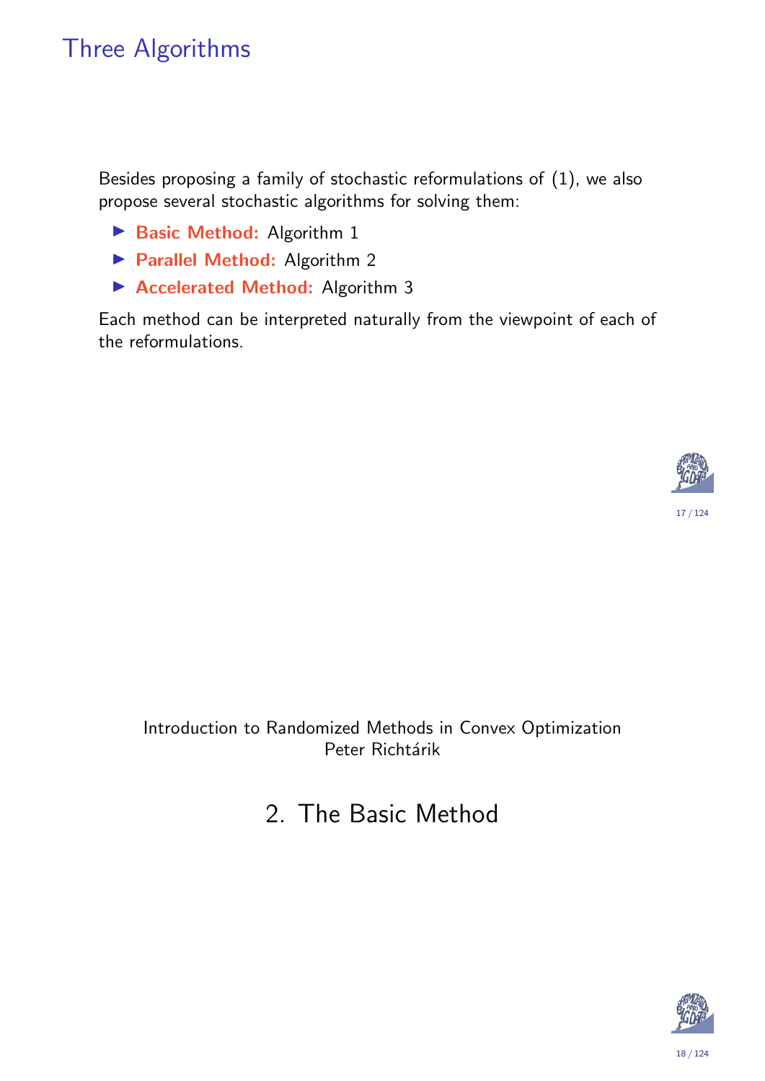## Three Algorithms

Besides proposing a family of stochastic reformulations of (1), we also propose several stochastic algorithms for solving them:

- Basic Method: Algorithm 1
- **Parallel Method: Algorithm 2**
- ▶ Accelerated Method: Algorithm 3

Each method can be interpreted naturally from the viewpoint of each of the reformulations.



Introduction to Randomized Methods in Convex Optimization Peter Richtárik

## 2. The Basic Method



18 / 124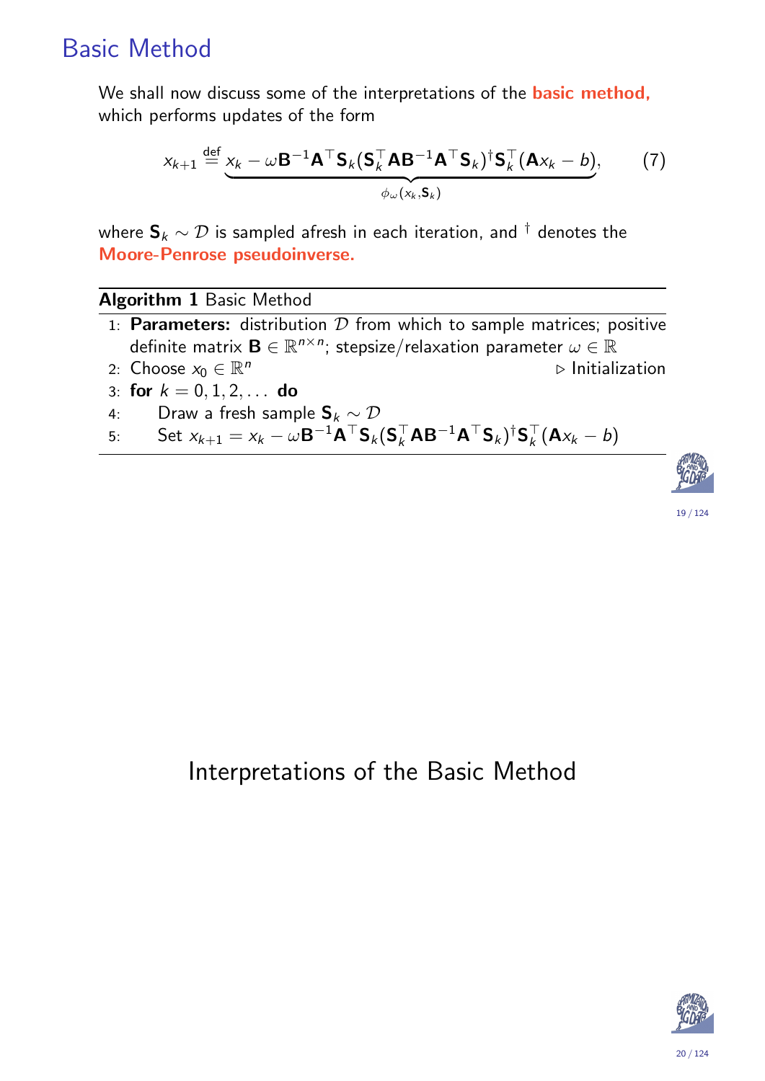## Basic Method

We shall now discuss some of the interpretations of the **basic method**, which performs updates of the form

$$
x_{k+1} \stackrel{\text{def}}{=} \underbrace{x_k - \omega \mathbf{B}^{-1} \mathbf{A}^{\top} \mathbf{S}_k (\mathbf{S}_k^{\top} \mathbf{A} \mathbf{B}^{-1} \mathbf{A}^{\top} \mathbf{S}_k)^{\dagger} \mathbf{S}_k^{\top} (\mathbf{A} x_k - b)}_{\phi_{\omega}(x_k, \mathbf{S}_k)},
$$
 (7)

where  $\mathbf{S}_k \sim \mathcal{D}$  is sampled afresh in each iteration, and  $^\dagger$  denotes the Moore-Penrose pseudoinverse.

#### Algorithm 1 Basic Method

- 1: Parameters: distribution  $D$  from which to sample matrices; positive definite matrix  $\mathbf{B} \in \mathbb{R}^{n \times n}$ ; stepsize/relaxation parameter  $\omega \in \mathbb{R}^{n}$
- 2: Choose  $x_0 \in \mathbb{R}^n$  $\triangleright$  Initialization
- 3: for  $k = 0, 1, 2, \ldots$  do
- 4: Draw a fresh sample  $S_k \sim \mathcal{D}$
- 5: Set  $x_{k+1} = x_k \omega \mathbf{B}^{-1} \mathbf{A}^{\top} \mathbf{S}_k (\mathbf{S}_k^{\top})$  $_{k}^{\top}$ AB $^{-1}$ A $^{\top}$ S $_{k}$ ) $^{\dagger}$ S $_{k}^{\top}$  $\frac{1}{k}(\mathbf{A} \mathsf{x}_k - b)$



19 / 124

#### <span id="page-9-1"></span><span id="page-9-0"></span>Interpretations of the Basic Method

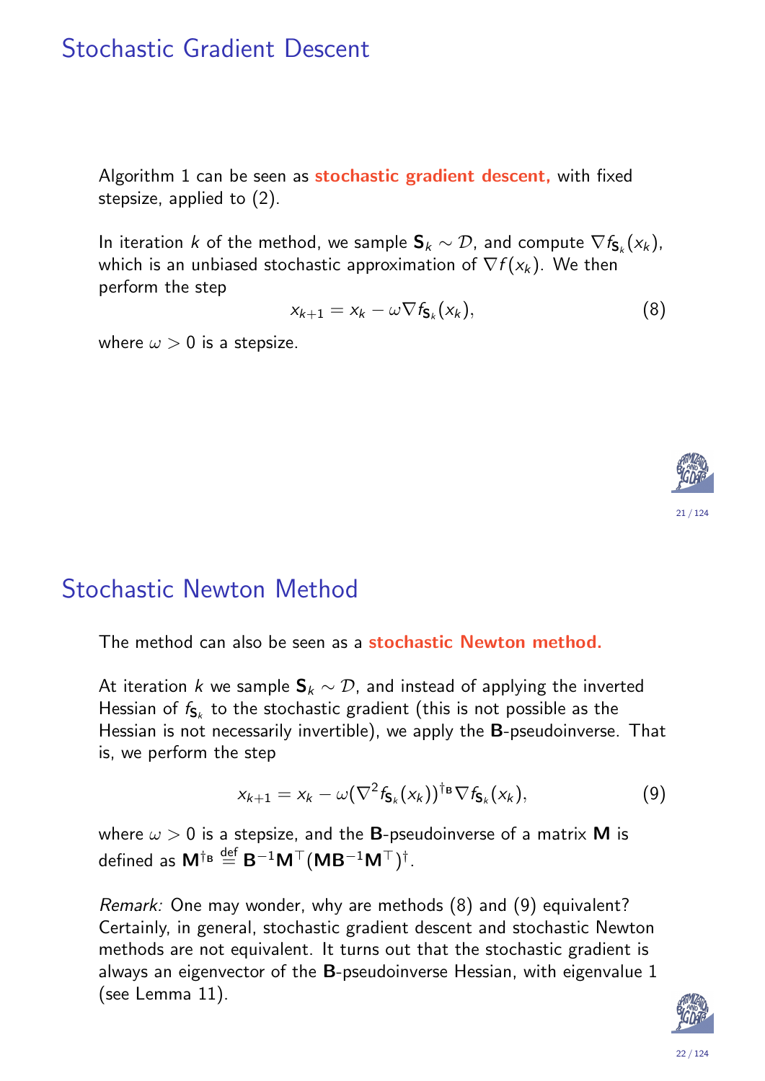### Stochastic Gradient Descent

Algorithm 1 can be seen as stochastic gradient descent, with fixed stepsize, applied to (2).

In iteration  $k$  of the method, we sample  $\mathsf{S}_k \sim \mathcal{D}$ , and compute  $\nabla f_{\mathsf{S}_k}(\mathsf{x}_k)$ , which is an unbiased stochastic approximation of  $\nabla f(\mathsf{x}_\mathsf{k})$ . We then perform the step

$$
x_{k+1} = x_k - \omega \nabla f_{\mathbf{S}_k}(x_k), \tag{8}
$$

where  $\omega > 0$  is a stepsize.



### Stochastic Newton Method

The method can also be seen as a stochastic Newton method.

<span id="page-10-0"></span>At iteration k we sample  $S_k \sim \mathcal{D}$ , and instead of applying the inverted Hessian of  $f_{{\mathsf{S}}_k}$  to the stochastic gradient (this is not possible as the Hessian is not necessarily invertible), we apply the B-pseudoinverse. That is, we perform the step

$$
x_{k+1} = x_k - \omega (\nabla^2 f_{\mathbf{S}_k}(x_k))^{\dagger_{\mathbf{B}}} \nabla f_{\mathbf{S}_k}(x_k), \tag{9}
$$

[w](#page-9-0)here  $\omega > 0$  is a stepsize, and the **B**-pseudoinverse of a matrix **M** is [d](#page-5-0)efined as  $\mathsf{M}^{\dagger_{\mathsf{B}}}\stackrel{\mathsf{def}}{=} \mathsf{B}^{-1}\mathsf{M}^\top(\mathsf{M}\mathsf{B}^{-1}\mathsf{M}^\top)^\dagger.$ 

<span id="page-10-2"></span><span id="page-10-1"></span>Remark: One may wonder, why are methods (8) and (9) equivalent? Certainly, in general, stochastic gradient descent and stochastic Newton methods are not equivalent. It turns out that the stochastic gradient is always an eigenvector o[f](#page-10-1) the [B](#page-10-2)-pseudoinverse Hessian, with eigenvalue 1 (see Lemma 11).

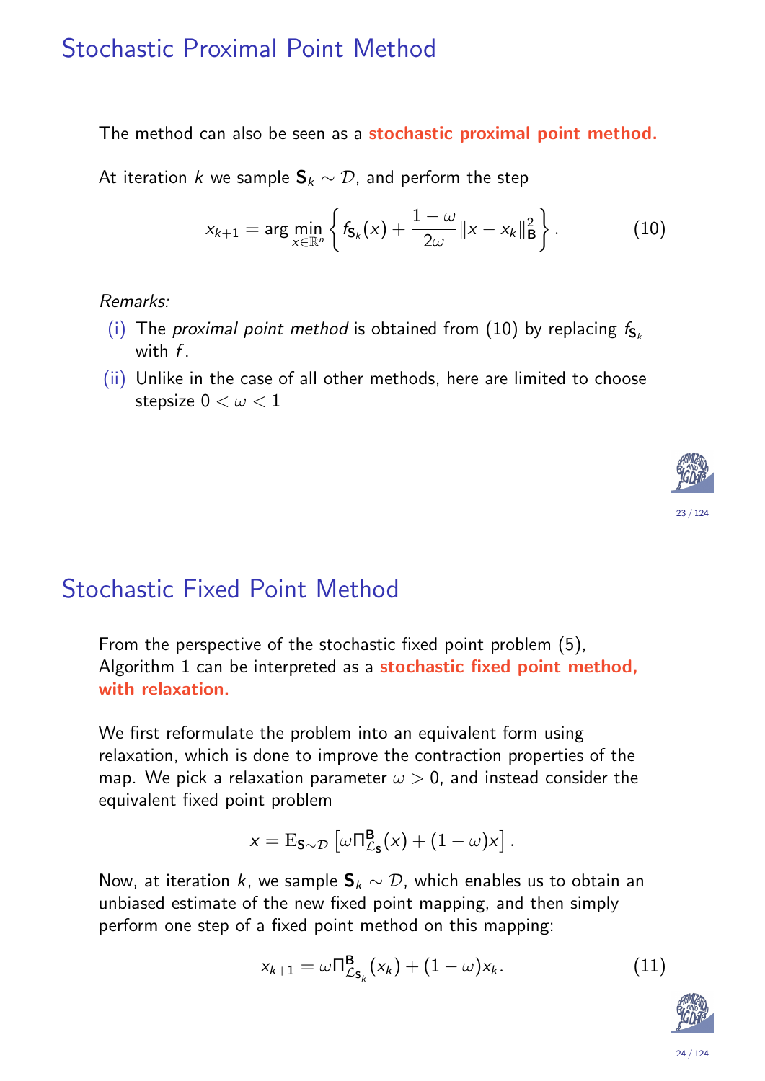### Stochastic Proximal Point Method

The method can also be seen as a stochastic proximal point method.

At iteration k we sample  $S_k \sim \mathcal{D}$ , and perform the step

$$
x_{k+1} = \arg \min_{x \in \mathbb{R}^n} \left\{ f_{S_k}(x) + \frac{1-\omega}{2\omega} \|x - x_k\|_{\mathbf{B}}^2 \right\}.
$$
 (10)

Remarks:

- (i) The proximal point method is obtained from (10) by replacing  $f_{S_k}$ with  $f$ .
- (ii) Unlike in the case of all other methods, here are limited to choose stepsize  $0 < \omega < 1$



## Stochastic Fixed Point Method

From the perspective of the stochastic fixed point problem (5), Algorithm 1 can be interpreted as a stochastic fixed point method, with relaxation.

<span id="page-11-0"></span>We first reformulate the problem into an equivalent form using relaxation, which is done to improve the contraction properties of the map. We pick a relaxation param[et](#page-6-1)er  $\omega > 0$ , and instead consider the [e](#page-9-0)quivalent fixed point problem

$$
x = \mathrm{E}_{S \sim \mathcal{D}} \left[ \omega \Pi_{\mathcal{L}_S}^{\mathbf{B}}(x) + (1 - \omega) x \right].
$$

Now, at iteration k, we sample  $S_k \sim \mathcal{D}$ , which enables us to obtain an unbiased estimate of the new fixed point mapping, and then simply perform one step of a fixed point method on this mapping:

$$
x_{k+1} = \omega \Pi_{\mathcal{L}_{\mathsf{S}_k}}^{\mathsf{B}}(x_k) + (1 - \omega) x_k. \tag{11}
$$

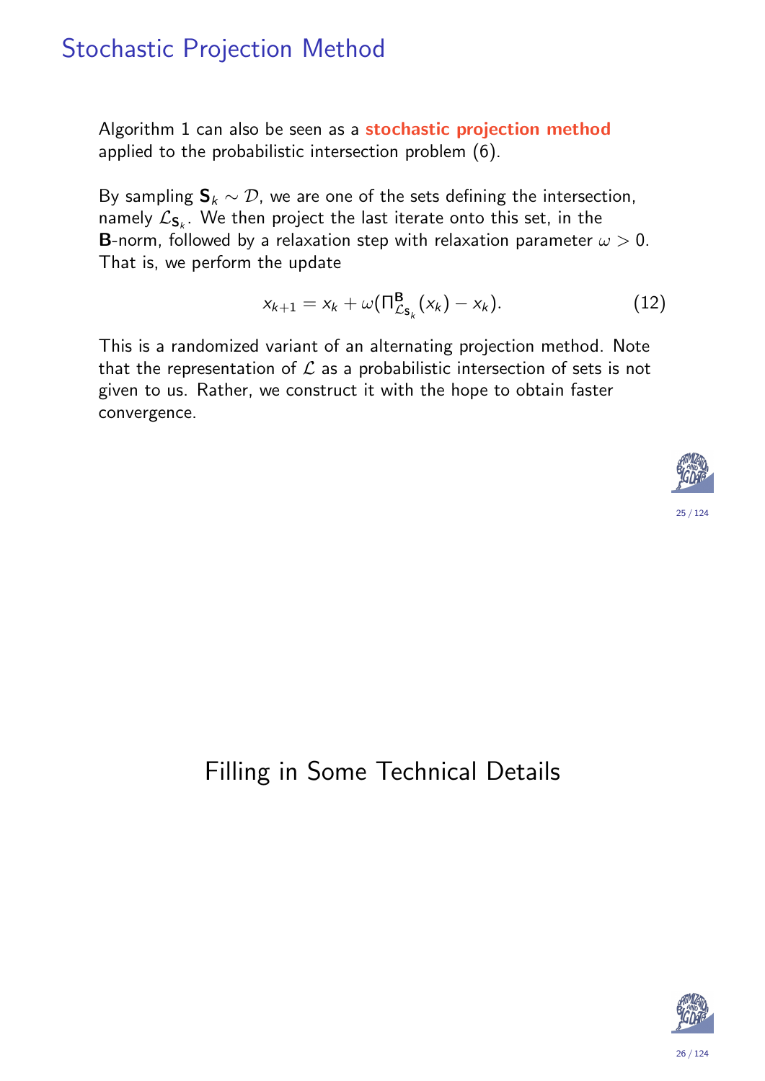### Stochastic Projection Method

Algorithm 1 can also be seen as a stochastic projection method applied to the probabilistic intersection problem (6).

By sampling  $S_k \sim \mathcal{D}$ , we are one of the sets defining the intersection, namely  $\mathcal{L}_{\mathbf{S}_k}.$  We then project the last iterate onto this set, in the **B**-norm, followed by a relaxation step with relaxation parameter  $\omega > 0$ . That is, we perform the update

$$
x_{k+1} = x_k + \omega(\Pi_{\mathcal{L}_{\mathsf{S}_k}}^{\mathsf{B}}(x_k) - x_k). \tag{12}
$$

This is a randomized variant of an alternating projection method. Note that the representation of  $\mathcal L$  as a probabilistic intersection of sets is not given to us. Rather, we construct it with the hope to obtain faster convergence.



## <span id="page-12-1"></span><span id="page-12-0"></span>Filling in Some Technical Details

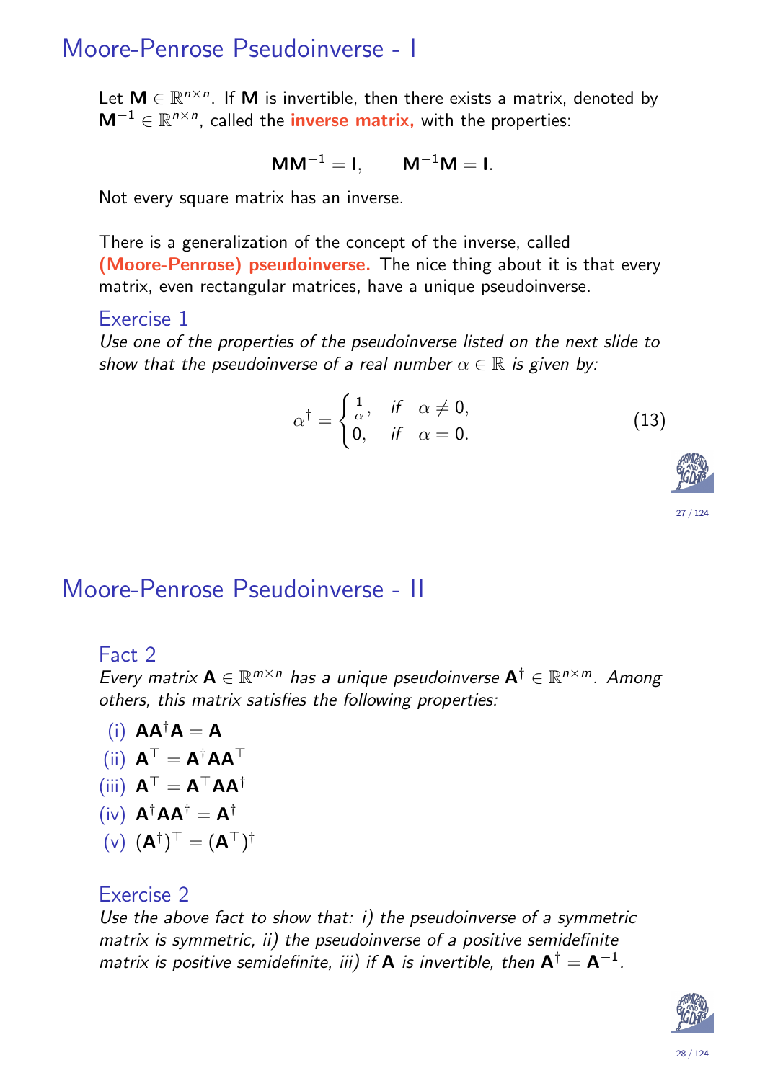### Moore-Penrose Pseudoinverse - I

Let  $M \in \mathbb{R}^{n \times n}$ . If M is invertible, then there exists a matrix, denoted by  $M^{-1} \in \mathbb{R}^{n \times n}$ , called the *inverse matrix*, with the properties:

$$
MM^{-1} = I, \qquad M^{-1}M = I.
$$

Not every square matrix has an inverse.

There is a generalization of the concept of the inverse, called (Moore-Penrose) pseudoinverse. The nice thing about it is that every matrix, even rectangular matrices, have a unique pseudoinverse.

#### Exercise 1

Use one of the properties of the pseudoinverse listed on the next slide to show that the pseudoinverse of a real number  $\alpha \in \mathbb{R}$  is given by:

$$
\alpha^{\dagger} = \begin{cases} \frac{1}{\alpha}, & \text{if } \alpha \neq 0, \\ 0, & \text{if } \alpha = 0. \end{cases}
$$
 (13)



#### Moore-Penrose Pseudoinverse - II

#### Fact 2

Every matrix  $\mathbf{A} \in \mathbb{R}^{m \times n}$  has a unique pseudoinverse  $\mathbf{A}^\dagger \in \mathbb{R}^{n \times m}$ . Among others, this matrix satisfies the following properties:

$$
(i) \ \mathbf{A} \mathbf{A}^{\dagger} \mathbf{A} = \mathbf{A}
$$

$$
\text{(ii)} \ \mathbf{A}^\top = \mathbf{A}^\dagger \mathbf{A} \mathbf{A}^\top
$$

(iii)  $A^{\top} = A^{\top} A A^{\dagger}$ 

$$
(\text{i}\mathsf{v})\ \mathsf{A}^\dagger \mathsf{A} \mathsf{A}^\dagger = \mathsf{A}^\dagger
$$

$$
(\mathsf{v})\ (\mathsf{A}^\dagger)^\top = (\mathsf{A}^\top)^\dagger
$$

#### Exercise 2

Use the above fact to show that: i) the pseudoinverse of a symmetric matrix is symmetric, ii) the pseudoinverse of a positive semidefinite matrix is positive semidefinite, iii) if **A** is invertible, then  $\mathsf{A}^\dagger = \mathsf{A}^{-1}$ .

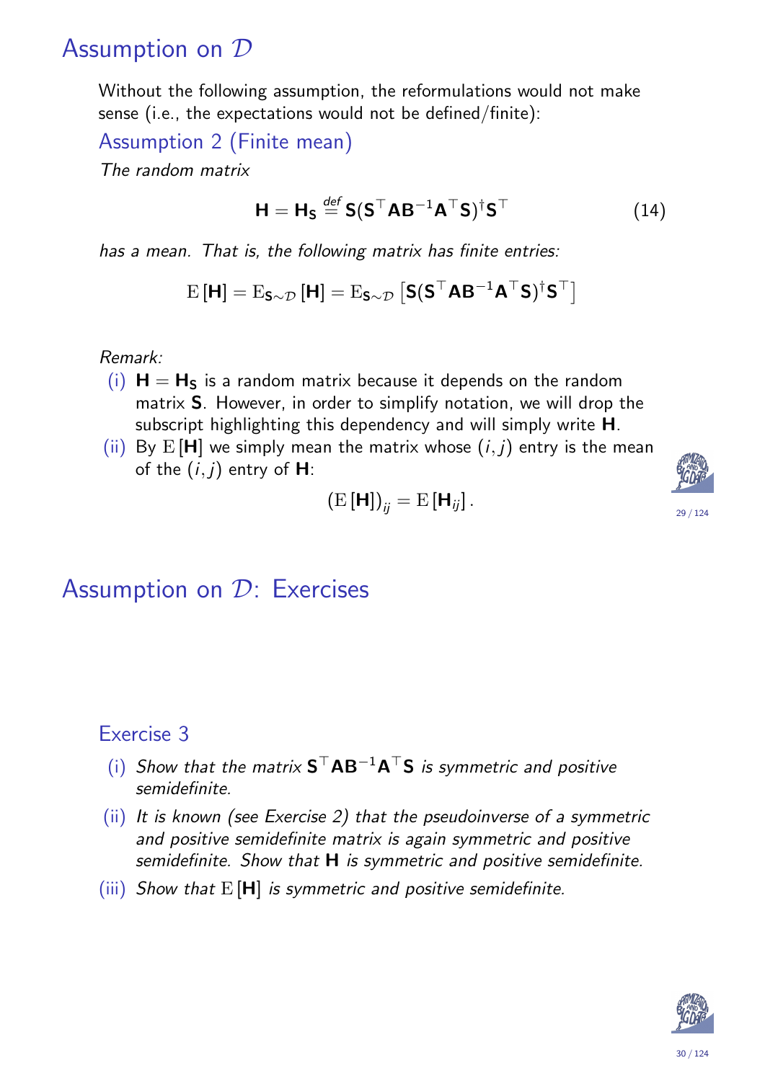### Assumption on D

Without the following assumption, the reformulations would not make sense (i.e., the expectations would not be defined/finite):

Assumption 2 (Finite mean)

The random matrix

$$
\mathbf{H} = \mathbf{H}_{\mathsf{S}} \stackrel{\text{def}}{=} \mathsf{S}(\mathsf{S}^\top \mathsf{A} \mathsf{B}^{-1} \mathsf{A}^\top \mathsf{S})^{\dagger} \mathsf{S}^\top \tag{14}
$$

has a mean. That is, the following matrix has finite entries:

$$
\mathrm{E}\left[\textbf{H}\right]=\mathrm{E}_{\textbf{S}\sim\mathcal{D}}\left[\textbf{H}\right]=\mathrm{E}_{\textbf{S}\sim\mathcal{D}}\left[\textbf{S}(\textbf{S}^{\top}\textbf{A}\textbf{B}^{-1}\textbf{A}^{\top}\textbf{S})^{\dagger}\textbf{S}^{\top}\right]
$$

Remark:

- (i)  $H = H<sub>S</sub>$  is a random matrix because it depends on the random matrix S. However, in order to simplify notation, we will drop the subscript highlighting this dependency and will simply write **H**.
- (ii) By  $E[H]$  we simply mean the matrix whose  $(i, j)$  entry is the mean of the  $(i, j)$  entry of  $H$ :

29 / 124

$$
\left(\mathrm{E}\left[\mathbf{H}\right]\right)_{ij}=\mathrm{E}\left[\mathbf{H}_{ij}\right].
$$

### Assumption on D: Exercises

#### Exercise 3

- (i) Show that the matrix  $S<sup>T</sup>AB<sup>-1</sup>A<sup>T</sup>S$  is symmetric and positive semidefinite.
- (ii) It is known (see Exercise 2) that the pseudoinverse of a symmetric and positive semidefinite matrix is again symmetric and positive semidefinite. Show that  $H$  is symmetric and positive semidefinite.
- <span id="page-14-0"></span>(iii) Show that  $E[H]$  is symmetric and positive semidefinite.

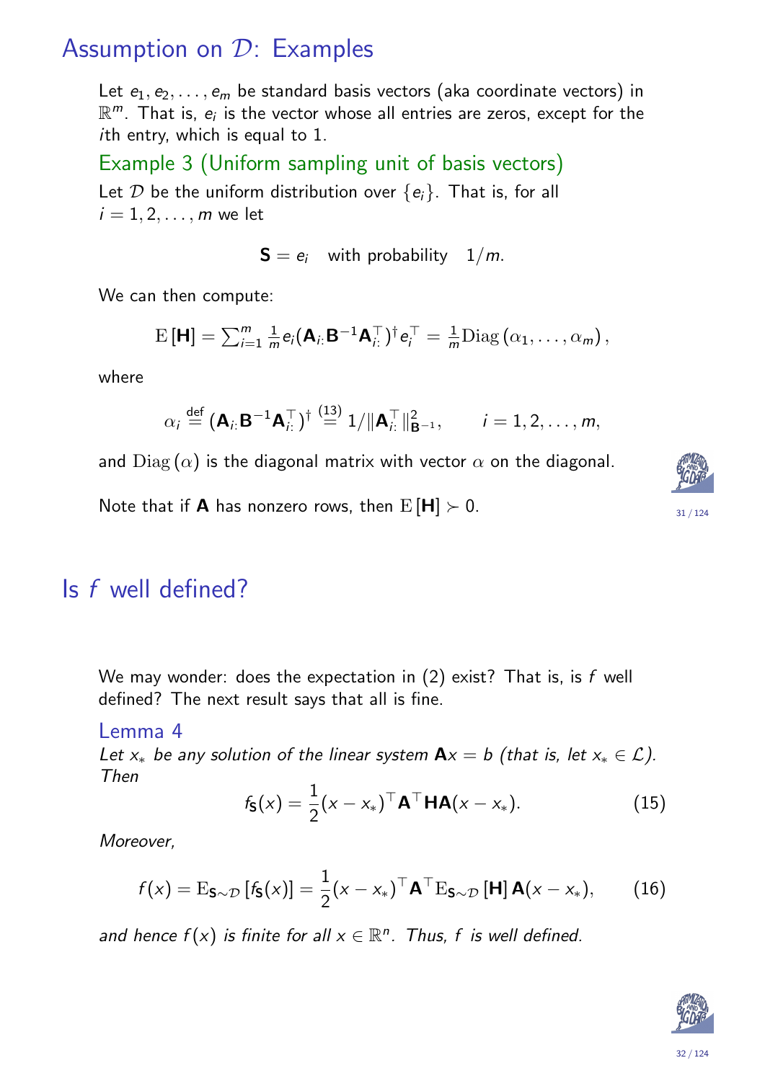### Assumption on D: Examples

Let  $e_1, e_2, \ldots, e_m$  be standard basis vectors (aka coordinate vectors) in  $\mathbb{R}^m$ . That is,  $e_i$  is the vector whose all entries are zeros, except for the ith entry, which is equal to 1.

Example 3 (Uniform sampling unit of basis vectors) Let  $D$  be the uniform distribution over  $\{e_i\}$ . That is, for all  $i = 1, 2, \ldots, m$  we let

 $S = e_i$  with probability  $1/m$ .

We can then compute:

$$
\mathrm{E}\left[\mathbf{H}\right] = \sum_{i=1}^{m} \frac{1}{m} e_i(\mathbf{A}_{i:} \mathbf{B}^{-1} \mathbf{A}_{i:}^{\top})^{\dagger} e_i^{\top} = \frac{1}{m} \mathrm{Diag}\left(\alpha_1, \ldots, \alpha_m\right),
$$

where

$$
\alpha_i \stackrel{\text{def}}{=} (\mathbf{A}_{i:} \mathbf{B}^{-1} \mathbf{A}_{i:}^\top)^\dagger \stackrel{(13)}{=} 1/\|\mathbf{A}_{i:}^\top\|_{\mathbf{B}^{-1}}^2, \qquad i = 1, 2, \ldots, m,
$$

and  $Diag(\alpha)$  is the diagonal matrix with vector  $\alpha$  on the diagonal.

Note that if **A** has nonzero rows, then  $E[H] > 0$ .

#### Is f well defined?

We may wonder: does the expectation in  $(2)$  exist? That is, is f well defined? The next result says that all is fine.

#### Lemma 4

Let  $x_*$  be any solution of the linear system  $Ax = b$  (that is, let  $x_* \in \mathcal{L}$ ). Then

$$
f_{\mathbf{S}}(x) = \frac{1}{2}(x - x_*)^{\top} \mathbf{A}^{\top} \mathbf{H} \mathbf{A}(x - x_*)
$$
 (15)

Moreover,

$$
f(x) = \mathrm{E}_{\mathbf{S}\sim\mathcal{D}}\left[f_{\mathbf{S}}(x)\right] = \frac{1}{2}(x - x_*)^\top \mathbf{A}^\top \mathrm{E}_{\mathbf{S}\sim\mathcal{D}}\left[\mathbf{H}\right]\mathbf{A}(x - x_*),\tag{16}
$$

<span id="page-15-0"></span>and hence  $f(x)$  is finite for all  $x \in \mathbb{R}^n$ . Thus, f is well defined.

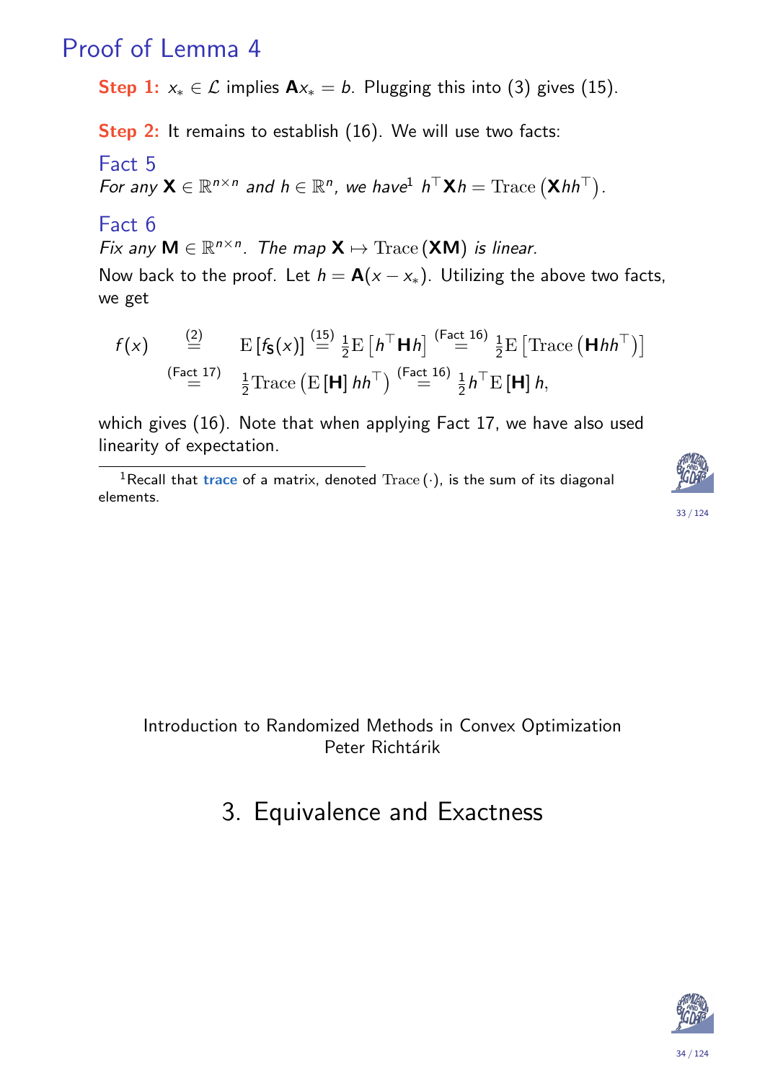### Proof of Lemma 4

Step 1:  $x_* \in \mathcal{L}$  implies  $A x_* = b$ . Plugging this into (3) gives (15).

Step 2: It remains to establish (16). We will use two facts:

Fact 5

For any  $\mathsf{X} \in \mathbb{R}^{n \times n}$  and  $h \in \mathbb{R}^n$ , we have  $h^{\top} \mathsf{X} h = \text{Trace}(\mathsf{X} h h^{\top}).$ 

#### Fact 6

Fix any  $M \in \mathbb{R}^{n \times n}$ . The map  $X \mapsto \text{Trace}(XM)$  is linear.

Now back to the proof. Let  $h = A(x - x_*)$ . Utilizing the above two facts, we get

$$
f(x) \stackrel{\text{(2)}}{=} \text{E}\left[f_{\mathbf{S}}(x)\right] \stackrel{\text{(15)}}{=} \frac{1}{2} \text{E}\left[h^{\top} \mathbf{H} h\right] \stackrel{\text{(Fact 16)}}{=} \frac{1}{2} \text{E}\left[\text{Trace}\left(\mathbf{H} h h^{\top}\right)\right]
$$
\n
$$
\stackrel{\text{(Fact 17)}}{=} \frac{1}{2} \text{Trace}\left(\text{E}\left[\mathbf{H}\right] h h^{\top}\right) \stackrel{\text{(Fact 16)}}{=} \frac{1}{2} h^{\top} \text{E}\left[\mathbf{H}\right] h,
$$

which gives (16). Note that when applying Fact 17, we have also used linearity of expectation.

<sup>1</sup>Recall that trace of a matrix, denoted  $Trace(\cdot)$ , is the sum of its diagonal elements.





#### <span id="page-16-0"></span>Introduction to Randomized Methods in Convex Optimization Peter Richtárik

## [3](#page-15-0). Equivalence and Exactness

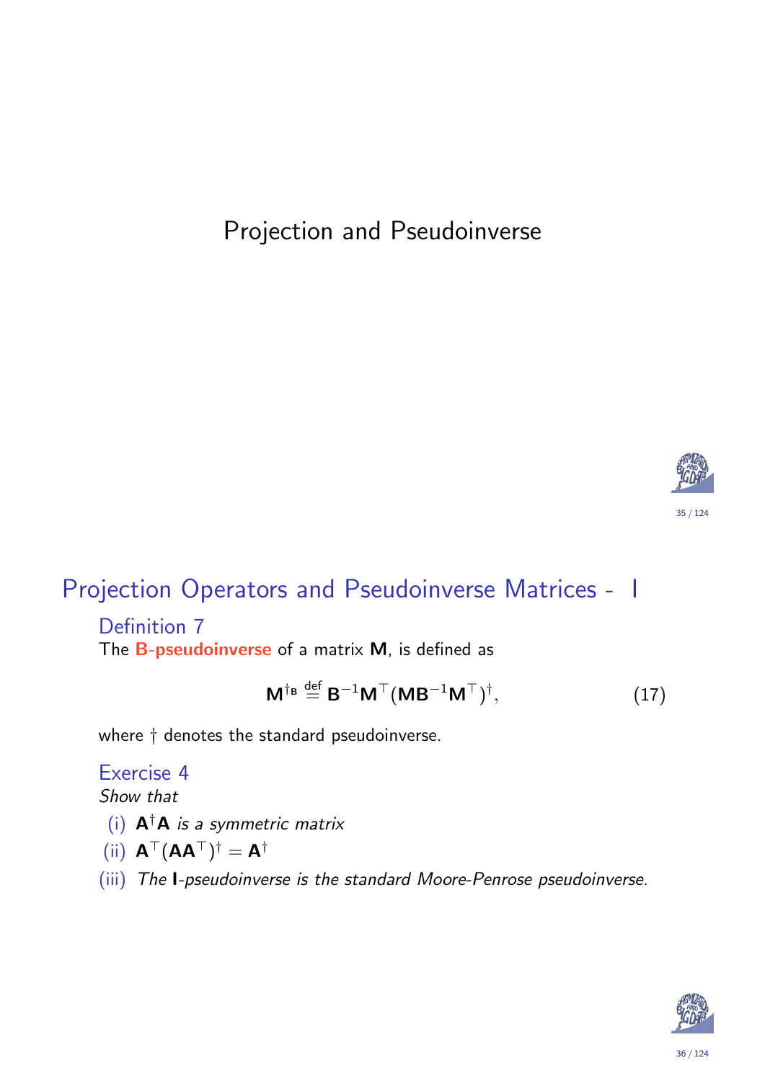## Projection and Pseudoinverse



## Projection Operators and Pseudoinverse Matrices - I

#### Definition 7 The **B-pseudoinverse** of a matrix **M**, is defined as

$$
\mathbf{M}^{\dagger_{\mathbf{B}}} \stackrel{\text{def}}{=} \mathbf{B}^{-1} \mathbf{M}^{\top} (\mathbf{M} \mathbf{B}^{-1} \mathbf{M}^{\top})^{\dagger}, \tag{17}
$$

<span id="page-17-0"></span>where † denotes the standard pseudoinverse.

#### Exercise 4 Show that

- (i)  $A^{\dagger}A$  is a symmetric matrix
- (ii)  $A^{\top} (AA^{\top})^{\dagger} = A^{\dagger}$
- (iii) The I-pseudoinverse is the standard Moore-Penrose pseudoinverse.

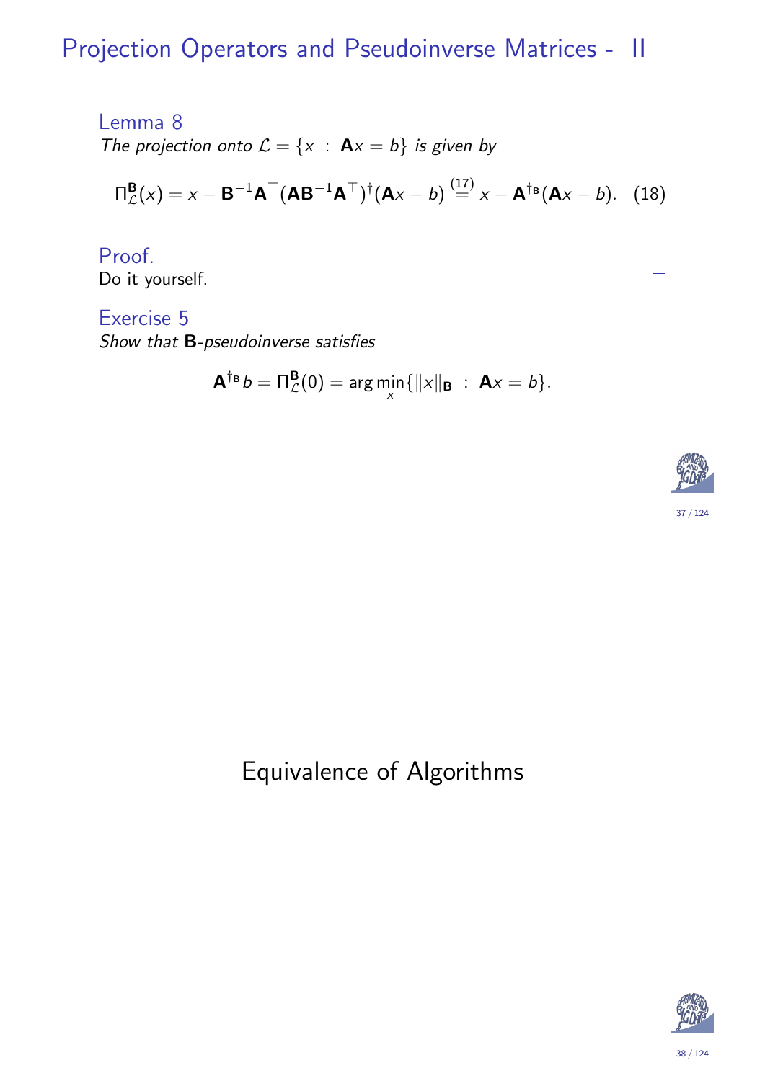## Projection Operators and Pseudoinverse Matrices - II

Lemma 8 The projection onto  $\mathcal{L} = \{x : \mathbf{A}x = b\}$  is given by

$$
\Pi_{\mathcal{L}}^{\mathbf{B}}(x) = x - \mathbf{B}^{-1} \mathbf{A}^{\top} (\mathbf{A} \mathbf{B}^{-1} \mathbf{A}^{\top})^{\dagger} (\mathbf{A}x - b) \stackrel{(17)}{=} x - \mathbf{A}^{\dagger_{\mathbf{B}}} (\mathbf{A}x - b). \quad (18)
$$

Proof. Do it yourself.

Exercise 5 Show that B-pseudoinverse satisfies

$$
\mathbf{A}^{\dagger_{\mathbf{B}}}b=\Pi_{\mathcal{L}}^{\mathbf{B}}(0)=\arg\min_{\mathbf{x}}\{\|\mathbf{x}\|_{\mathbf{B}}\;:\;\mathbf{A}\mathbf{x}=b\}.
$$



 $\Box$ 

## <span id="page-18-1"></span><span id="page-18-0"></span>Equivalence of Algorithms

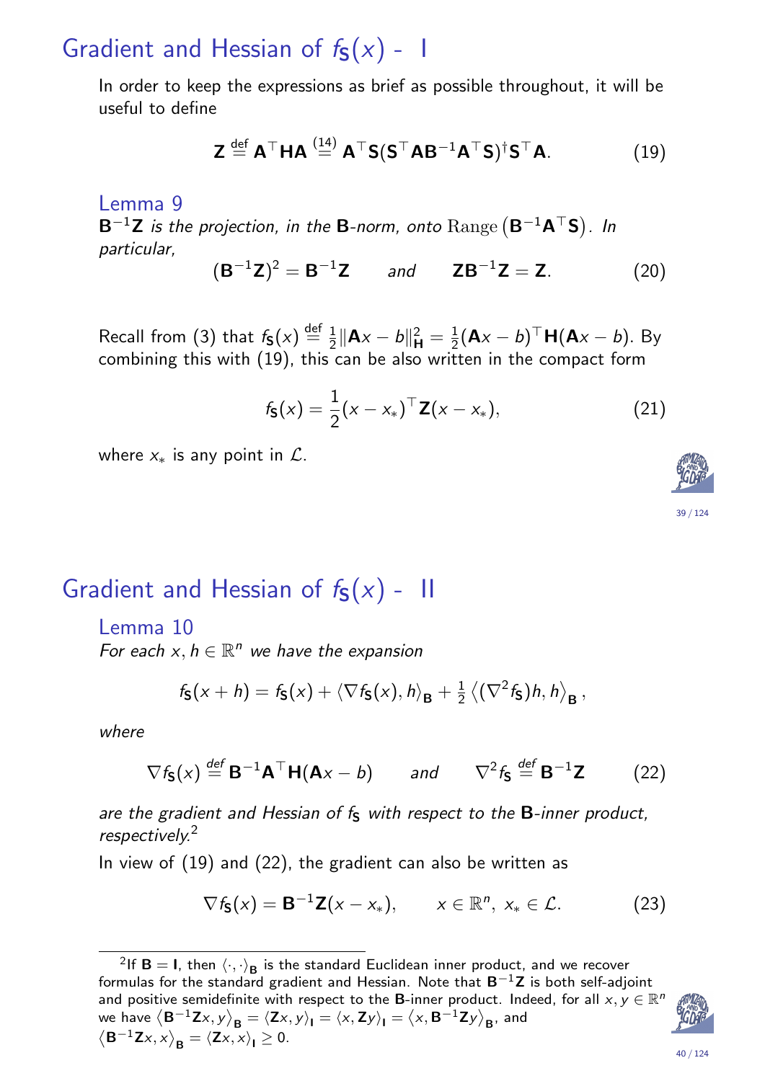## Gradient and Hessian of  $f_S(x)$  - I

In order to keep the expressions as brief as possible throughout, it will be useful to define

$$
\mathbf{Z} \stackrel{\text{def}}{=} \mathbf{A}^{\top} \mathbf{H} \mathbf{A} \stackrel{(14)}{=} \mathbf{A}^{\top} \mathbf{S} (\mathbf{S}^{\top} \mathbf{A} \mathbf{B}^{-1} \mathbf{A}^{\top} \mathbf{S})^{\dagger} \mathbf{S}^{\top} \mathbf{A}.
$$
 (19)

Lemma 9  $\mathsf{B}^{-1}\mathsf{Z}$  is the projection, in the  $\mathsf{B}\textrm{-norm}$ , onto  $\mathrm{Range}\left(\mathsf{B}^{-1}\mathsf{A}^{\top}\mathsf{S}\right)$ . In particular,  $\overline{\phantom{a}}$ 

$$
(B^{-1}Z)^2 = B^{-1}Z
$$
 and  $ZB^{-1}Z = Z.$  (20)

Recall from (3) that  $f_{\mathbf{S}}(x) \stackrel{\text{def}}{=} \frac{1}{2}$  $\frac{1}{2} \|\mathbf{A} \mathbf{x} - \mathbf{b} \|^2$ r  $^{2}_{\mathsf{H}}=\frac{1}{2}$  $\frac{1}{2}(\mathbf{A}x - b)^{\top} \mathbf{H}(\mathbf{A}x - b)$ . By combining this with (19), this can be also written in the compact form

> $f_{\mathsf{S}}(x) = \frac{1}{2}$ 2  $(x - x_*)^{\top} \mathbf{Z}(x - x_*)$ , (21)

where  $x<sub>*</sub>$  is any point in  $\mathcal{L}$ .

| Gradient and Hessian of $f_S(x)$ - II |  |  |  |  |
|---------------------------------------|--|--|--|--|
|---------------------------------------|--|--|--|--|

#### Lemma 10

For each  $x, h \in \mathbb{R}^n$  we have the expansion

$$
f_{\mathbf{S}}(x+h)=f_{\mathbf{S}}(x)+\left\langle \nabla f_{\mathbf{S}}(x),h\right\rangle_{\mathbf{B}}+\frac{1}{2}\left\langle (\nabla^2 f_{\mathbf{S}})h,h\right\rangle_{\mathbf{B}},
$$

where

$$
\nabla f_{\mathbf{S}}(x) \stackrel{\text{def}}{=} \mathbf{B}^{-1} \mathbf{A}^{\top} \mathbf{H}(\mathbf{A}x - b) \quad \text{and} \quad \nabla^2 f_{\mathbf{S}} \stackrel{\text{def}}{=} \mathbf{B}^{-1} \mathbf{Z} \tag{22}
$$

<span id="page-19-0"></span>are the gra[die](#page-14-0)nt and Hessian of  $f<sub>S</sub>$  with respect to the  $B$ -inner product, respectively.<sup>2</sup>

In view of (19) and (22), the gradient can also be written as

$$
\nabla f_{\mathbf{S}}(x) = \mathbf{B}^{-1} \mathbf{Z}(x - x_*) , \qquad x \in \mathbb{R}^n, \ x_* \in \mathcal{L} . \tag{23}
$$

<span id="page-19-3"></span><span id="page-19-2"></span><span id="page-19-1"></span><sup>&</sup>lt;sup>2</sup>If **B** [=](#page-19-0) **I**, then  $\langle \cdot, \cdot \rangle_B$  is the standard Euclidean inner product, and we recover formulas for the standard gradient and Hessian. Note that  $B^{-1}Z$  is both self-adjoint and positive semidefinite with respect to the B-inner product. Indeed, for all  $x, y \in \mathbb{R}^n$ we have  $\langle \mathbf{B}^{-1}\mathbf{Z}x, y\rangle_{\mathbf{B}} = \langle \mathbf{Z}x, y\rangle_{\mathbf{I}} = \langle x, \mathbf{Z}y\rangle_{\mathbf{I}} = \langle x, \mathbf{B}^{-1}\mathbf{Z}y\rangle_{\mathbf{B}}$ , and  $\langle \mathbf{B}^{-1}\mathbf{Z}x, x\rangle_{\mathbf{B}} = \langle \mathbf{Z}x, x\rangle_{\mathbf{I}} \geq 0.$ 





40 / 124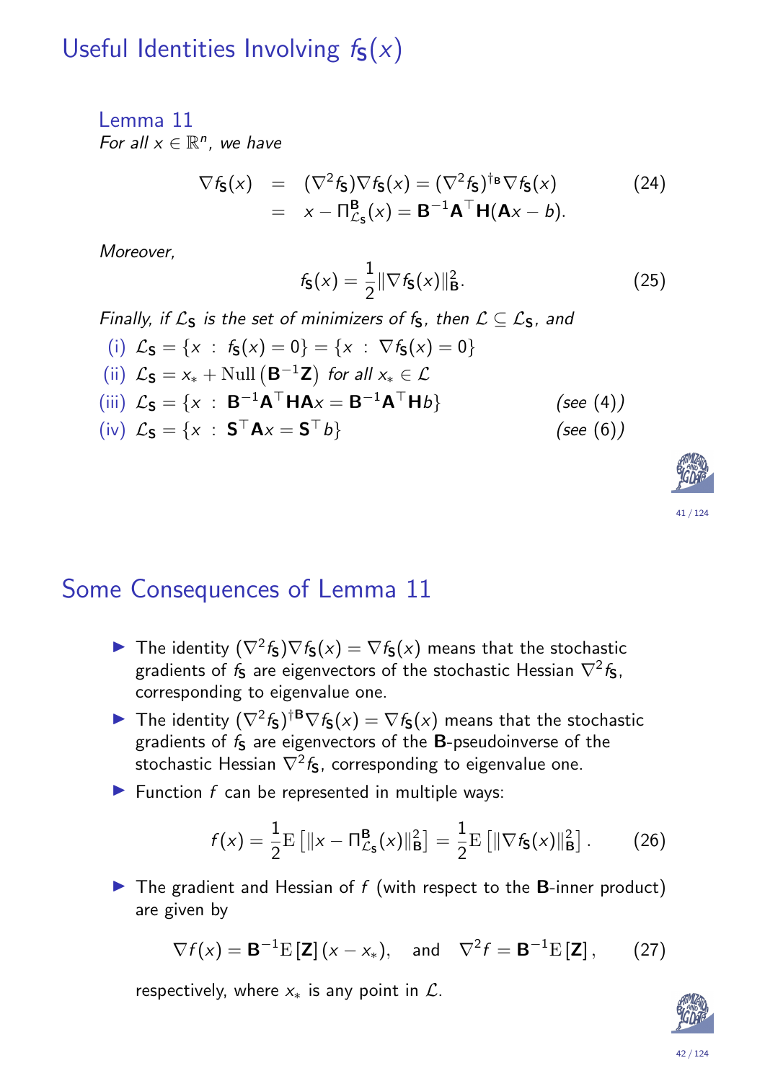## Useful Identities Involving  $f_S(x)$

#### Lemma 11 For all  $x \in \mathbb{R}^n$ , we have

$$
\nabla f_{\mathbf{S}}(x) = (\nabla^2 f_{\mathbf{S}}) \nabla f_{\mathbf{S}}(x) = (\nabla^2 f_{\mathbf{S}})^{\dagger_{\mathbf{B}}} \nabla f_{\mathbf{S}}(x)
$$
(24)  
=  $x - \Pi_{\mathcal{L}_{\mathbf{S}}}^{\mathbf{B}}(x) = \mathbf{B}^{-1} \mathbf{A}^{\top} \mathbf{H}(\mathbf{A}x - b).$ 

Moreover,

$$
f_{\mathbf{S}}(x) = \frac{1}{2} \|\nabla f_{\mathbf{S}}(x)\|_{\mathbf{B}}^2.
$$
 (25)

Finally, if  $\mathcal{L}_S$  is the set of minimizers of  $f_S$ , then  $\mathcal{L} \subseteq \mathcal{L}_S$ , and

(i) 
$$
\mathcal{L}_{\mathbf{S}} = \{x : f_{\mathbf{S}}(x) = 0\} = \{x : \nabla f_{\mathbf{S}}(x) = 0\}
$$
  
\n(ii)  $\mathcal{L}_{\mathbf{S}} = x_* + \text{Null}(\mathbf{B}^{-1}\mathbf{Z})$  for all  $x_* \in \mathcal{L}$   
\n(iii)  $\mathcal{L}_{\mathbf{S}} = \{x : \mathbf{B}^{-1}\mathbf{A}^\top \mathbf{H} \mathbf{A}x = \mathbf{B}^{-1}\mathbf{A}^\top \mathbf{H}b\}$  (see (4))  
\n(iv)  $\mathcal{L}_{\mathbf{S}} = \{x : \mathbf{S}^\top \mathbf{A}x = \mathbf{S}^\top b\}$  (see (6))

### Some Consequences of Lemma 11

- The identity  $(\nabla^2 f_{\mathbf{S}}) \nabla f_{\mathbf{S}}(x) = \nabla f_{\mathbf{S}}(x)$  means that the stochastic gradients of  $f_\mathsf{S}$  are eigenvectors of the stochastic Hessian  $\nabla^2 f_\mathsf{S},$ corresponding to eigenvalue one.
- ▶ The identity  $(\nabla^2 f_{\mathbf{S}})^{\dagger \mathbf{B}} \nabla f_{\mathbf{S}}(x) = \nabla f_{\mathbf{S}}(x)$  means that the stochastic gradients of  $f_S$  are eigenvectors of the  $B$ -pseudoinverse of the stochastic Hes[sian](#page-20-0)  $\nabla^2 f_{\mathsf{S}}$ , corresponding to eigenvalue one.
- <span id="page-20-0"></span> $\blacktriangleright$  Function f can be represented in multiple ways:

$$
f(x) = \frac{1}{2} \mathrm{E} \left[ \Vert x - \Pi_{\mathcal{L}_{\mathsf{S}}}^{\mathsf{B}}(x) \Vert_{\mathsf{B}}^2 \right] = \frac{1}{2} \mathrm{E} \left[ \Vert \nabla f_{\mathsf{S}}(x) \Vert_{\mathsf{B}}^2 \right]. \tag{26}
$$

 $\blacktriangleright$  The gradient and Hessian of f (with respect to the **B**-inner product) are given by

$$
\nabla f(x) = \mathbf{B}^{-1} \mathbf{E} [\mathbf{Z}] (x - x_*)
$$
, and 
$$
\nabla^2 f = \mathbf{B}^{-1} \mathbf{E} [\mathbf{Z}],
$$
 (27)

<span id="page-20-2"></span><span id="page-20-1"></span>respectively, where  $x<sub>*</sub>$  is a[n](#page-6-0)y point in  $\mathcal{L}$ .

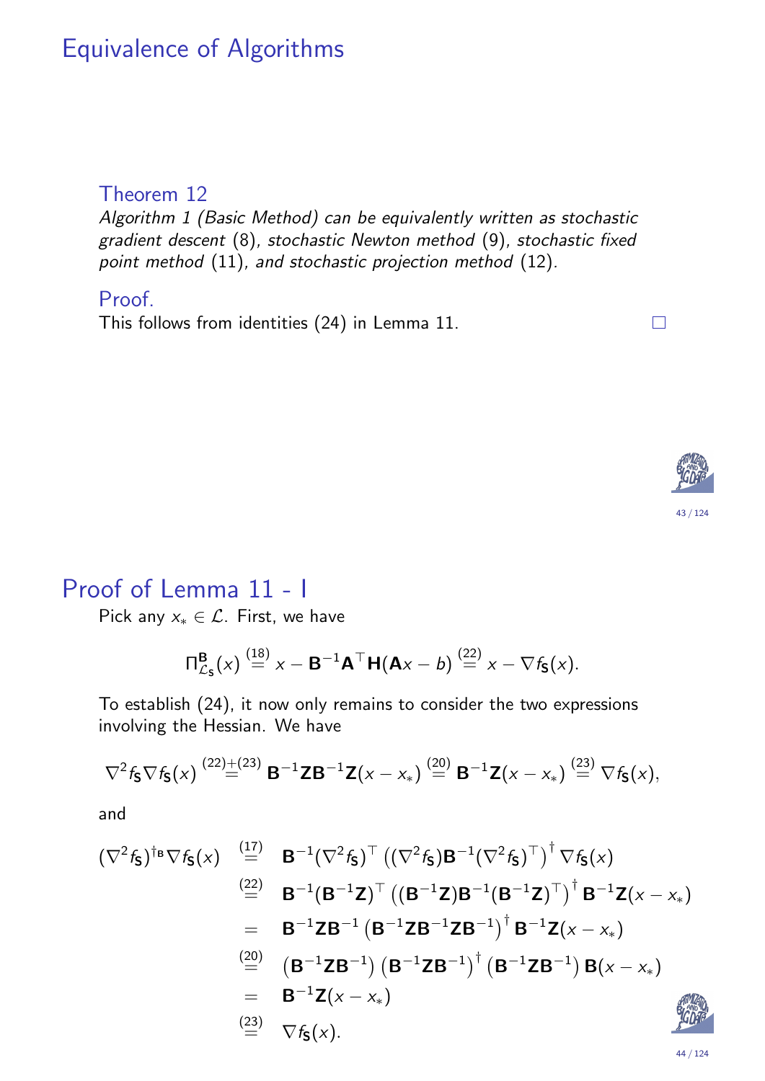### Equivalence of Algorithms

#### Theorem 12

Algorithm 1 (Basic Method) can be equivalently written as stochastic gradient descent (8), stochastic Newton method (9), stochastic fixed point method (11), and stochastic projection method (12).

#### Proof.

This follows from identities (24) in Lemma 11.



 $\Box$ 

#### Proof of Lemma 11 - I

Pick any  $x_* \in \mathcal{L}$ . First, we have

$$
\Pi_{\mathcal{L}_{\mathbf{S}}}^{\mathbf{B}}(x) \stackrel{(18)}{=} x - \mathbf{B}^{-1} \mathbf{A}^{\top} \mathbf{H}(\mathbf{A}x - b) \stackrel{(22)}{=} x - \nabla f_{\mathbf{S}}(x).
$$

To establish (24), it now only remains to consider the two expressions involving the Hessian. We have

$$
\nabla^2 f_{\mathbf{S}} \nabla f_{\mathbf{S}}(x) \stackrel{(22)+(23)}{=} \mathbf{B}^{-1} \mathbf{Z} \mathbf{B}^{-1} \mathbf{Z}(x-x_*) \stackrel{(20)}{=} \mathbf{B}^{-1} \mathbf{Z}(x-x_*) \stackrel{(23)}{=} \nabla f_{\mathbf{S}}(x),
$$

and

$$
(\nabla^2 f_{\mathbf{S}})^{\dagger_{\mathbf{B}}} \nabla f_{\mathbf{S}}(x) \stackrel{(17)}{=} \mathbf{B}^{-1} (\nabla^2 f_{\mathbf{S}})^{\top} ((\nabla^2 f_{\mathbf{S}}) \mathbf{B}^{-1} (\nabla^2 f_{\mathbf{S}})^{\top})^{\dagger} \nabla f_{\mathbf{S}}(x)
$$
\n
$$
\stackrel{(22)}{=} \mathbf{B}^{-1} (\mathbf{B}^{-1} \mathbf{Z})^{\top} ((\mathbf{B}^{-1} \mathbf{Z}) \mathbf{B}^{-1} (\mathbf{B}^{-1} \mathbf{Z})^{\top})^{\dagger} \mathbf{B}^{-1} \mathbf{Z}(x - x_*)
$$
\n
$$
= \mathbf{B}^{-1} \mathbf{Z} \mathbf{B}^{-1} (\mathbf{B}^{-1} \mathbf{Z} \mathbf{B}^{-1} \mathbf{Z} \mathbf{B}^{-1})^{\dagger} \mathbf{B}^{-1} \mathbf{Z}(x - x_*)
$$
\n
$$
\stackrel{(20)}{=} (\mathbf{B}^{-1} \mathbf{Z} \mathbf{B}^{-1}) (\mathbf{B}^{-1} \mathbf{Z} \mathbf{B}^{-1})^{\dagger} (\mathbf{B}^{-1} \mathbf{Z} \mathbf{B}^{-1}) \mathbf{B}(x - x_*)
$$
\n
$$
= \mathbf{B}^{-1} \mathbf{Z}(x - x_*)
$$
\n
$$
\stackrel{(23)}{=} \nabla f_{\mathbf{S}}(x).
$$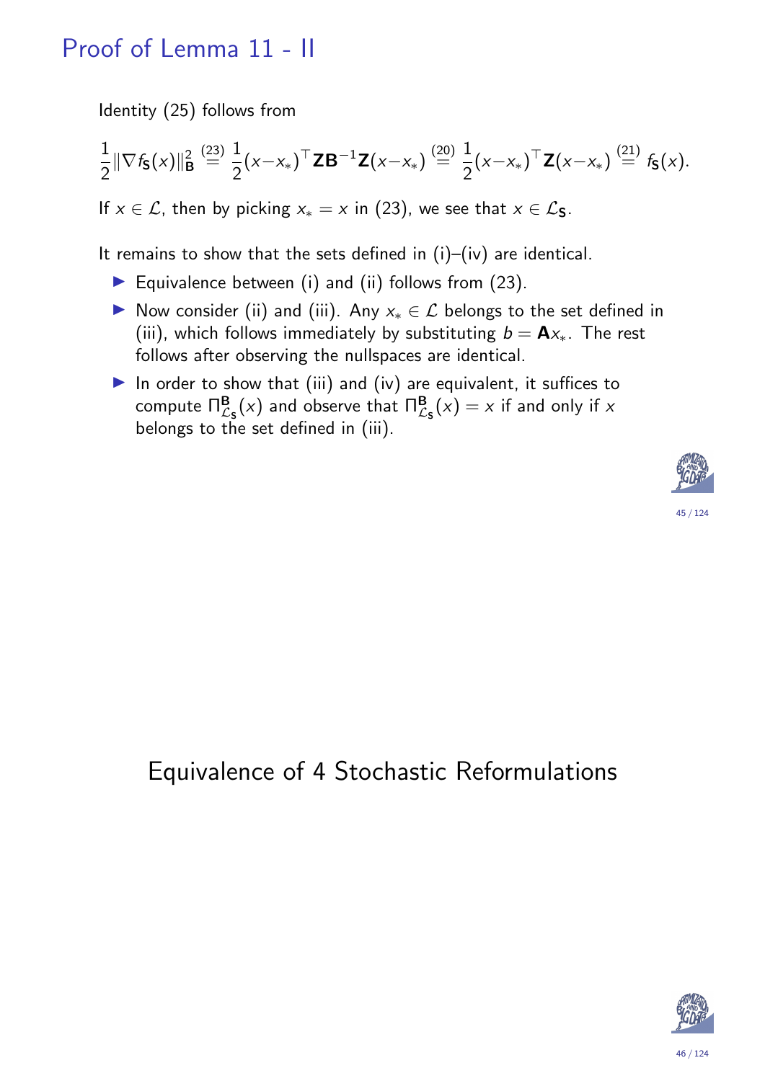## Proof of Lemma 11 - II

Identity (25) follows from

$$
\frac{1}{2} \|\nabla f_{\mathbf{S}}(x)\|_{\mathbf{B}}^2 \stackrel{(23)}{=} \frac{1}{2} (x - x_*)^{\top} \mathbf{Z} \mathbf{B}^{-1} \mathbf{Z} (x - x_*) \stackrel{(20)}{=} \frac{1}{2} (x - x_*)^{\top} \mathbf{Z} (x - x_*) \stackrel{(21)}{=} f_{\mathbf{S}}(x).
$$

If  $x \in \mathcal{L}$ , then by picking  $x_* = x$  in (23), we see that  $x \in \mathcal{L}_S$ .

It remains to show that the sets defined in (i)–(iv) are identical.

- Equivalence between (i) and (ii) follows from  $(23)$ .
- ▶ Now consider (ii) and (iii). Any  $x_* \in \mathcal{L}$  belongs to the set defined in (iii), which follows immediately by substituting  $b = Ax_*$ . The rest follows after observing the nullspaces are identical.
- In order to show that (iii) and (iv) are equivalent, it suffices to compute  $\Pi_{\mathcal{L}_{\mathsf{S}}}^{\mathsf{B}}(x)$  and observe that  $\Pi_{\mathcal{L}_{\mathsf{S}}}^{\mathsf{B}}(x)=x$  if and only if x belongs to the set defined in (iii).



## <span id="page-22-0"></span>[E](#page-20-0)quivalence of 4 Stochastic Reformulations

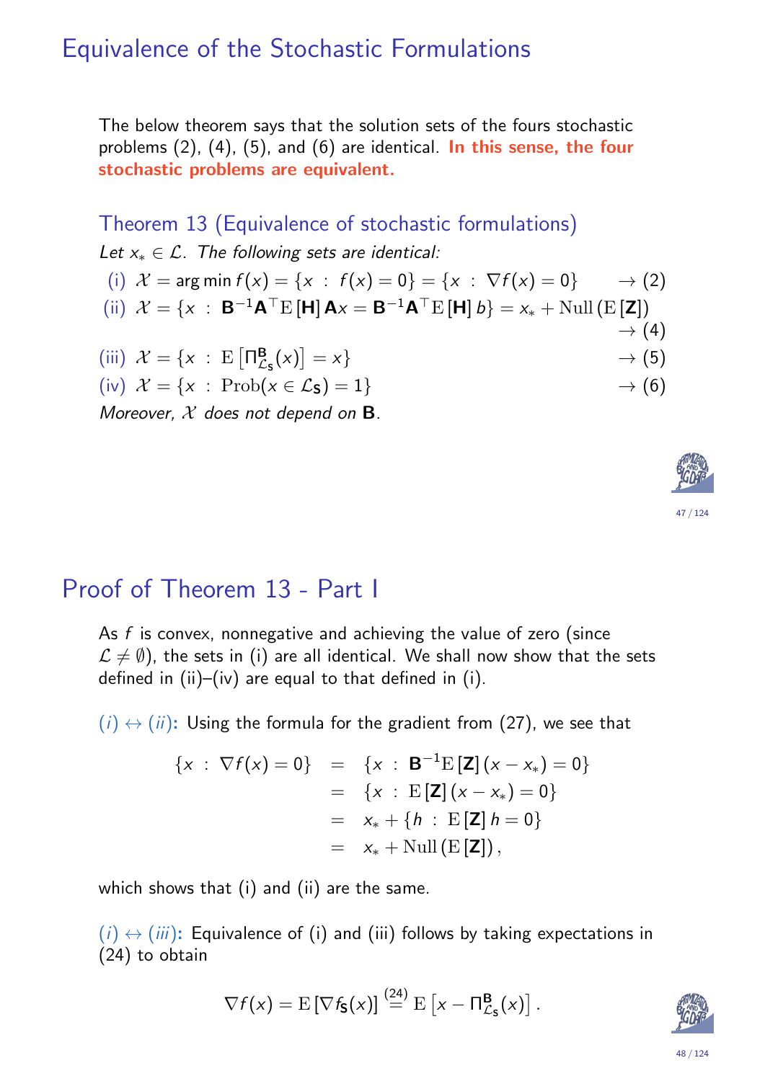#### Equivalence of the Stochastic Formulations

The below theorem says that the solution sets of the fours stochastic problems  $(2)$ ,  $(4)$ ,  $(5)$ , and  $(6)$  are identical. In this sense, the four stochastic problems are equivalent.

Theorem 13 (Equivalence of stochastic formulations) Let  $x_* \in \mathcal{L}$ . The following sets are identical: (i)  $\mathcal{X} = \arg \min f(x) = \{x : f(x) = 0\} = \{x : \nabla f(x) = 0\} \longrightarrow (2)$ (ii)  $\mathcal{X} = \{x : \mathbf{B}^{-1} \mathbf{A}^{\top} E[\mathbf{H}] \mathbf{A} x = \mathbf{B}^{-1} \mathbf{A}^{\top} E[\mathbf{H}] b\} = x_* + \text{Null} (E[\mathbf{Z}])$  $\rightarrow$  (4) (iii)  $\mathcal{X} = \{x : E \bigcap_{\mathcal{L}}^{\mathbf{B}}$  $\frac{\mathbf{B}}{\mathcal{L}_\mathbf{S}}(x)$  $\rightarrow$  (5) (iv)  $\mathcal{X} = \{x : \text{Prob}(x \in \mathcal{L}_\mathbf{S}) = 1\}$   $\rightarrow$  (6) Moreover,  $X$  does not depend on  $B$ .



#### Proof of Theorem 13 - Part I

As f is convex, nonnegative and achieving the value of zero (since  $\mathcal{L} \neq \emptyset$ ), the sets in (i) are all identical. We shall now show that the sets defined in (ii)–(iv) are equal to that defined in (i).

 $(i) \leftrightarrow (ii)$ : Using the formula for the gradient from (27), we see that

$$
\{x : \nabla f(x) = 0\} = \{x : \mathbf{B}^{-1}E[\mathbf{Z}](x - x_*) = 0\}
$$
  
\n
$$
= \{x : E[\mathbf{Z}](x - x_*) = 0\}
$$
  
\n
$$
= x_* + \{h : E[\mathbf{Z}]h = 0\}
$$
  
\n
$$
= x_* + \text{Null}(E[\mathbf{Z}]),
$$

<span id="page-23-0"></span>which shows that (i) and (ii) are the same.

 $(i) \leftrightarrow (iii)$ : Equivalence of (i) and (iii) fo[llo](#page-6-0)ws by taking expectations in (24) to obtain

$$
\nabla f(x) = \mathrm{E} \left[ \nabla f_{\mathbf{S}}(x) \right] \stackrel{(24)}{=} \mathrm{E} \left[ x - \Pi_{\mathcal{L}_{\mathbf{S}}}^{\mathbf{B}}(x) \right].
$$

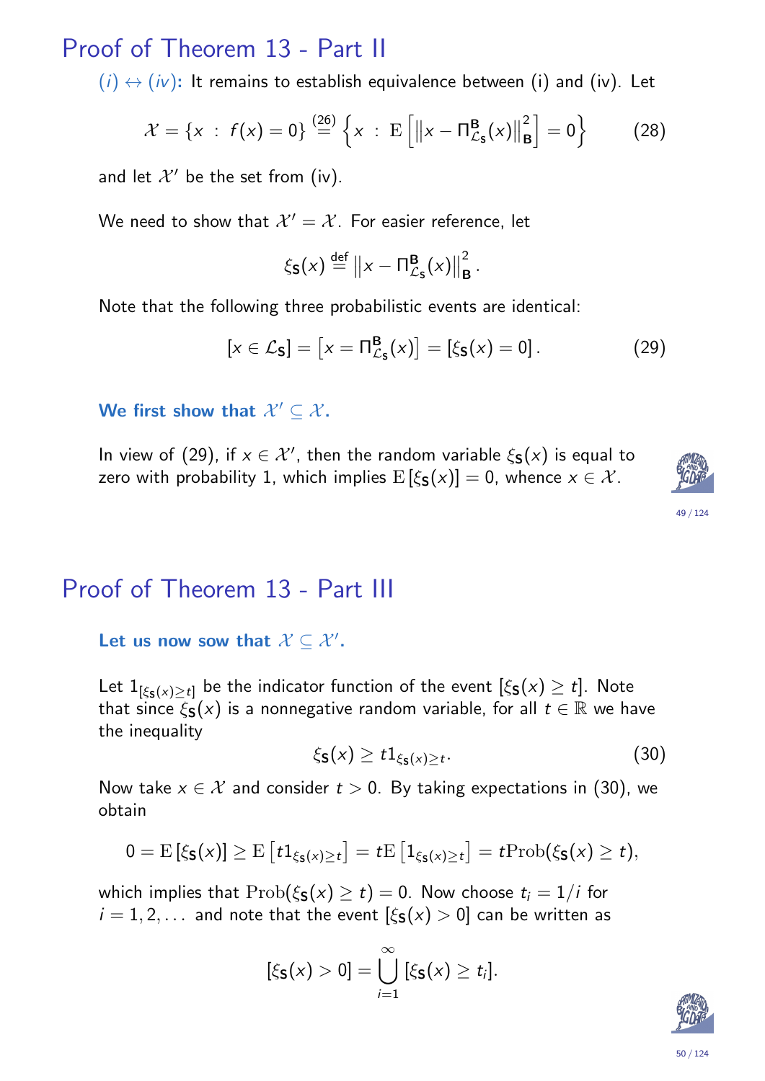### Proof of Theorem 13 - Part II

 $(i) \leftrightarrow (iv)$ : It remains to establish equivalence between (i) and (iv). Let

$$
\mathcal{X} = \{x : f(x) = 0\} \stackrel{(26)}{=} \left\{x : E\left[\left\|x - \Pi_{\mathcal{L}_{\mathbf{S}}}^{\mathbf{B}}(x)\right\|_{\mathbf{B}}^{2}\right] = 0\right\}
$$
 (28)

and let  $\mathcal{X}'$  be the set from (iv).

We need to show that  $\mathcal{X}'=\mathcal{X}.$  For easier reference, let

$$
\xi_{\mathbf{S}}(x) \stackrel{\text{def}}{=} ||x - \Pi_{\mathcal{L}_{\mathbf{S}}}^{\mathbf{B}}(x)||_{\mathbf{B}}^2.
$$

Note that the following three probabilistic events are identical:

$$
[x \in \mathcal{L}_\mathbf{S}] = [x = \Pi_{\mathcal{L}_\mathbf{S}}^\mathbf{B}(x)] = [\xi_\mathbf{S}(x) = 0]. \tag{29}
$$

We first show that  $\mathcal{X}' \subseteq \mathcal{X}$ .

In view of (29), if  $x \in \mathcal{X}'$ , then the random variable  $\xi_{\mathbf{S}}(x)$  is equal to zero with probability 1, which implies  $E[\xi_{S}(x)] = 0$ , whence  $x \in \mathcal{X}$ .



#### 49 / 124

#### Proof of Theorem 13 - Part III

Let us now sow that  $\mathcal{X} \subseteq \mathcal{X}'$ .

Let  $1_{[\xi_{\mathsf{S}}(x)\geq t]}$  be the indicator function of the event  $[\xi_{\mathsf{S}}(x)\geq t].$  Note that since  $\xi_{\mathbf{S}}(x)$  is a nonnegative random variable, for all  $t \in \mathbb{R}$  we have the in[equa](#page-23-0)lity

$$
\xi_{\mathbf{S}}(x) \ge t \mathbb{1}_{\xi_{\mathbf{S}}(x) \ge t}.\tag{30}
$$

Now take  $x \in \mathcal{X}$  and consider  $t > 0$ . By taking expectations in (30), we obtain

<span id="page-24-0"></span>
$$
0 = \mathrm{E} \left[ \xi_{\mathbf{S}}(x) \right] \geq \mathrm{E} \left[ t \mathbf{1}_{\xi_{\mathbf{S}}(x) \geq t} \right] = t \mathrm{E} \left[ \mathbf{1}_{\xi_{\mathbf{S}}(x) \geq t} \right] = t \mathrm{Prob}(\xi_{\mathbf{S}}(x) \geq t),
$$

which implies that  $\text{Prob}(\xi_{\mathbf{S}}(x) \geq t) = 0$  $\text{Prob}(\xi_{\mathbf{S}}(x) \geq t) = 0$  $\text{Prob}(\xi_{\mathbf{S}}(x) \geq t) = 0$ . Now choose  $t_i = 1/i$  for  $i = 1, 2, \ldots$  and note that the event  $[\xi_{\mathbf{S}}(x) > 0]$  can be written as

$$
[\xi_{\mathbf{S}}(x)>0]=\bigcup_{i=1}^{\infty} [\xi_{\mathbf{S}}(x)\geq t_i].
$$

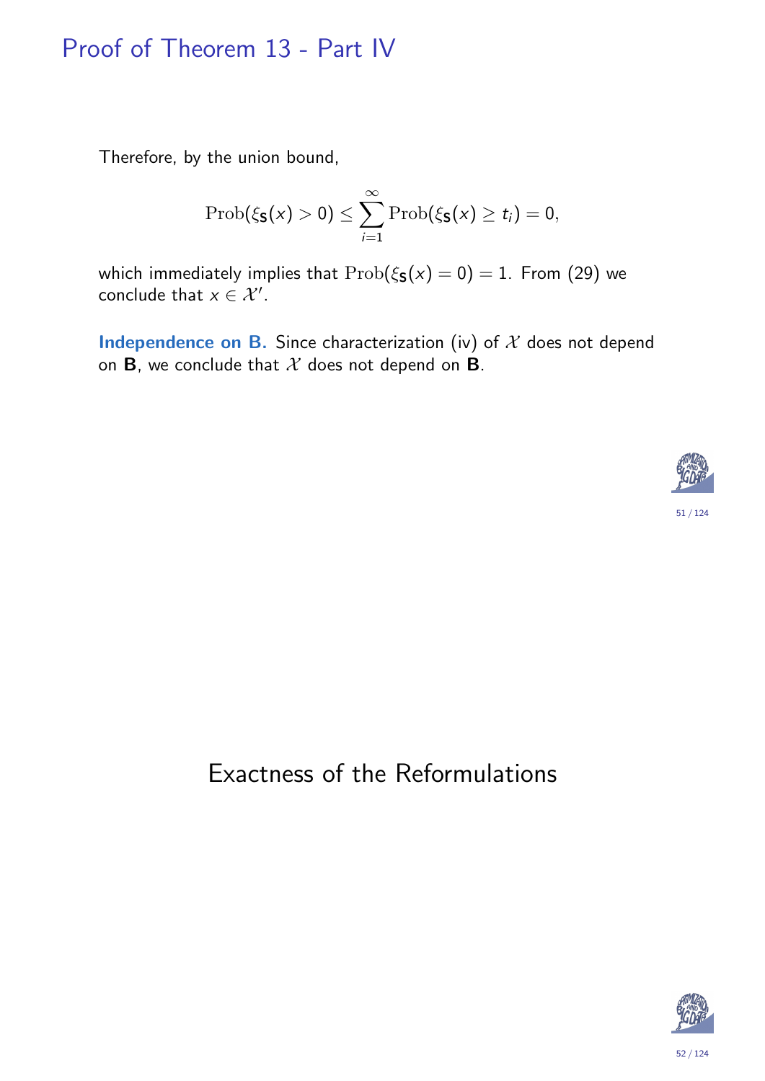### Proof of Theorem 13 - Part IV

Therefore, by the union bound,

$$
\mathrm{Prob}(\xi_{\mathbf{S}}(x)>0)\leq \sum_{i=1}^{\infty}\mathrm{Prob}(\xi_{\mathbf{S}}(x)\geq t_i)=0,
$$

which immediately implies that  $\text{Prob}(\xi_{\mathbf{S}}(x) = 0) = 1$ . From (29) we conclude that  $x \in \mathcal{X}'$ .

**Independence on B.** Since characterization (iv) of  $X$  does not depend on **B**, we conclude that  $X$  does not depend on **B**.



## Exactness of the Reformulations

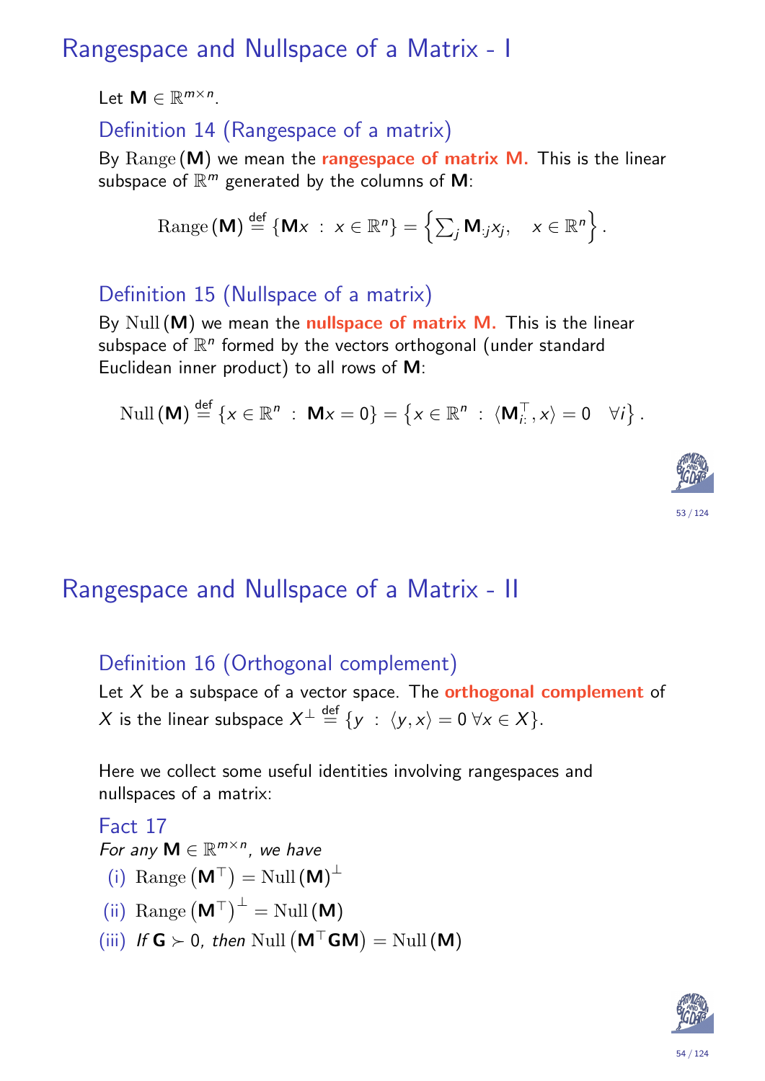## Rangespace and Nullspace of a Matrix - I

Let  $M \in \mathbb{R}^{m \times n}$ .

Definition 14 (Rangespace of a matrix)

By  $\text{Range}(\textbf{M})$  we mean the **rangespace of matrix M.** This is the linear subspace of  $\mathbb{R}^m$  generated by the columns of  $\boldsymbol{\mathsf{M}}$ :

Range (M) 
$$
\stackrel{\text{def}}{=} \{ Mx : x \in \mathbb{R}^n \} = \left\{ \sum_j M_{:j} x_j, x \in \mathbb{R}^n \right\}.
$$

#### Definition 15 (Nullspace of a matrix)

By Null  $(M)$  we mean the nullspace of matrix M. This is the linear subspace of  $\mathbb{R}^n$  formed by the vectors orthogonal (under standard Euclidean inner product) to all rows of M:

$$
\mathrm{Null}\left(\mathbf{M}\right) \stackrel{\text{def}}{=} \left\{x \in \mathbb{R}^n \; : \; \mathbf{M}x = 0\right\} = \left\{x \in \mathbb{R}^n \; : \; \langle \mathbf{M}_i^{\top}, x \rangle = 0 \quad \forall i\right\}.
$$



## Rangespace and Nullspace of a Matrix - II

#### Definition 16 (Orthogonal complement)

Let  $X$  be a subspace of a vector space. The **orthogonal complement** of  $X$  is the linear subspace  $X^\perp \stackrel{{\sf def}}{=} \{ \mathsf{y} \; : \; \langle \mathsf{y}, \mathsf{x} \rangle = 0 \; \forall \mathsf{x} \in X \}.$ 

Here we collect some useful identities involving rangespaces and nullspaces of a matrix:

#### Fact 17

For any  $M \in \mathbb{R}^{m \times n}$ , we have

- (i) Range  $(M^{\top}) =$  Null  $(M)^{\perp}$
- (ii) Range  $(M^{\top})^{\perp}$  = Null (M)
- <span id="page-26-0"></span>(iii) If  $G \succ 0$ , then Null  $(M<sup>T</sup>GM) =$  Null  $(M)$

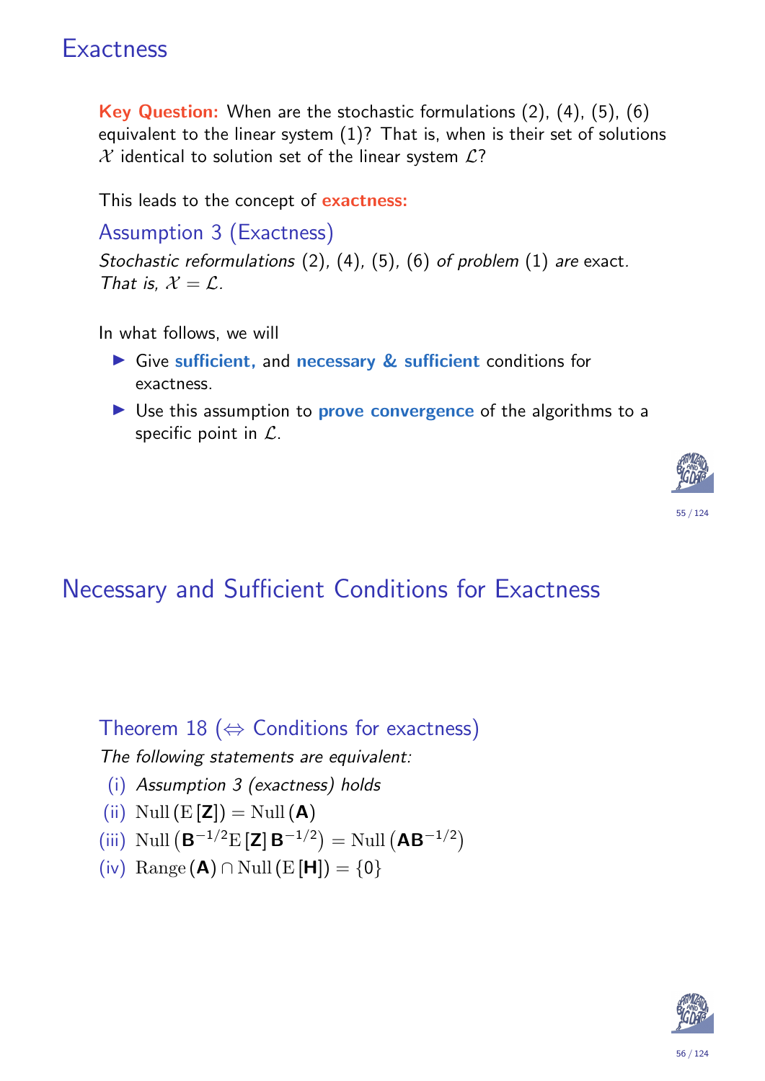## **Exactness**

Key Question: When are the stochastic formulations (2), (4), (5), (6) equivalent to the linear system  $(1)$ ? That is, when is their set of solutions  $X$  identical to solution set of the linear system  $L$ ?

This leads to the concept of exactness:

Assumption 3 (Exactness)

Stochastic reformulations (2), (4), (5), (6) of problem (1) are exact. That is,  $\mathcal{X} = \mathcal{L}$ .

In what follows, we will

- $\triangleright$  Give sufficient, and necessary  $\&$  sufficient conditions for exactness.
- $\triangleright$  Use this assumption to **prove convergence** of the algorithms to a specific point in  $\mathcal{L}$ .



## Necessary and Sufficient Conditions for Exactness

Theorem 18 ( $\Leftrightarrow$  Conditions for exactness)

The following statements are equivalent:

- (i) Assumption 3 (exactness[\) h](#page-5-0)[old](#page-6-0)s
- (ii)  $\text{Null}(\textbf{E}[\textbf{Z}]) = \text{Null}(\textbf{A})$  $\text{Null}(\textbf{E}[\textbf{Z}]) = \text{Null}(\textbf{A})$  $\text{Null}(\textbf{E}[\textbf{Z}]) = \text{Null}(\textbf{A})$
- (iii) Null  $(B^{-1/2}E[Z]B^{-1/2}) =$  Null  $(AB^{-1/2})$
- <span id="page-27-1"></span><span id="page-27-0"></span>(iv) Range (A) ∩ Null (E [H]) =  $\{0\}$

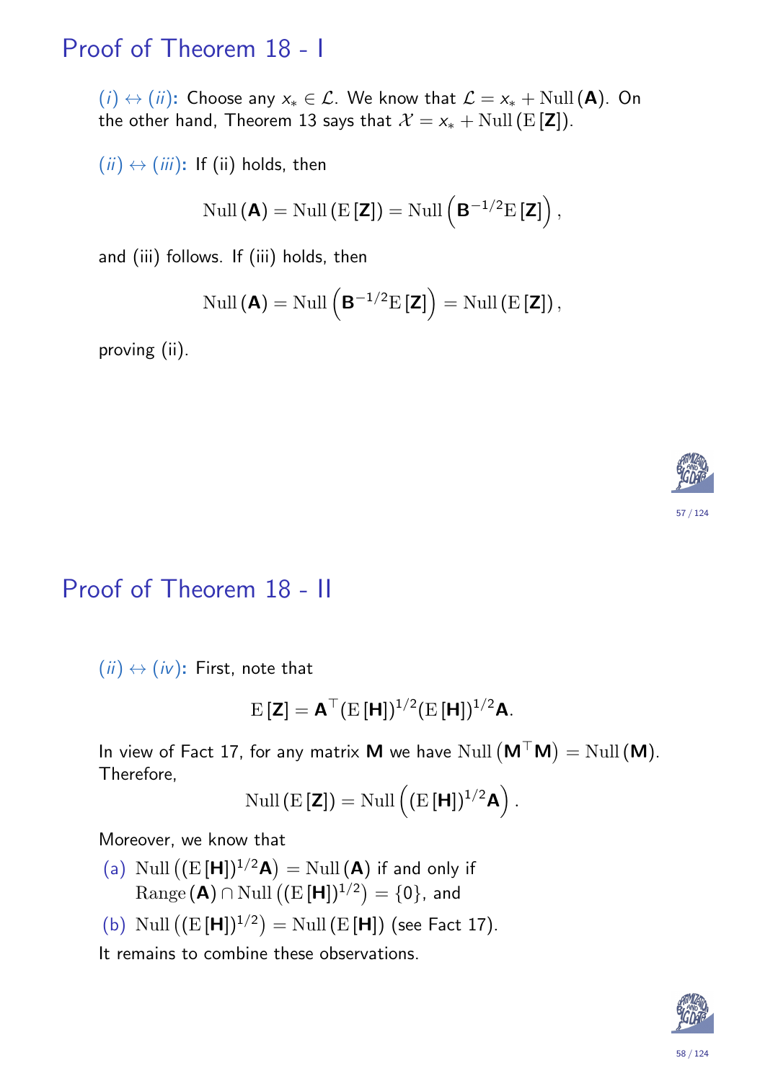### Proof of Theorem 18 - I

 $(i) \leftrightarrow (ii)$ : Choose any  $x_* \in \mathcal{L}$ . We know that  $\mathcal{L} = x_* + \text{Null}(\mathbf{A})$ . On the other hand, Theorem 13 says that  $\mathcal{X} = x_* + \text{Null}(\text{E}[\textbf{Z}]).$ 

 $(ii) \leftrightarrow (iii)$ : If (ii) holds, then

$$
\mathrm{Null}\left(\boldsymbol{A}\right) = \mathrm{Null}\left(\mathrm{E}\left[\boldsymbol{Z}\right]\right) = \mathrm{Null}\left(\boldsymbol{B}^{-1/2}\mathrm{E}\left[\boldsymbol{Z}\right]\right),
$$

and (iii) follows. If (iii) holds, then

$$
\mathrm{Null}\left(\mathbf{A}\right) = \mathrm{Null}\left(\mathbf{B}^{-1/2}\mathrm{E}\left[\mathbf{Z}\right]\right) = \mathrm{Null}\left(\mathrm{E}\left[\mathbf{Z}\right]\right),\,
$$

proving (ii).



#### Proof of Theorem 18 - II

 $(iii) \leftrightarrow (iv)$ : First, note that

$$
\mathrm{E}\left[\mathbf{Z}\right] = \mathbf{A}^\top (\mathrm{E}\left[\mathbf{H}\right])^{1/2} (\mathrm{E}\left[\mathbf{H}\right])^{1/2} \mathbf{A}.
$$

In vie[w of](#page-27-0) Fact 17, for any matrix **M** we have  $\text{Null}\left(\mathsf{M}^{\top}\mathsf{M}\right) = \text{Null}\left(\mathsf{M}\right)$ . Therefore,

$$
\mathrm{Null}\left(\mathrm{E}\left[\mathbf{Z}\right]\right)=\mathrm{Null}\left((\mathrm{E}\left[\mathbf{H}\right])^{1/2}\mathbf{A}\right).
$$

Moreover, we know that

- (a[\)](#page-26-0) Null  $((E[H])^{1/2}A) =$  Null  $(A)$  if and only if  $\mathrm{Range}\left(\mathbf{A}\right)\cap\mathrm{Null}\left((\mathrm{E}\left[\mathbf{H}\right])^{1/2}\right)=\{0\},$  and
- (b) Null  $((E[H])^{1/2}) =$  Null  $(E[H])$  (see Fact 17).

It remains to combine these observations.

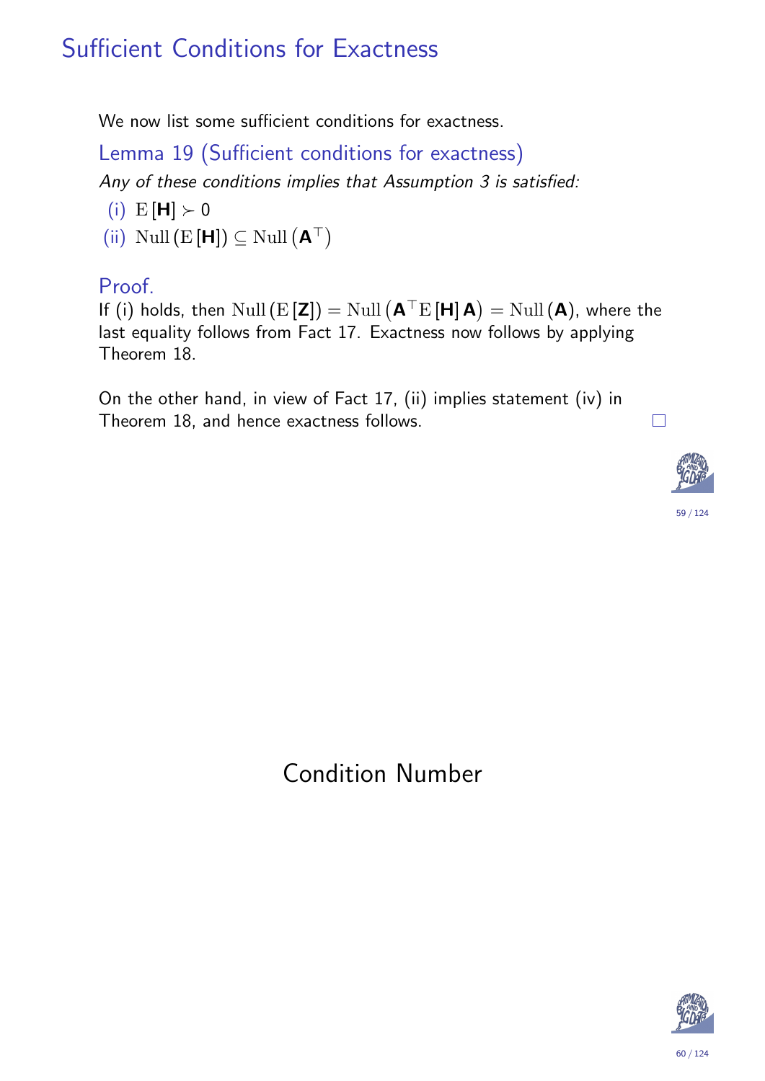## Sufficient Conditions for Exactness

We now list some sufficient conditions for exactness.

Lemma 19 (Sufficient conditions for exactness)

Any of these conditions implies that Assumption 3 is satisfied:

- (i)  $E[H] > 0$
- (ii) Null  $(E[H]) \subseteq$  Null  $(A^{\top})$

#### Proof.

If (i) holds, then  $\text{Null}\left(\textbf{E}\left[\textbf{Z}\right]\right) = \text{Null}\left(\textbf{A}^\top\text{E}\left[\textbf{H}\right]\textbf{A}\right) = \text{Null}\left(\textbf{A}\right)$ , where the last equality follows from Fact 17. Exactness now follows by applying Theorem 18.

On the other hand, in view of Fact 17, (ii) implies statement (iv) in Theorem 18, and hence exactness follows.



 $\Box$ 

<span id="page-29-0"></span>Condition Number

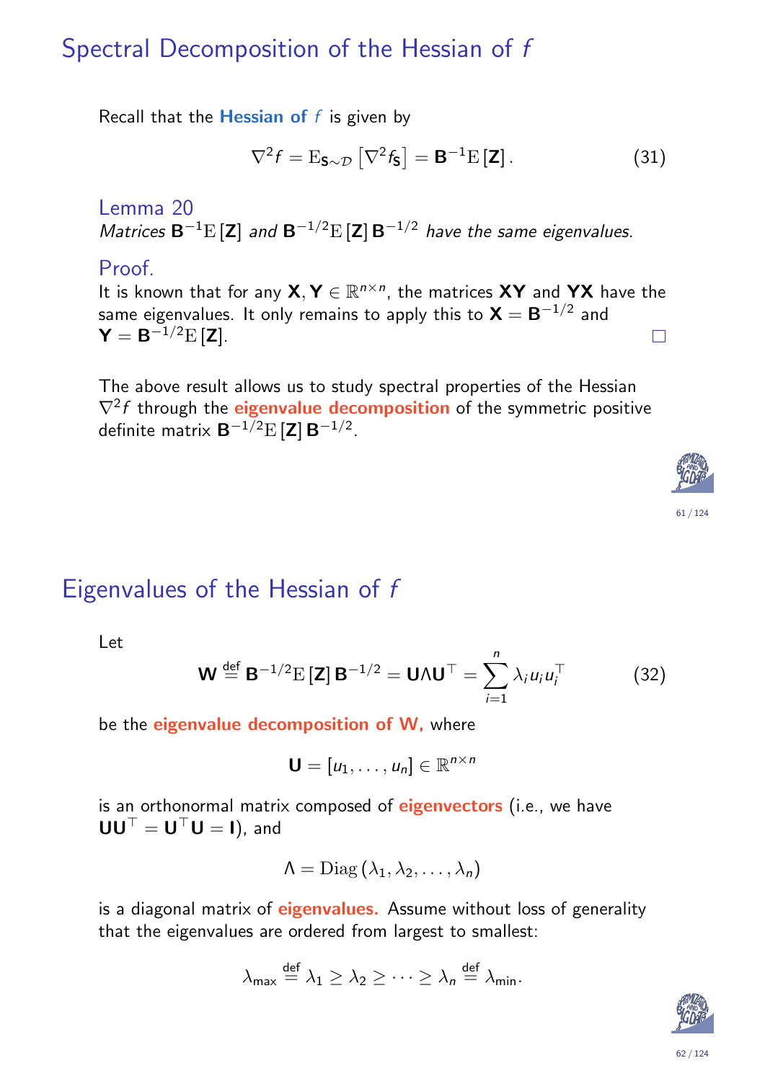## Spectral Decomposition of the Hessian of f

Recall that the **Hessian of**  $f$  is given by

$$
\nabla^2 f = \mathcal{E}_{\mathbf{S}\sim\mathcal{D}} \left[ \nabla^2 f_{\mathbf{S}} \right] = \mathbf{B}^{-1} \mathcal{E} \left[ \mathbf{Z} \right]. \tag{31}
$$

Lemma 20 Matrices  $B^{-1}E[\mathbf{Z}]$  and  $B^{-1/2}E[\mathbf{Z}]B^{-1/2}$  have the same eigenvalues.

#### Proof.

It is known that for any  $\mathsf{X},\mathsf{Y}\in\mathbb{R}^{n\times n}$ , the matrices  $\mathsf{X}\mathsf{Y}$  and  $\mathsf{Y}\mathsf{X}$  have the same eigenvalues. It only remains to apply this to  $\boldsymbol{\mathsf{X}}=\boldsymbol{\mathsf{B}}^{-1/2}$  and  $\mathsf{Y}=\mathsf{B}^{-1/2}\mathrm{E}\left[\mathsf{Z}\right].$  $\Box$ 

The above result allows us to study spectral properties of the Hessian  $\nabla^2 f$  through the **eigenvalue decomposition** of the symmetric positive definite matrix  $\mathbf{B}^{-1/2}\mathrm{E}\left[\mathbf{Z}\right]\mathbf{B}^{-1/2}.$ 





### Eigenvalues of the Hessian of f

Let

$$
\mathbf{W} \stackrel{\text{def}}{=} \mathbf{B}^{-1/2} \mathbf{E} \left[ \mathbf{Z} \right] \mathbf{B}^{-1/2} = \mathbf{U} \Lambda \mathbf{U}^{\top} = \sum_{i=1}^{n} \lambda_i u_i u_i^{\top} \tag{32}
$$

be the eigenvalue decomposition of W, where

$$
\mathbf{U} = [u_1, \ldots, u_n] \in \mathbb{R}^{n \times n}
$$

<span id="page-30-0"></span>is an orthonormal matrix composed of **eigenvectors** (i.e., we have  $UU^{\top} = U^{\top}U = I$ , and

$$
\Lambda = \mathrm{Diag}\left(\lambda_1, \lambda_2, \ldots, \lambda_n\right)
$$

is a diagonal matrix of **eigenvalues.** Assume without loss of generality that the eigenvalues are ordered from largest to smallest:

$$
\lambda_{\max} \stackrel{\text{def}}{=} \lambda_1 \geq \lambda_2 \geq \cdots \geq \lambda_n \stackrel{\text{def}}{=} \lambda_{\min}.
$$

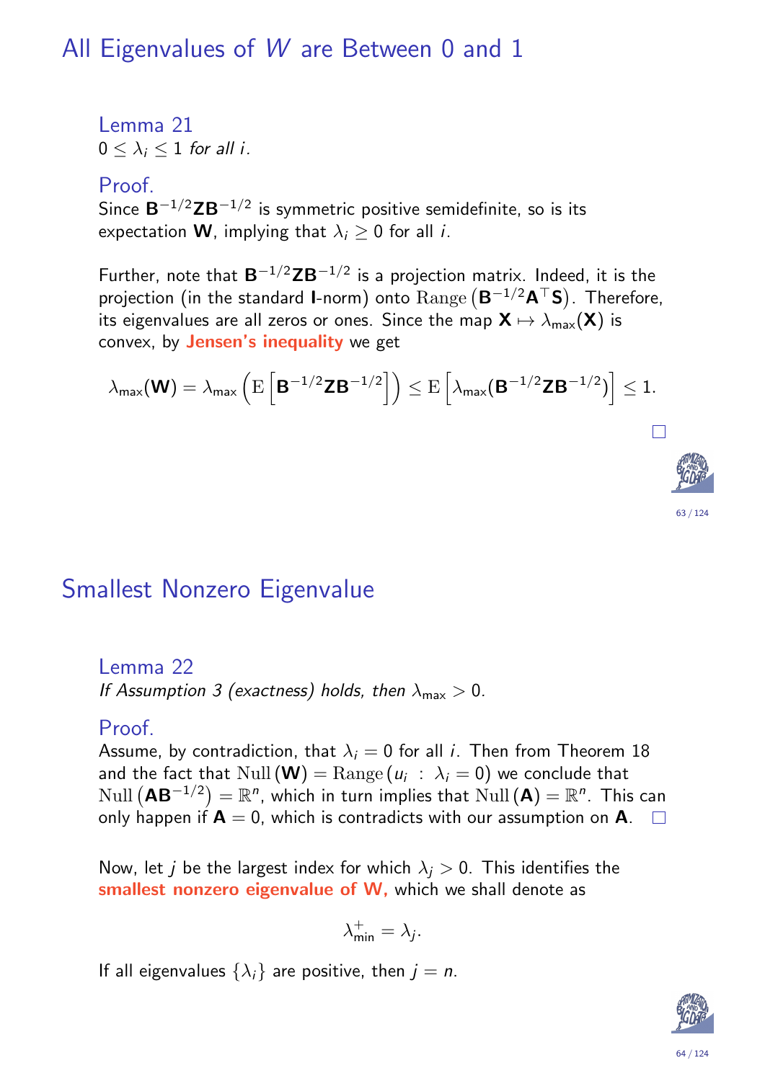### All Eigenvalues of W are Between 0 and 1

Lemma 21  $0 < \lambda_i < 1$  for all i.

#### Proof.

Since  $\mathbf{B}^{-1/2}\mathbf{Z}\mathbf{B}^{-1/2}$  is symmetric positive semidefinite, so is its expectation **W**, implying that  $\lambda_i \geq 0$  for all *i*.

Further, note that  $\mathbf{B}^{-1/2}\mathbf{Z}\mathbf{B}^{-1/2}$  is a projection matrix. Indeed, it is the projection (in the standard 1-norm) onto  $\mathrm{Range}\left(\mathsf{B}^{-1/2}\mathsf{A}^{\top}\mathsf{S}\right)$ . Therefore, its eigenvalues are all zeros or ones. Since the map  $X \mapsto \lambda_{\max}(X)$  is convex, by Jensen's inequality we get

$$
\lambda_{\mathsf{max}}(\mathbf{W}) = \lambda_{\mathsf{max}} \left( \mathrm{E}\left[ \mathbf{B}^{-1/2} \mathbf{Z} \mathbf{B}^{-1/2} \right] \right) \leq \mathrm{E}\left[ \lambda_{\mathsf{max}}(\mathbf{B}^{-1/2} \mathbf{Z} \mathbf{B}^{-1/2}) \right] \leq 1.
$$

#### Smallest Nonzero Eigenvalue

#### Lemma 22

If Assumption 3 (exactness) holds, then  $\lambda_{\text{max}} > 0$ .

#### Proof.

Assume, by contradiction, that  $\lambda_i = 0$  for all *i*. Then from Theorem 18 and the fact that  $\text{Null}\left(\mathbf{W}\right) = \text{Range}\left(\textit{\textbf{u}}_{i}\;:\;\lambda_{i}=0\right)$  we conclude that  $\text{Null}\left(\mathbf{A}\mathbf{B}^{-1/2}\right)=\mathbb{R}^n$ , which in turn implies that  $\text{Null}\left(\mathbf{A}\right)=\mathbb{R}^n.$  This can o[nly](#page-27-1) happen if  $A = 0$ , which is contradicts with our assumption on  $A$ .  $\square$ 

Now, let *j* be t[h](#page-27-0)e largest index for which  $\lambda_i > 0$ . This identifies the smallest nonzero eigenvalue of W, which we shall denote as

$$
\lambda_{\min}^+ = \lambda_j.
$$

If all eigenvalues  $\{\lambda_i\}$  are positive, then  $j = n$ .

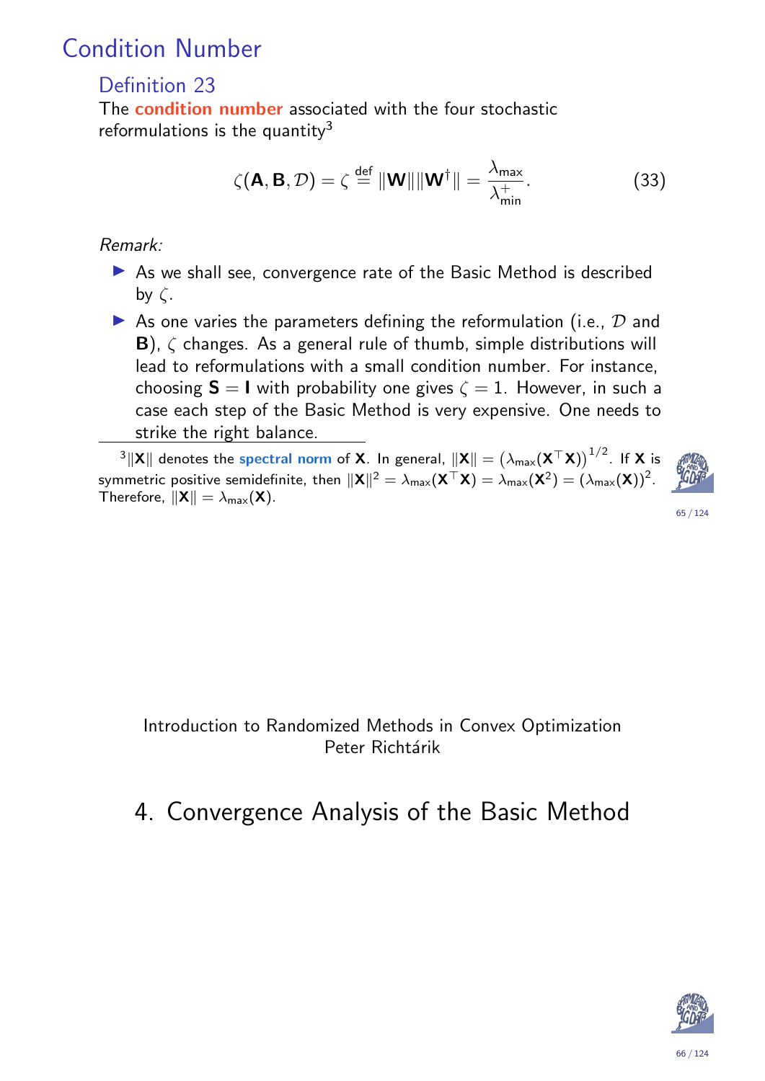## Condition Number

#### Definition 23

The **condition number** associated with the four stochastic reformulations is the quantity $3$ 

$$
\zeta(\mathbf{A}, \mathbf{B}, \mathcal{D}) = \zeta \stackrel{\text{def}}{=} ||\mathbf{W}|| ||\mathbf{W}^{\dagger}|| = \frac{\lambda_{\text{max}}}{\lambda_{\text{min}}^{+}}.
$$
 (33)

#### Remark:

- $\triangleright$  As we shall see, convergence rate of the Basic Method is described by  $\zeta$ .
- As one varies the parameters defining the reformulation (i.e.,  $D$  and **B**),  $\zeta$  changes. As a general rule of thumb, simple distributions will lead to reformulations with a small condition number. For instance, choosing  $S = I$  with probability one gives  $\zeta = 1$ . However, in such a case each step of the Basic Method is very expensive. One needs to strike the right balance.

 $^3\|{\mathsf X}\|$  denotes the spectral norm of **X**. In general,  $\|{\mathsf X}\|=\big(\lambda_{\sf max}({\mathsf X}^\top{\mathsf X})\big)^{1/2}.$  If **X** is symmetric positive semidefinite, then  $\|\mathsf{X}\|^2 = \lambda_{\mathsf{max}}(\mathsf{X}^\top\mathsf{X}) = \lambda_{\mathsf{max}}(\mathsf{X}^2) = (\lambda_{\mathsf{max}}(\mathsf{X}))^2.$ Therefore,  $\|\mathbf{X}\| = \lambda_{\max}(\mathbf{X})$ .

$$
\mathcal{L}^{\mathcal{L}}(\mathcal{L}^{\mathcal{L}}(\mathcal{L}^{\mathcal{L}}(\mathcal{L}^{\mathcal{L}}(\mathcal{L}^{\mathcal{L}}(\mathcal{L}^{\mathcal{L}}(\mathcal{L}^{\mathcal{L}}(\mathcal{L}^{\mathcal{L}}(\mathcal{L}^{\mathcal{L}}(\mathcal{L}^{\mathcal{L}}(\mathcal{L}^{\mathcal{L}}(\mathcal{L}^{\mathcal{L}}(\mathcal{L}^{\mathcal{L}}(\mathcal{L}^{\mathcal{L}}(\mathcal{L}^{\mathcal{L}}(\mathcal{L}^{\mathcal{L}}(\mathcal{L}^{\mathcal{L}}(\mathcal{L}^{\mathcal{L}}(\mathcal{L}^{\mathcal{L}}(\mathcal{L}^{\mathcal{L}}(\mathcal{L}^{\mathcal{L}}(\mathcal{L}^{\mathcal{L}}(\mathcal{L}^{\mathcal{L}}(\mathcal{L}^{\mathcal{L}}(\mathcal{L}^{\mathcal{L}}(\mathcal{L}^{\mathcal{L}}(\mathcal{L}^{\mathcal{L}}(\mathcal{L}^{\mathcal{L}}(\mathcal{L}^{\mathcal{L}}(\mathcal{L}^{\mathcal{L}}(\mathcal{L}^{\mathcal{L}}(\mathcal{L}^{\mathcal{L}}(\mathcal{L}^{\mathcal{L}}(\mathcal{L}^{\mathcal{L}}(\mathcal{L}^{\mathcal{L}}(\mathcal{L}^{\mathcal{L}}(\mathcal{L}^{\mathcal{L}}(\mathcal{L}^{\mathcal{L}}(\mathcal{L}^{\mathcal{L}}(\mathcal{L}^{\mathcal{L}}(\mathcal{L}^{\mathcal{L}}(\mathcal{L}^{\mathcal{L}}(\mathcal{L}^{\mathcal{L}}(\mathcal{L}^{\mathcal{L}}(\mathcal{L}^{\mathcal{L}}(\mathcal{L}^{\mathcal{L}}(\mathcal{L}^{\mathcal{L}}(\mathcal{L}^{\mathcal{L}}(\mathcal{L}^{\mathcal{L}}(\mathcal{L}^{\mathcal{L}}(\mathcal{L}^{\mathcal{L}}(\mathcal{L}^{\mathcal{L}}(\mathcal{L}^{\mathcal{L}}(\mathcal{L}^{\mathcal{L}}(\mathcal{L}^{\mathcal{L}}(\mathcal{L}^{\mathcal{L}}(\mathcal{L}^{\mathcal{L}}(\mathcal{L}^{\mathcal{L}}(\mathcal{L}
$$

<span id="page-32-0"></span>Introduction to Randomized Methods in Convex Optimization Peter Richtárik

## 4. Convergence Analysis of the Basic Method



65 / 124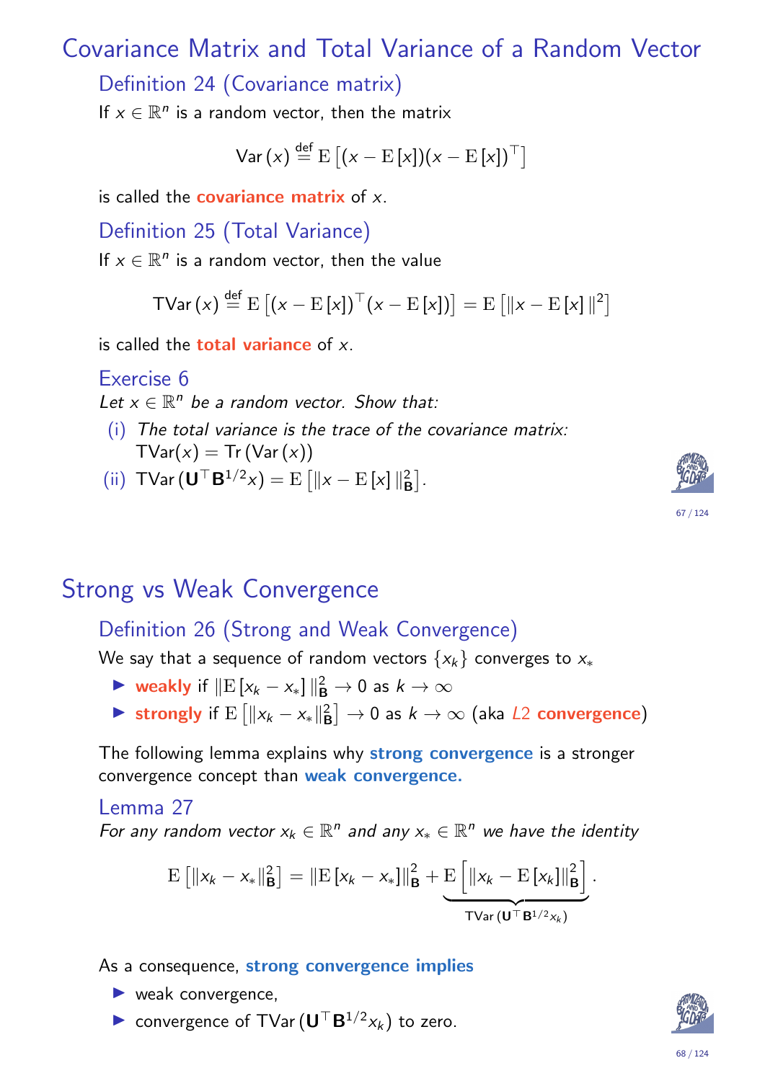## Covariance Matrix and Total Variance of a Random Vector

Definition 24 (Covariance matrix)

If  $x \in \mathbb{R}^n$  is a random vector, then the matrix

$$
\text{Var}\left(x\right) \stackrel{\text{def}}{=} \mathrm{E}\left[\left(x - \mathrm{E}\left[x\right]\right)\left(x - \mathrm{E}\left[x\right]\right)^\top\right]
$$

is called the **covariance matrix** of  $x$ .

Definition 25 (Total Variance)

If  $x \in \mathbb{R}^n$  is a random vector, then the value

$$
\mathsf{TVar}\left(x\right) \stackrel{\text{def}}{=} \mathrm{E}\left[\left(x - \mathrm{E}\left[x\right]\right)^\top \left(x - \mathrm{E}\left[x\right]\right)\right] = \mathrm{E}\left[\left\|x - \mathrm{E}\left[x\right]\right\|^2\right]
$$

is called the **total variance** of  $x$ .

Exercise 6

Let  $x \in \mathbb{R}^n$  be a random vector. Show that:

- (i) The total variance is the trace of the covariance matrix:  $TVar(x) = Tr (Var(x))$
- (ii)  $\mathsf{TVar} \left( \mathbf{U}^{\top} \mathbf{B}^{1/2} x \right) = \mathrm{E} \left[ ||x \mathrm{E} [x] ||_F^2 \right]$  $\begin{bmatrix} 2 \ B \end{bmatrix}$  .

### Strong vs Weak Convergence

#### Definition 26 (Strong and Weak Convergence)

We say that a sequence of random vectors  $\{x_k\}$  converges to  $x_{*}$ 

- lacktriangleright weakly if  $\|\mathbf{E}\left[x_k x_*\right]\|_{\mathbf{B}}^2 \to 0$  as  $k \to \infty$
- Strongly if  $E \left[ \|x_k x_*\|_E^2 \right]$  $\left[\begin{smallmatrix} 2 \ B \end{smallmatrix} \right] \to 0$  as  $k \to \infty$  (aka  $L2$  convergence)

<span id="page-33-0"></span>The following lemma explains why strong convergence is a stronger convergence concept than weak convergence.

#### Lemma 27

For any random vector  $x_k \in \mathbb{R}^n$  and any  $x_* \in \mathbb{R}^n$  we have the identity

$$
\mathrm{E}\left[\|x_{k}-x_{*}\|_{\mathbf{B}}^{2}\right]=\|\mathrm{E}\left[x_{k}-x_{*}\right]\|_{\mathbf{B}}^{2}+\underbrace{\mathrm{E}\left[\|x_{k}-\mathrm{E}\left[x_{k}\right]\|_{\mathbf{B}}^{2}\right]}_{\text{TVar}(\mathbf{U}^{\top}\mathbf{B}^{1/2}x_{k})}.
$$

As a consequence, strong convergence implies

- $\blacktriangleright$  weak convergence,
- convergence of TVar  $(\mathbf{U}^\top \mathbf{B}^{1/2} x_k)$  to zero.

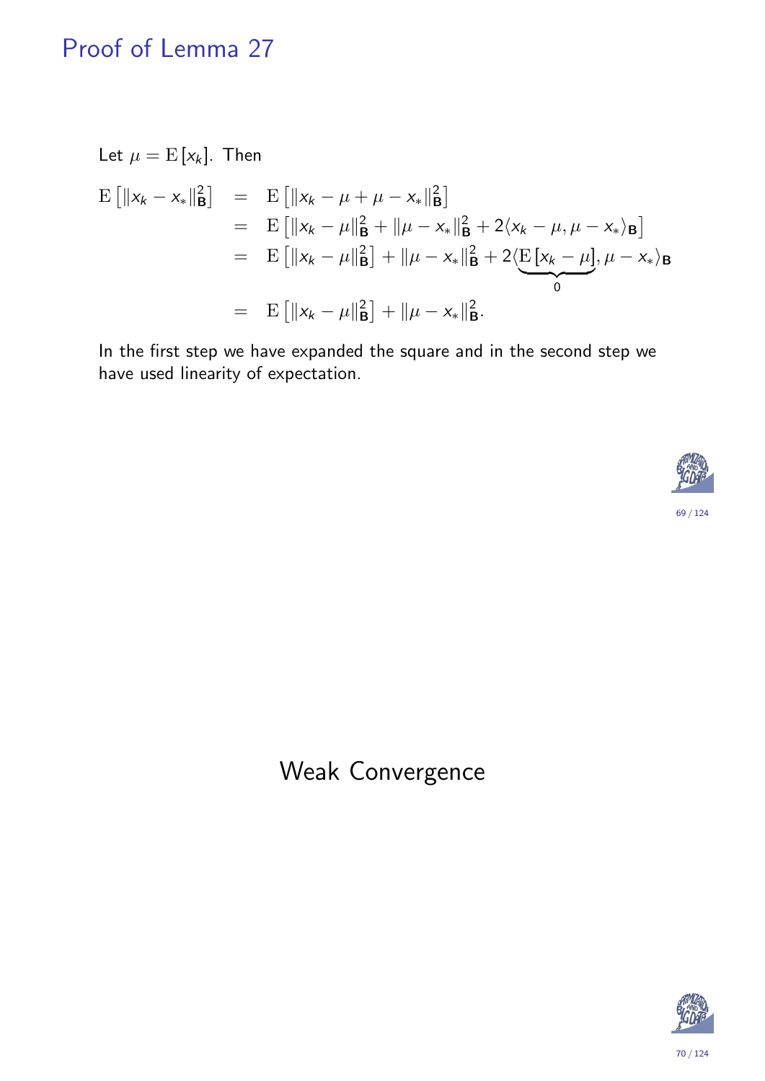## Proof of Lemma 27

Let 
$$
\mu = E[x_k]
$$
. Then  
\n
$$
E[||x_k - x_*||_B^2] = E[||x_k - \mu + \mu - x_*||_B^2]
$$
\n
$$
= E[||x_k - \mu||_B^2 + ||\mu - x_*||_B^2 + 2\langle x_k - \mu, \mu - x_*\rangle_B]
$$
\n
$$
= E[||x_k - \mu||_B^2] + ||\mu - x_*||_B^2 + 2\langle E[x_k - \mu], \mu - x_*\rangle_B
$$
\n
$$
= E[||x_k - \mu||_B^2] + ||\mu - x_*||_B^2.
$$

In the first step we have expanded the square and in the second step we have used linearity of expectation.



## Weak Convergence

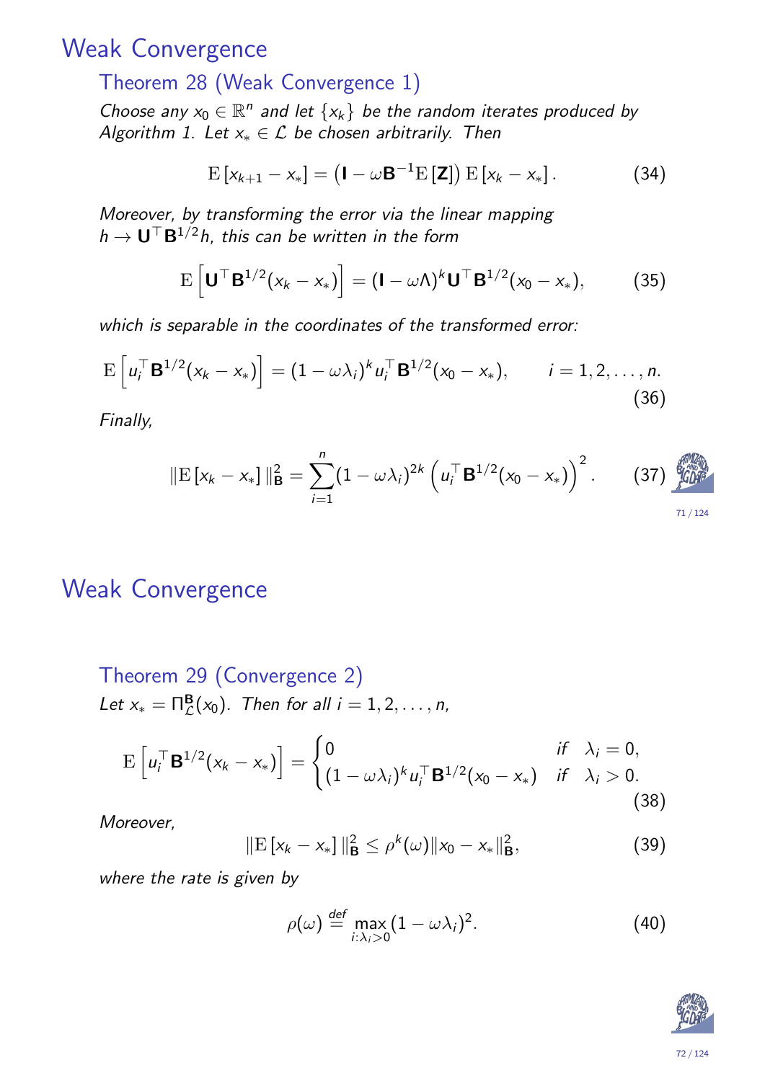### Weak Convergence

#### Theorem 28 (Weak Convergence 1)

Choose any  $x_0 \in \mathbb{R}^n$  and let  $\{x_k\}$  be the random iterates produced by Algorithm 1. Let  $x_* \in \mathcal{L}$  be chosen arbitrarily. Then

$$
E\left[x_{k+1}-x_{*}\right]=\left(\mathbf{I}-\omega\mathbf{B}^{-1}E\left[\mathbf{Z}\right]\right)E\left[x_{k}-x_{*}\right].
$$
\n(34)

Moreover, by transforming the error via the linear mapping  $h\to \mathsf{U}^\top \mathsf{B}^{1/2} h$ , this can be written in the form

$$
\mathrm{E}\left[\mathbf{U}^{\top}\mathbf{B}^{1/2}(x_k-x_*)\right]=(\mathbf{I}-\omega\Lambda)^k\mathbf{U}^{\top}\mathbf{B}^{1/2}(x_0-x_*),\qquad(35)
$$

which is separable in the coordinates of the transformed error:

$$
E\left[u_i^{\top} \mathbf{B}^{1/2} (x_k - x_*)\right] = (1 - \omega \lambda_i)^k u_i^{\top} \mathbf{B}^{1/2} (x_0 - x_*) , \qquad i = 1, 2, ..., n.
$$
\n(36)

Finally,

$$
\|\mathbf{E}\left[x_k - x_*\right]\|_{\mathbf{B}}^2 = \sum_{i=1}^n (1 - \omega \lambda_i)^{2k} \left(u_i^{\top} \mathbf{B}^{1/2} (x_0 - x_*)\right)^2. \tag{37}
$$

#### Weak Convergence

Theorem 29 (Convergence 2)  
Let 
$$
x_* = \Pi_{\mathcal{L}}^{\mathbf{B}}(x_0)
$$
. Then for all  $i = 1, 2, ..., n$ ,

$$
\mathrm{E}\left[u_i^\top \mathbf{B}^{1/2}(x_k - x_*)\right] = \begin{cases} 0 & \text{if } \lambda_i = 0, \\ (1 - \omega \lambda_i)^k u_i^\top \mathbf{B}^{1/2}(x_0 - x_*) & \text{if } \lambda_i > 0. \end{cases}
$$
(38)

<span id="page-35-1"></span><span id="page-35-0"></span>[M](#page-9-0)oreover,

$$
\|\mathbf{E}\left[x_k - x_*\right]\|_{\mathbf{B}}^2 \leq \rho^k(\omega)\|x_0 - x_*\|_{\mathbf{B}}^2,\tag{39}
$$

<span id="page-35-5"></span><span id="page-35-4"></span><span id="page-35-3"></span><span id="page-35-2"></span>where the rate is given by

$$
\rho(\omega) \stackrel{\text{def}}{=} \max_{i:\lambda_i>0} (1-\omega\lambda_i)^2. \tag{40}
$$

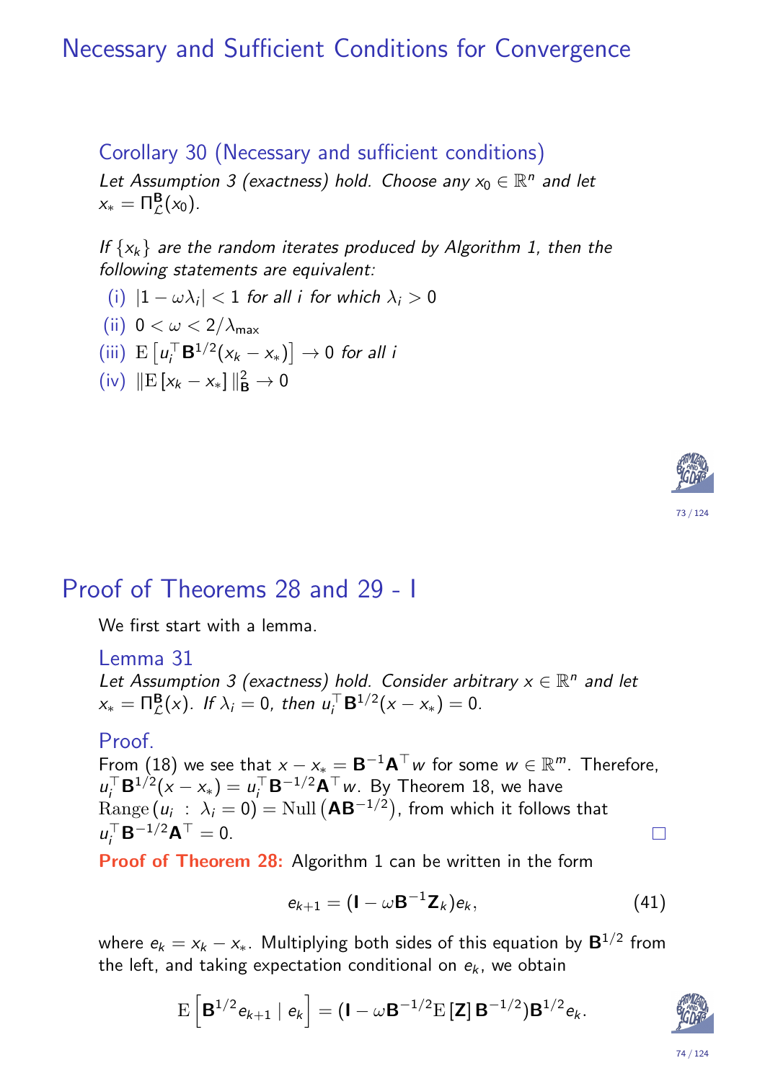### Necessary and Sufficient Conditions for Convergence

Corollary 30 (Necessary and sufficient conditions) Let Assumption 3 (exactness) hold. Choose any  $x_0 \in \mathbb{R}^n$  and let  $x_* = \Pi^{\mathbf{B}}_{\mathcal{L}}(x_0).$ 

If  $\{x_k\}$  are the random iterates produced by Algorithm 1, then the following statements are equivalent:

- (i)  $|1 \omega \lambda_i| < 1$  for all i for which  $\lambda_i > 0$
- (ii)  $0 < \omega < 2/\lambda_{\text{max}}$

(iii) 
$$
E[u_i^{\top} \mathbf{B}^{1/2}(x_k - x_*)] \rightarrow 0
$$
 for all i

 $(iv)$  ||E[ $x_k - x_*$ ]|| $B^2$  → 0



We first start with a lemma.

Lemma 31

Let Assumption 3 (exactness) hold. Consider arbitrary  $x \in \mathbb{R}^n$  and let  $x_* = \Pi^{\mathbf{B}}_{\mathcal{L}}(x)$ . If  $\lambda_i = 0$ , then  $u_i^{\top}$  $i_j^{\top} \mathbf{B}^{1/2} (x - x_*) = 0.$ 

Proof.

From  $(18)$  $(18)$  we [see](#page-35-1) that  $x - x_* = \mathbf{B}^{-1} \mathbf{A}^\top w$  for some  $w \in \mathbb{R}^m$ . Therefore,  $u_i^{\top}$  $u_i^{\top} \mathbf{B}^{1/2} (x - x_*) = u_i^{\top}$  $U_i^\top \mathsf{B}^{-1/2} \mathsf{A}^\top w$ . By Theorem 18, we have  $\mathrm{Range}\left(u_i~:~\lambda_i=0\right)=\mathrm{Null}\left(\mathbf{A}\mathbf{B}^{-1/2}\right)$  $\mathrm{Range}\left(u_i~:~\lambda_i=0\right)=\mathrm{Null}\left(\mathbf{A}\mathbf{B}^{-1/2}\right)$  $\mathrm{Range}\left(u_i~:~\lambda_i=0\right)=\mathrm{Null}\left(\mathbf{A}\mathbf{B}^{-1/2}\right)$ , from which it follows that  $u_i^{\top}$  $i_J^{\top} \mathsf{B}^{-1/2} \mathsf{A}^{\top} = 0.$  $i_J^{\top} \mathsf{B}^{-1/2} \mathsf{A}^{\top} = 0.$  $i_J^{\top} \mathsf{B}^{-1/2} \mathsf{A}^{\top} = 0.$  $\Box$ 

<span id="page-36-0"></span>Proof of Theorem 28: Algorithm 1 can be written in the form

$$
e_{k+1} = (\mathbf{I} - \omega \mathbf{B}^{-1} \mathbf{Z}_k) e_k, \tag{41}
$$

wh[e](#page-35-0)re  $e_k = x_k - x_*$  $e_k = x_k - x_*$  $e_k = x_k - x_*$ . Multiplying both sides of this equation by  $\mathbf{B}^{1/2}$  from the left, and taking expectation conditional on  $e_k$ , we obtain

$$
E\left[\mathbf{B}^{1/2}e_{k+1} | e_k\right] = (\mathbf{I} - \omega \mathbf{B}^{-1/2}E[\mathbf{Z}] \mathbf{B}^{-1/2})\mathbf{B}^{1/2}e_k.
$$



73 / 124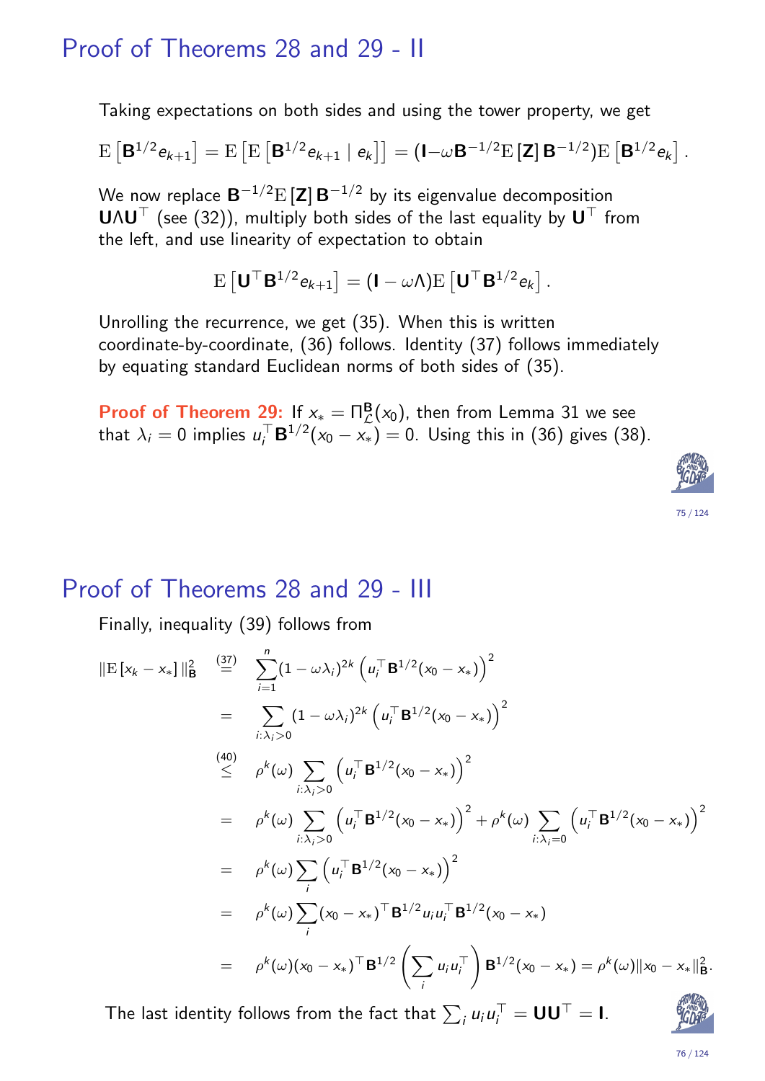#### Proof of Theorems 28 and 29 - II

Taking expectations on both sides and using the tower property, we get

$$
E [B^{1/2} e_{k+1}] = E [E [B^{1/2} e_{k+1} | e_k]] = (I - \omega B^{-1/2} E [Z] B^{-1/2}) E [B^{1/2} e_k].
$$

We now replace  $\mathbf{B}^{-1/2}\mathrm{E}\left[\mathbf{Z}\right]\mathbf{B}^{-1/2}$  by its eigenvalue decomposition  **(see (32)), multiply both sides of the last equality by**  $**U**<sup>T</sup>$  **from** the left, and use linearity of expectation to obtain

$$
\mathrm{E}\left[\mathbf{U}^\top \mathbf{B}^{1/2} e_{k+1}\right] = (\mathbf{I} - \omega \Lambda) \mathrm{E}\left[\mathbf{U}^\top \mathbf{B}^{1/2} e_k\right].
$$

Unrolling the recurrence, we get (35). When this is written coordinate-by-coordinate, (36) follows. Identity (37) follows immediately by equating standard Euclidean norms of both sides of (35).

**Proof of Theorem 29:** If  $x_* = \Pi^{\mathbf{B}}_{\mathcal{L}}(x_0)$ , then from Lemma 31 we see that  $\lambda_i = 0$  implies  $u_i^{\top}$  $\mathcal{C}_i^\top \mathbf{B}^{1/2} (\mathsf{x}_0-\mathsf{x}_*)=0.$  Using this in (36) gives (38).



#### Proof of Theorems 28 and 29 - III

Finally, inequality (39) follows from

$$
\|\mathbf{E}\left[\mathbf{x}_{k}-\mathbf{x}_{*}\right]\|_{\mathbf{B}}^{2} \stackrel{(37)}{=} \sum_{i=1}^{n} (1-\omega\lambda_{i})^{2k} \left(u_{i}^{\top} \mathbf{B}^{1/2}(\mathbf{x}_{0}-\mathbf{x}_{*})\right)^{2}
$$
\n
$$
= \sum_{i:\lambda_{i}>0} (1-\omega\lambda_{i})^{2k} \left(u_{i}^{\top} \mathbf{B}^{1/2}(\mathbf{x}_{0}-\mathbf{x}_{*})\right)^{2}
$$
\n
$$
\stackrel{(40)}{\leq} \rho^{k}(\omega) \sum_{i:\lambda_{i}>0} \left(u_{i}^{\top} \mathbf{B}^{1/2}(\mathbf{x}_{0}-\mathbf{x}_{*})\right)^{2}
$$
\n
$$
= \rho^{k}(\omega) \sum_{i:\lambda_{i}>0} \left(u_{i}^{\top} \mathbf{B}^{1/2}(\mathbf{x}_{0}-\mathbf{x}_{*})\right)^{2} + \rho^{k}(\omega) \sum_{i:\lambda_{i}=0} \left(u_{i}^{\top} \mathbf{B}^{1/2}(\mathbf{x}_{0}-\mathbf{x}_{*})\right)^{2}
$$
\n
$$
= \rho^{k}(\omega) \sum_{i} \left(u_{i}^{\top} \mathbf{B}^{1/2}(\mathbf{x}_{0}-\mathbf{x}_{*})\right)^{2}
$$
\n
$$
= \rho^{k}(\omega) \sum_{i} (\mathbf{x}_{0}-\mathbf{x}_{*})^{\top} \mathbf{B}^{1/2} u_{i} u_{i}^{\top} \mathbf{B}^{1/2}(\mathbf{x}_{0}-\mathbf{x}_{*})
$$
\n
$$
= \rho^{k}(\omega) (\mathbf{x}_{0}-\mathbf{x}_{*})^{\top} \mathbf{B}^{1/2} \left(\sum_{i} u_{i} u_{i}^{\top}\right) \mathbf{B}^{1/2}(\mathbf{x}_{0}-\mathbf{x}_{*}) = \rho^{k}(\omega) \|\mathbf{x}_{0}-\mathbf{x}_{*}\|_{\mathbf{B}}^{2}
$$

The [last](#page-35-1) identity follows from [th](#page-35-4)[e f](#page-36-0)ac[t th](#page-35-5)at  $\sum_i u_i u_i^\top$  $J_i^{\top} = \mathsf{UU}^{\top} = \mathsf{I}.$ 

$$
\mathcal{E}_{GDF}^{\text{RMSD}}
$$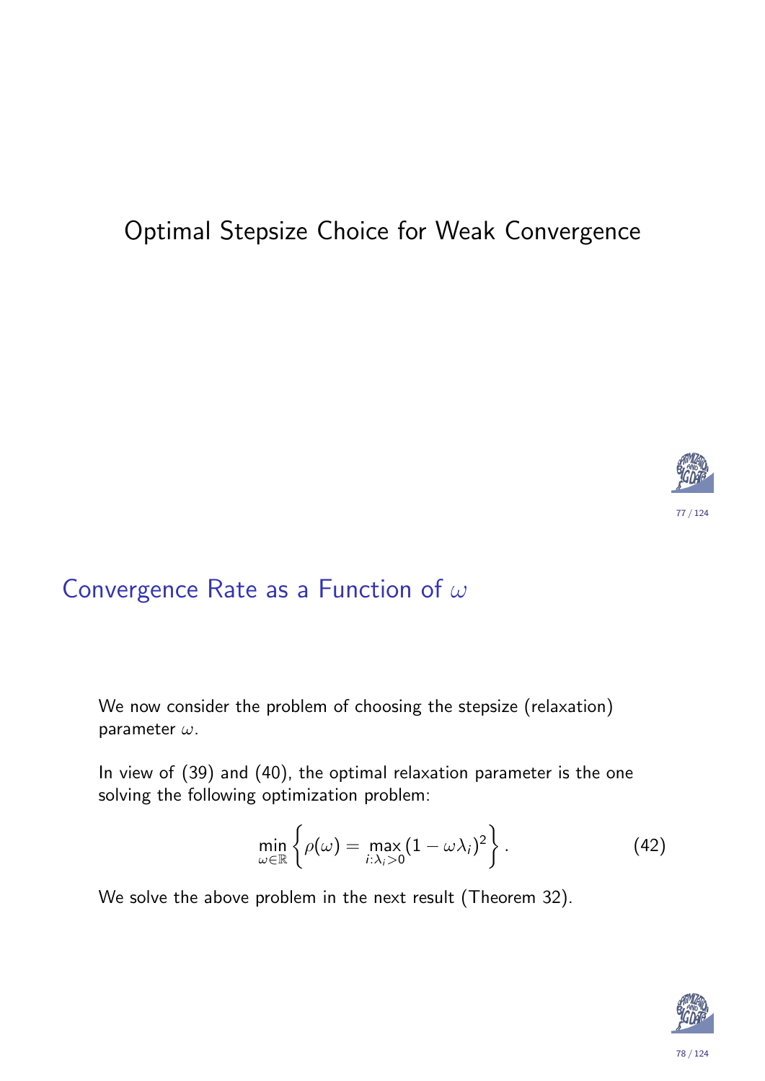## Optimal Stepsize Choice for Weak Convergence



### Convergence Rate as a Function of  $\omega$

We now consider the problem of choosing the stepsize (relaxation) parameter  $\omega$ .

In view of (39) and (40), the optimal relaxation parameter is the one solving the following optimization problem:

$$
\min_{\omega \in \mathbb{R}} \left\{ \rho(\omega) = \max_{i:\lambda_i>0} (1-\omega\lambda_i)^2 \right\}.
$$
 (42)

<span id="page-38-0"></span>We solve the above problem in the next result (Theorem 32).

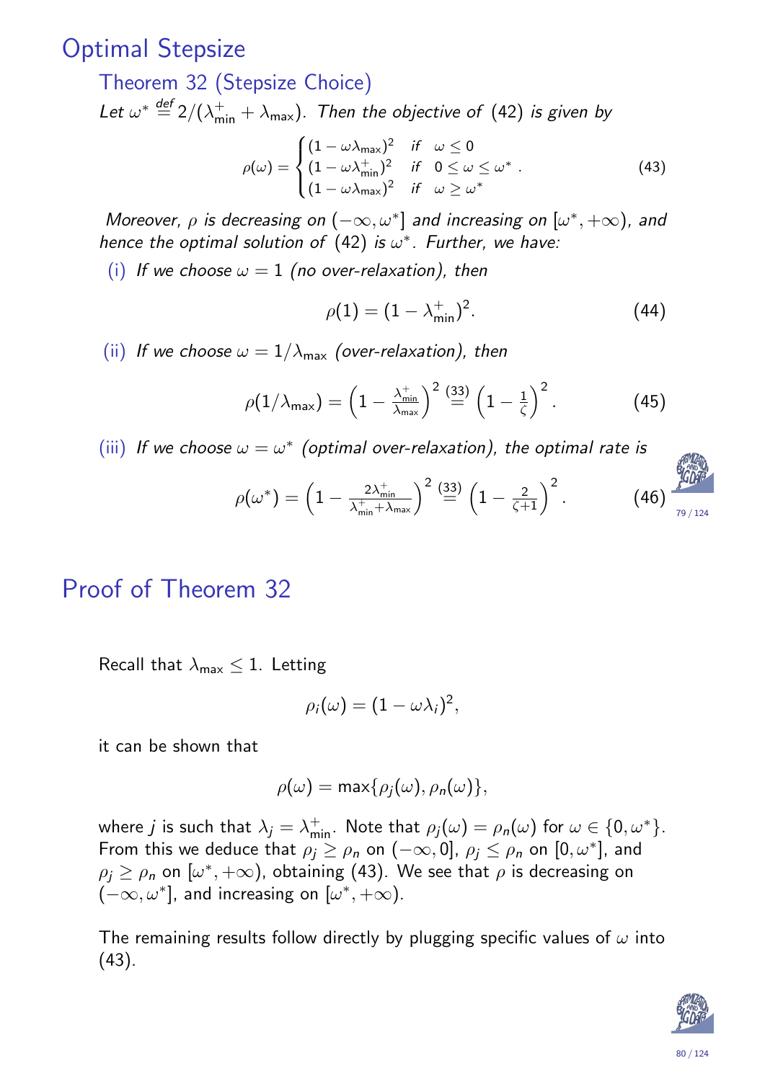### Optimal Stepsize

Theorem 32 (Stepsize Choice) Let  $\omega^* \stackrel{\text{def}}{=} 2/(\lambda_{\text{min}}^+ + \lambda_{\text{max}})$ . Then the objective of (42) is given by

$$
\rho(\omega) = \begin{cases}\n(1 - \omega \lambda_{\max})^2 & \text{if } \omega \le 0 \\
(1 - \omega \lambda_{\min}^+)^2 & \text{if } 0 \le \omega \le \omega^* \\
(1 - \omega \lambda_{\max})^2 & \text{if } \omega \ge \omega^*\n\end{cases}
$$
\n(43)

Moreover,  $\rho$  is decreasing on  $(-\infty, \omega^*]$  and increasing on  $[\omega^*, +\infty)$ , and hence the optimal solution of  $(42)$  is  $\omega^*$ . Further, we have:

(i) If we choose  $\omega = 1$  (no over-relaxation), then

$$
\rho(1) = (1 - \lambda_{\min}^+)^2.
$$
 (44)

(ii) If we choose  $\omega = 1/\lambda_{\text{max}}$  (over-relaxation), then

$$
\rho(1/\lambda_{\max}) = \left(1 - \frac{\lambda_{\min}^+}{\lambda_{\max}}\right)^2 \stackrel{(33)}{=} \left(1 - \frac{1}{\zeta}\right)^2. \tag{45}
$$

(iii) If we choose  $\omega = \omega^*$  (optimal over-relaxation), the optimal rate is



### Proof of Theorem 32

Recall that  $\lambda_{\text{max}} \leq 1$ . Letting

$$
\rho_i(\omega)=(1-\omega\lambda_i)^2,
$$

it can [be](#page-39-0) shown that

$$
\rho(\omega) = \max\{\rho_j(\omega), \rho_n(\omega)\},\
$$

<span id="page-39-1"></span><span id="page-39-0"></span>where  $j$  is such that  $\lambda_j=\lambda^+_{\sf min}.$  Note that  $\rho_j(\omega)=\rho_{\sf n}(\omega)$  for  $\omega\in\{0,\omega^*\}.$ From this we deduce that  $\rho_j \ge \rho_n$  on  $(-\infty, 0]$ ,  $\rho_j \le \rho_n$  on  $[0, \omega^*]$ , and  $\rho_j \geq \rho_n$  on  $[\omega^*, +\infty)$ , obtaining (43). We see that  $\rho$  is decreasing on  $(-\infty, \omega^*]$ , an[d i](#page-38-0)ncreasing on  $[\omega^*, +\infty)$ .

The [re](#page-39-1)maining results follow directly by plugging specific values of  $\omega$  into (43).

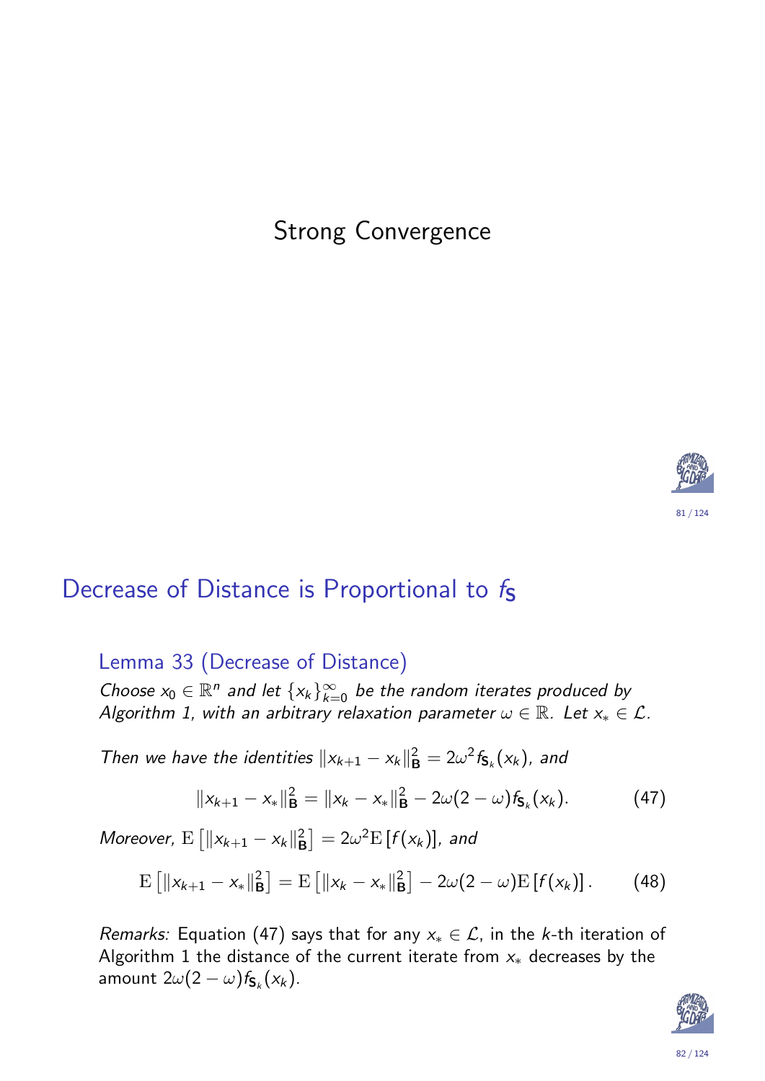### Strong Convergence



### Decrease of Distance is Proportional to  $f<sub>S</sub>$

Lemma 33 (Decrease of Distance)

Choose  $x_0 \in \mathbb{R}^n$  and let  $\{x_k\}_{k=0}^\infty$  be the random iterates produced by Algorithm 1, with an arbitrary relaxation parameter  $\omega \in \mathbb{R}$ . Let  $x_* \in \mathcal{L}$ .

<span id="page-40-0"></span>Then we have the identities  $||x_{k+1} - x_k||_F^2$  $\mathsf{B}^2 = 2 \omega^2 f_{\mathsf{S}_k}(\mathsf{x}_k)$ , and

$$
||x_{k+1}-x_*||_{\mathbf{B}}^2=||x_k-x_*||_{\mathbf{B}}^2-2\omega(2-\omega)f_{\mathbf{S}_k}(x_k). \hspace{1cm} (47)
$$

[M](#page-9-0)oreover,  $E\left[\|x_{k+1} - x_k\|_{\mathbf{B}}^2\right]$  $\left[ \begin{smallmatrix} 2 \ \mathsf{B} \end{smallmatrix} \right] = 2 \omega^2 {\rm E}\left[ f(\mathsf{x}_k) \right]$ , and

$$
\mathrm{E}\left[\|x_{k+1}-x_*\|_{\mathbf{B}}^2\right]=\mathrm{E}\left[\|x_k-x_*\|_{\mathbf{B}}^2\right]-2\omega(2-\omega)\mathrm{E}\left[f(x_k)\right].\qquad(48)
$$

<span id="page-40-1"></span>Remarks: Equation (47) says that for any  $x_* \in \mathcal{L}$ , in the k-th iteration of Algorithm 1 the distance of the current iterate from  $x_*$  decreases by the amou[nt](#page-40-1)  $2\omega(2-\omega)f_{\mathsf{S}_k}(\mathsf{x}_k)$ .

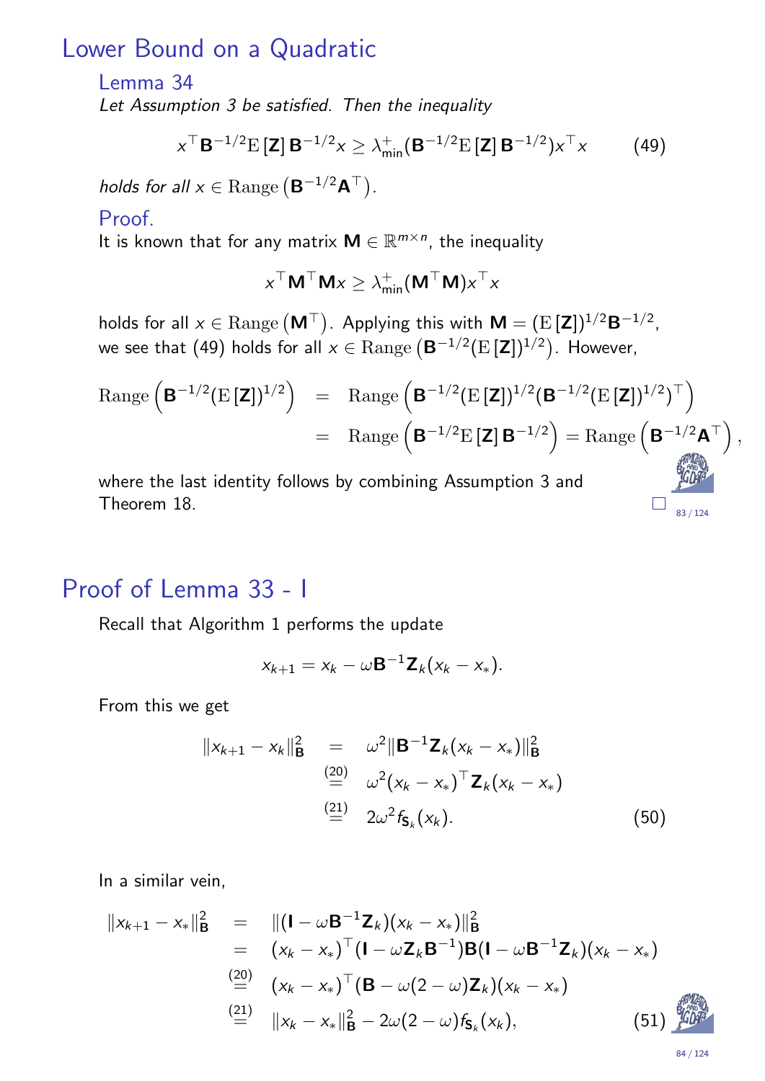#### Lower Bound on a Quadratic

#### Lemma 34

Let Assumption 3 be satisfied. Then the inequality

$$
x^{\top} \mathbf{B}^{-1/2} \mathbf{E} \left[ \mathbf{Z} \right] \mathbf{B}^{-1/2} x \ge \lambda_{\min}^{+} \left( \mathbf{B}^{-1/2} \mathbf{E} \left[ \mathbf{Z} \right] \mathbf{B}^{-1/2} \right) x^{\top} x \tag{49}
$$

holds for all  $x \in \text{Range}\left(\mathbf{B}^{-1/2}\mathbf{A}^{\top}\right)$ .

#### Proof.

It is known that for any matrix  $\mathbf{M} \in \mathbb{R}^{m \times n}$ , the inequality

$$
\mathbf{x}^\top \mathbf{M}^\top \mathbf{M} \mathbf{x} \geq \lambda_{\mathsf{min}}^+ (\mathbf{M}^\top \mathbf{M}) \mathbf{x}^\top \mathbf{x}
$$

holds for all  $x\in \text{Range}\left(\textsf{\textbf{M}}^{\top}\right)$ . Applying this with  $\textsf{\textbf{M}}=(\text{E}\left[\textsf{\textbf{Z}}\right])^{1/2}\textsf{\textbf{B}}^{-1/2}$ , we see that (49) holds for all  $x\in \mathrm{Range}\left(\mathbf{B}^{-1/2}(\mathrm{E}\left[\mathbf{Z}\right])^{1/2}\right)$ . However,

$$
\begin{array}{rcl}\n\text{Range}\left(\mathbf{B}^{-1/2}(\mathrm{E}\left[\mathbf{Z}\right])^{1/2}\right) & = & \text{Range}\left(\mathbf{B}^{-1/2}(\mathrm{E}\left[\mathbf{Z}\right])^{1/2}(\mathbf{B}^{-1/2}(\mathrm{E}\left[\mathbf{Z}\right])^{1/2})^\top\right) \\
& = & \text{Range}\left(\mathbf{B}^{-1/2}\mathrm{E}\left[\mathbf{Z}\right]\mathbf{B}^{-1/2}\right) = \text{Range}\left(\mathbf{B}^{-1/2}\mathbf{A}^\top\right),\n\end{array}
$$

where the last identity follows by combining Assumption 3 and Theorem 18.

### Proof of Lemma 33 - I

Recall that Algorithm 1 performs the update

$$
x_{k+1}=x_k-\omega \mathbf{B}^{-1}\mathbf{Z}_k(x_k-x_*)
$$

From this we get

$$
||x_{k+1} - x_k||_{\mathbf{B}}^2 = \omega^2 ||\mathbf{B}^{-1} \mathbf{Z}_k (x_k - x_*)||_{\mathbf{B}}^2
$$
  
\n
$$
\stackrel{(20)}{=} \omega^2 (x_k - x_*)^\top \mathbf{Z}_k (x_k - x_*)
$$
  
\n
$$
\stackrel{(21)}{=} 2\omega^2 f_{\mathbf{S}_k}(x_k).
$$
\n(50)

In a similar [vei](#page-19-2)n,

<span id="page-41-0"></span>
$$
||x_{k+1} - x_{*}||_{\mathbf{B}}^{2} = ||(\mathbf{I} - \omega \mathbf{B}^{-1} \mathbf{Z}_{k})(x_{k} - x_{*})||_{\mathbf{B}}^{2}
$$
  
\n
$$
= (x_{k} - x_{*})^{\top} (\mathbf{I} - \omega \mathbf{Z}_{k} \mathbf{B}^{-1}) \mathbf{B} (\mathbf{I} - \omega \mathbf{B}^{-1} \mathbf{Z}_{k})(x_{k} - x_{*})
$$
  
\n
$$
\stackrel{(20)}{=} (x_{k} - x_{*})^{\top} (\mathbf{B} - \omega(2 - \omega) \mathbf{Z}_{k})(x_{k} - x_{*})
$$
  
\n
$$
\stackrel{(21)}{=} ||x_{k} - x_{*}||_{\mathbf{B}}^{2} - 2\omega(2 - \omega) f_{S_{k}}(x_{k}),
$$
\n(51)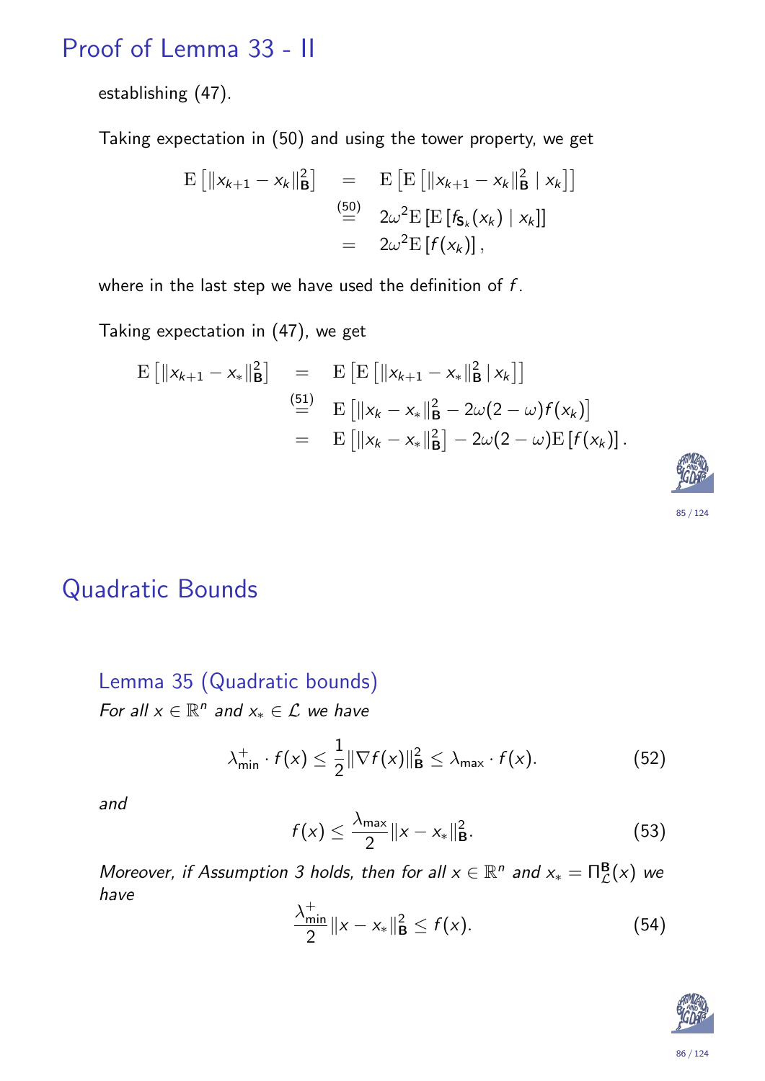## Proof of Lemma 33 - II

establishing (47).

Taking expectation in (50) and using the tower property, we get

$$
\begin{array}{rcl}\n\mathbf{E}\left[\|\mathbf{x}_{k+1}-\mathbf{x}_k\|_{\mathbf{B}}^2\right] &=& \mathbf{E}\left[\mathbf{E}\left[\|\mathbf{x}_{k+1}-\mathbf{x}_k\|_{\mathbf{B}}^2\mid\mathbf{x}_k\right]\right] \\
&=& 2\omega^2\mathbf{E}\left[\mathbf{E}\left[\mathbf{f}_{\mathbf{S}_k}(\mathbf{x}_k)\mid\mathbf{x}_k\right]\right] \\
&=& 2\omega^2\mathbf{E}\left[\mathbf{f}(\mathbf{x}_k)\right],\n\end{array}
$$

where in the last step we have used the definition of  $f$ .

Taking expectation in (47), we get

$$
\begin{array}{rcl}\n\mathbf{E}\left[\|x_{k+1}-x_{*}\|_{\mathbf{B}}^{2}\right] & = & \mathbf{E}\left[\mathbf{E}\left[\|x_{k+1}-x_{*}\|_{\mathbf{B}}^{2}\,|\,x_{k}\right]\right] \\
& \stackrel{\text{(51)}}{=} & \mathbf{E}\left[\|x_{k}-x_{*}\|_{\mathbf{B}}^{2}-2\omega(2-\omega)f(x_{k})\right] \\
& = & \mathbf{E}\left[\|x_{k}-x_{*}\|_{\mathbf{B}}^{2}\right]-2\omega(2-\omega)\mathbf{E}\left[f(x_{k})\right].\n\end{array}
$$



### Quadratic Bounds

Lemma 35 (Quadratic bounds) For all  $x \in \mathbb{R}^n$  and  $x_* \in \mathcal{L}$  we have

$$
\lambda_{\min}^+ \cdot f(x) \le \frac{1}{2} \|\nabla f(x)\|_{\mathbf{B}}^2 \le \lambda_{\max} \cdot f(x). \tag{52}
$$

and

$$
f(x) \leq \frac{\lambda_{\max}}{2} \|x - x_{*}\|_{\mathbf{B}}^{2}.
$$
 (53)

<span id="page-42-0"></span>Moreover, if [As](#page-41-0)sumption 3 holds, then for all  $x \in \mathbb{R}^n$  and  $x_* = \prod_{\mathcal{L}}^{\mathbf{B}}(x)$  we have

$$
\frac{\lambda_{\min}^+}{2} \|x - x_*\|_{\mathbf{B}}^2 \le f(x). \tag{54}
$$

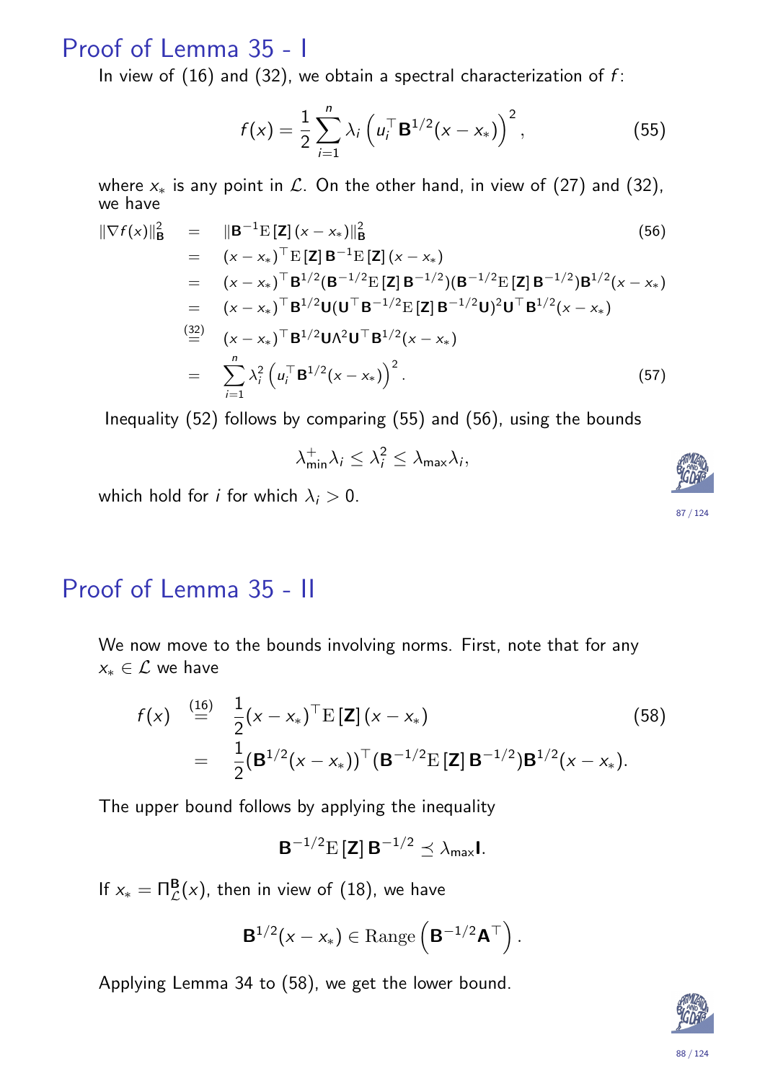### Proof of Lemma 35 - I

In view of  $(16)$  and  $(32)$ , we obtain a spectral characterization of f:

$$
f(x) = \frac{1}{2} \sum_{i=1}^{n} \lambda_i \left( u_i^{\top} \mathbf{B}^{1/2} (x - x_*) \right)^2, \tag{55}
$$

where  $x_*$  is any point in  $\mathcal{L}$ . On the other hand, in view of (27) and (32), we have

$$
\|\nabla f(x)\|_{\mathbf{B}}^{2} = \|\mathbf{B}^{-1} \mathbf{E} [\mathbf{Z}] (x - x_{*})\|_{\mathbf{B}}^{2}
$$
(56)  
\n
$$
= (x - x_{*})^{\top} \mathbf{E} [\mathbf{Z}] \mathbf{B}^{-1} \mathbf{E} [\mathbf{Z}] (x - x_{*})
$$
  
\n
$$
= (x - x_{*})^{\top} \mathbf{B}^{1/2} (\mathbf{B}^{-1/2} \mathbf{E} [\mathbf{Z}] \mathbf{B}^{-1/2}) (\mathbf{B}^{-1/2} \mathbf{E} [\mathbf{Z}] \mathbf{B}^{-1/2}) \mathbf{B}^{1/2} (x - x_{*})
$$
  
\n
$$
= (x - x_{*})^{\top} \mathbf{B}^{1/2} \mathbf{U} (\mathbf{U}^{\top} \mathbf{B}^{-1/2} \mathbf{E} [\mathbf{Z}] \mathbf{B}^{-1/2} \mathbf{U})^{2} \mathbf{U}^{\top} \mathbf{B}^{1/2} (x - x_{*})
$$
  
\n
$$
\stackrel{(32)}{=} (x - x_{*})^{\top} \mathbf{B}^{1/2} \mathbf{U} \Lambda^{2} \mathbf{U}^{\top} \mathbf{B}^{1/2} (x - x_{*})
$$
  
\n
$$
= \sum_{i=1}^{n} \lambda_{i}^{2} (u_{i}^{\top} \mathbf{B}^{1/2} (x - x_{*}))^{2}.
$$
 (57)

Inequality (52) follows by comparing (55) and (56), using the bounds

$$
\lambda_{\min}^+ \lambda_i \leq \lambda_i^2 \leq \lambda_{\max} \lambda_i,
$$

which hold for *i* for which  $\lambda_i > 0$ .

### Proof of Lemma 35 - II

We now move to the bounds involving norms. First, note that for any  $x_* \in \mathcal{L}$  we have

$$
f(x) \stackrel{\text{(16)}}{=} \frac{1}{2} (x - x_*)^\top E [\mathbf{Z}] (x - x_*)
$$
\n
$$
= \frac{1}{2} (\mathbf{B}^{1/2} (x - x_*)^\top (\mathbf{B}^{-1/2} E [\mathbf{Z}] \mathbf{B}^{-1/2}) \mathbf{B}^{1/2} (x - x_*)
$$
\n(58)

The upper bound follows by applying the inequality

$$
\mathbf{B}^{-1/2}\mathrm{E}\left[\mathbf{Z}\right]\mathbf{B}^{-1/2}\preceq\lambda_{\text{max}}\mathbf{I}.
$$

If  $x_* = \Pi^{\mathbf{B}}_{\mathcal{L}}(x)$ , then in view of  $(18)$ , we have

$$
\mathbf{B}^{1/2}(x-x_*)\in\operatorname{Range}\left(\mathbf{B}^{-1/2}\mathbf{A}^\top\right).
$$

Applying Lemma 34 to (58), we get the lower bound.

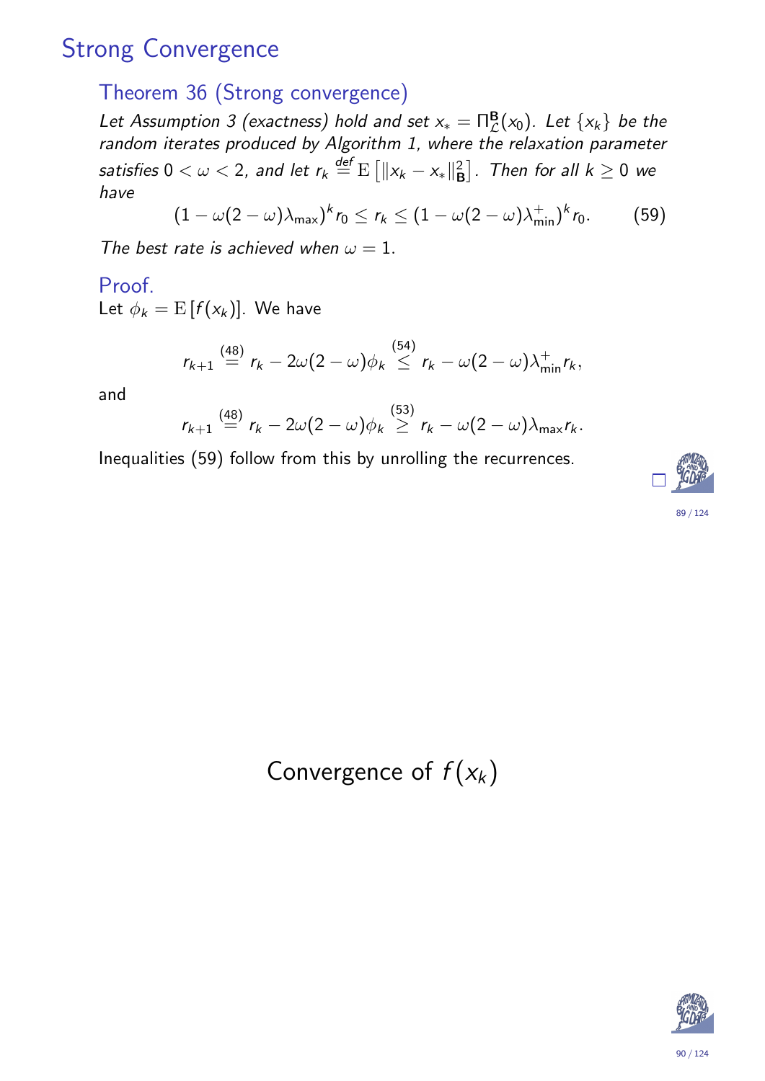## Strong Convergence

### Theorem 36 (Strong convergence)

Let Assumption 3 (exactness) hold and set  $x_* = \prod_{\mathcal{L}}^{\mathbf{B}}(x_0)$ . Let  $\{x_k\}$  be the random iterates produced by Algorithm 1, where the relaxation parameter satisfies  $0<\omega <$  2, and let  $r_k \overset{\mathit{def}}{=} \mathrm{E}\left[\lVert x_k - x_*\rVert_{\mathsf{E}}^2\right]$  $\binom{2}{\mathsf{B}}$ . Then for all  $k\geq 0$  we have

$$
(1 - \omega(2 - \omega)\lambda_{\max})^k r_0 \leq r_k \leq (1 - \omega(2 - \omega)\lambda_{\min}^+)^k r_0.
$$
 (59)

The best rate is achieved when  $\omega = 1$ .

#### Proof.

Let  $\phi_k = \mathrm{E}\left[f(\mathsf{x}_k)\right]$ . We have

$$
r_{k+1} \stackrel{(48)}{=} r_k - 2\omega(2-\omega)\phi_k \stackrel{(54)}{\leq} r_k - \omega(2-\omega)\lambda_{\min}^+ r_k,
$$

and

$$
r_{k+1} \stackrel{(48)}{=} r_k - 2\omega(2-\omega)\phi_k \stackrel{(53)}{\geq} r_k - \omega(2-\omega)\lambda_{\max}r_k.
$$

Inequalities (59) follow from this by unrolling the recurrences.



<span id="page-44-1"></span><span id="page-44-0"></span>Convergence of  $f(x_k)$ 

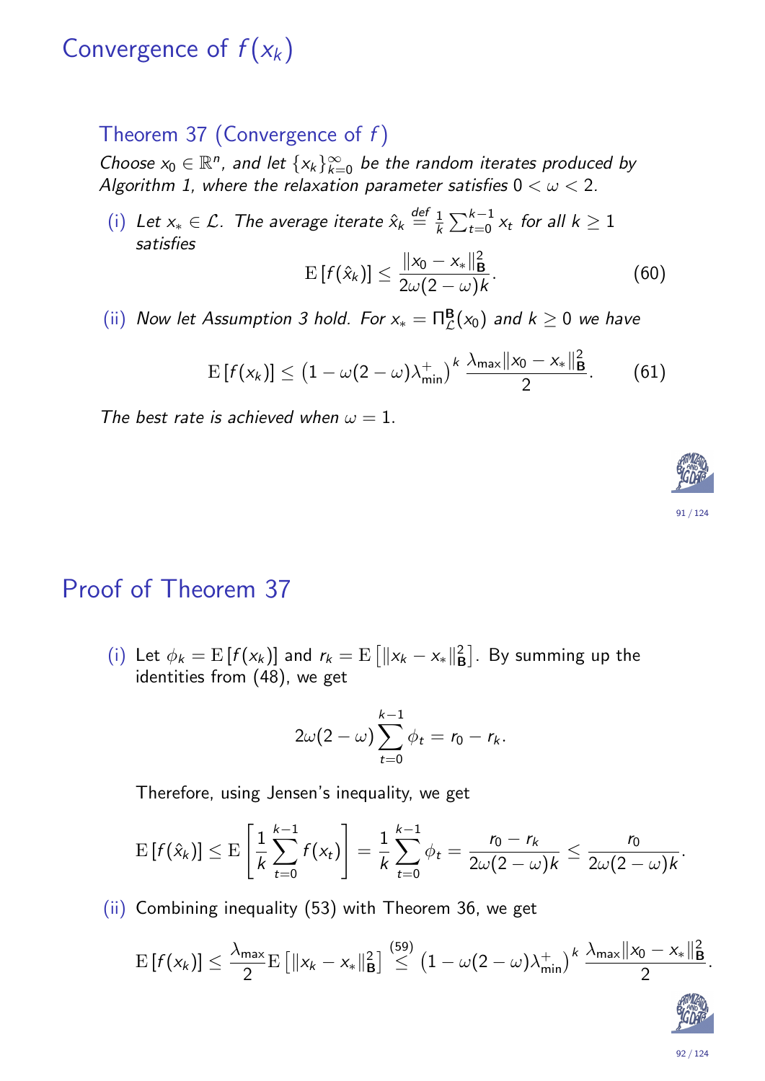## Convergence of  $f(x_k)$

#### Theorem 37 (Convergence of  $f$ )

Choose  $x_0 \in \mathbb{R}^n$ , and let  $\{x_k\}_{k=0}^{\infty}$  be the random iterates produced by Algorithm 1, where the relaxation parameter satisfies  $0 < \omega < 2$ .

(i) Let  $x_* \in \mathcal{L}$ . The average iterate  $\hat{x}_k \stackrel{\text{def}}{=} \frac{1}{k}$  $\frac{1}{k}\sum_{t=0}^{k-1} x_t$  for all  $k \geq 1$ satisfies 2

$$
\mathrm{E}\left[f(\hat{x}_k)\right] \leq \frac{\|x_0 - x_*\|_{\mathbf{B}}^2}{2\omega(2-\omega)k}.\tag{60}
$$

(ii) Now let Assumption 3 hold. For  $x_* = \prod_{\mathcal{L}}^{\mathbf{B}}(x_0)$  and  $k \geq 0$  we have

$$
\mathrm{E}\left[f(x_k)\right] \leq \left(1 - \omega(2-\omega)\lambda_{\min}^+\right)^k \frac{\lambda_{\max}||x_0 - x_*||^2_{\mathbf{B}}}{2}.\tag{61}
$$

The best rate is achieved when  $\omega = 1$ .

### Proof of Theorem 37

(i) Let  $\phi_k = \mathrm{E}\left[f(x_k)\right]$  and  $r_k = \mathrm{E}\left[\|x_k - x_*\|_{\mathsf{E}}^2\right]$  $\binom{2}{B}$ . By summing up the identities from (48), we get

$$
2\omega(2-\omega)\sum_{t=0}^{k-1}\phi_t=r_0-r_k.
$$

Therefore, using Jensen's inequality, we get

$$
\mathrm{E}\left[f(\hat{x}_k)\right] \leq \mathrm{E}\left[\frac{1}{k}\sum_{t=0}^{k-1}f(x_t)\right] = \frac{1}{k}\sum_{t=0}^{k-1}\phi_t = \frac{r_0 - r_k}{2\omega(2-\omega)k} \leq \frac{r_0}{2\omega(2-\omega)k}.
$$

(ii) Combining inequality (53) with Theorem 36, we get

$$
\mathrm{E}\left[f(x_k)\right] \leq \frac{\lambda_{\mathsf{max}}}{2} \mathrm{E}\left[\|x_k-x_*\|_{\mathbf{B}}^2\right] \stackrel{(59)}{\leq} \left(1-\omega(2-\omega)\lambda_{\mathsf{min}}^+\right)^k \frac{\lambda_{\mathsf{max}}\|x_0-x_*\|_{\mathbf{B}}^2}{2}.
$$

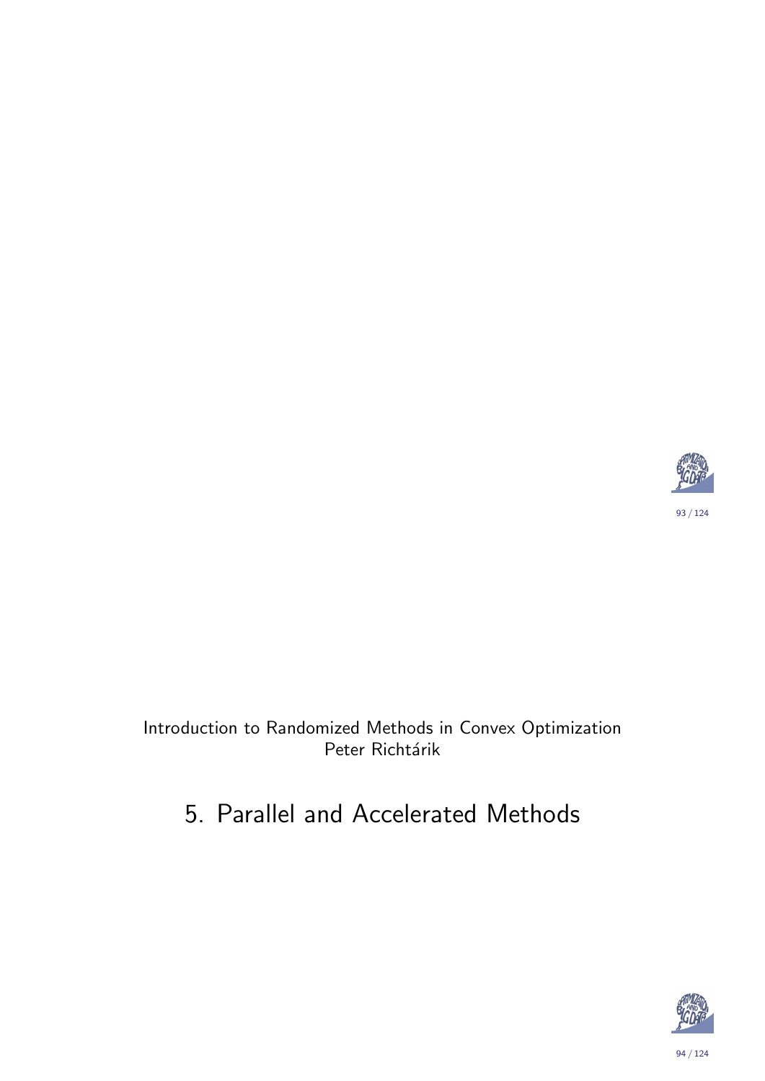

#### <span id="page-46-0"></span>Introduction to Randomized Methods in Convex Optimization Peter Richtárik

## 5. Parallel and Accelerated Methods



94 / 124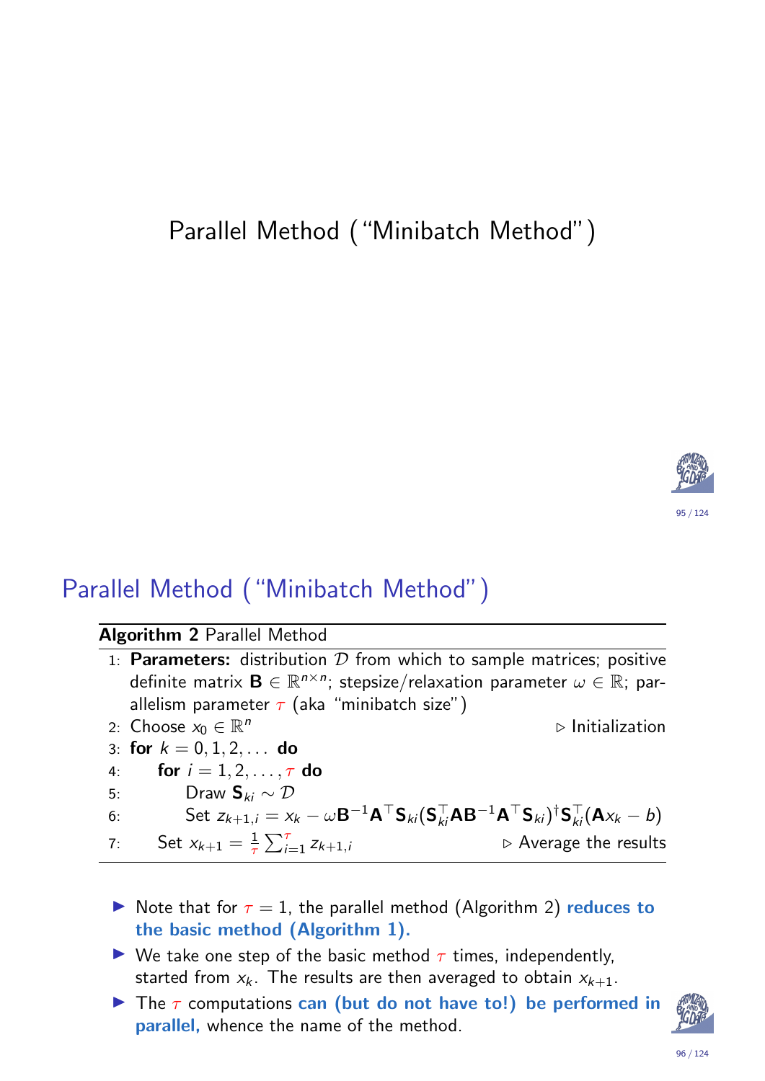## Parallel Method ("Minibatch Method")



## Parallel Method ("Minibatch Method")

#### Algorithm 2 Parallel Method

|    | 1: <b>Parameters:</b> distribution $D$ from which to sample matrices; positive                                                                                                                                       |                                      |
|----|----------------------------------------------------------------------------------------------------------------------------------------------------------------------------------------------------------------------|--------------------------------------|
|    | definite matrix $\mathbf{B} \in \mathbb{R}^{n \times n}$ ; stepsize/relaxation parameter $\omega \in \mathbb{R}$ ; par-                                                                                              |                                      |
|    | allelism parameter $\tau$ (aka "minibatch size")                                                                                                                                                                     |                                      |
|    | 2: Choose $x_0 \in \mathbb{R}^n$                                                                                                                                                                                     | $\triangleright$ Initialization      |
|    | 3: for $k = 0, 1, 2, \ldots$ do                                                                                                                                                                                      |                                      |
|    | 4: <b>for</b> $i = 1, 2, , \tau$ do                                                                                                                                                                                  |                                      |
|    | Draw $\mathbf{S}_{ki} \sim \mathcal{D}$<br>5:                                                                                                                                                                        |                                      |
| 6: | Set $z_{k+1,i} = x_k - \omega \mathbf{B}^{-1} \mathbf{A}^\top \mathbf{S}_{ki} (\mathbf{S}_{ki}^\top \mathbf{A} \mathbf{B}^{-1} \mathbf{A}^\top \mathbf{S}_{ki})^{\dagger} \mathbf{S}_{ki}^\top (\mathbf{A} x_k - b)$ |                                      |
| 7: | Set $x_{k+1} = \frac{1}{\tau} \sum_{i=1}^{\tau} z_{k+1,i}$                                                                                                                                                           | $\triangleright$ Average the results |

- In Note that for  $\tau = 1$ , the parallel method (Algorithm 2) reduces to the basic method (Algorithm 1).
- <span id="page-47-0"></span> $\triangleright$  We take one step of the basic method  $\tau$  times, independently, started from  $x_k$  $x_k$ . The resul[ts](#page-47-0) are then averaged to obtain  $x_{k+1}$ .
- The  $\tau$  computations can (but do not have to!) be performed in parallel, whence the name of the method.

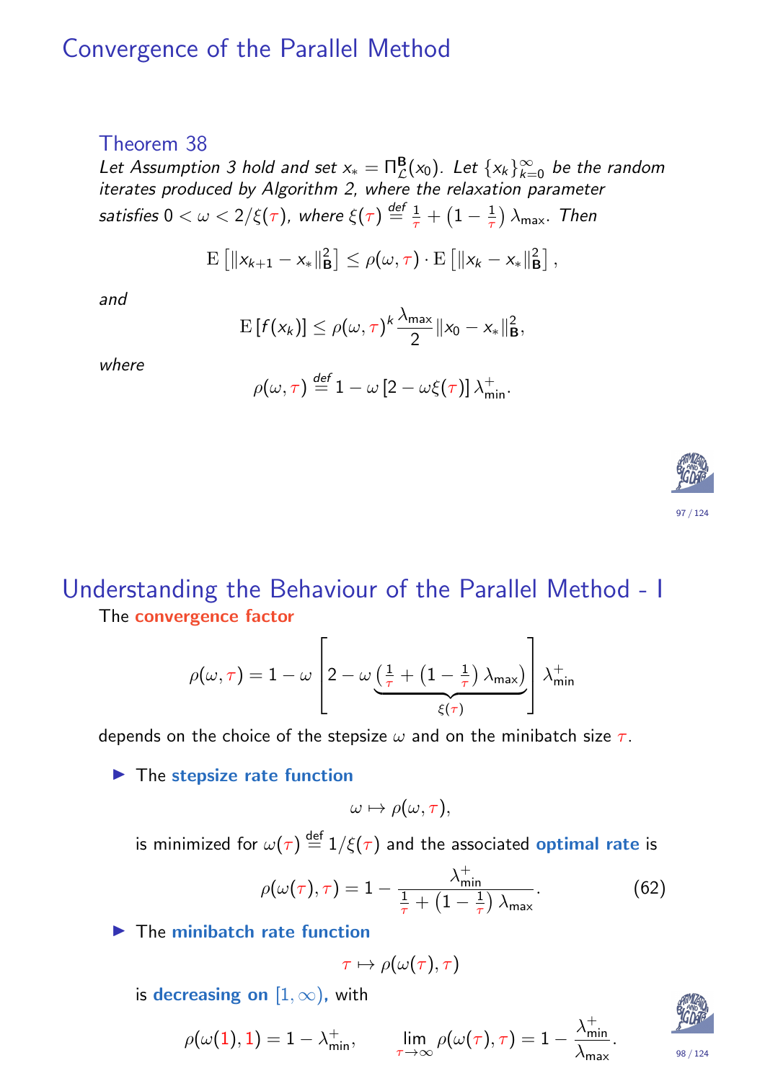### Convergence of the Parallel Method

#### Theorem 38

Let Assumption 3 hold and set  $x_* = \prod_{\mathcal{L}}^{\mathbf{B}}(x_0)$ . Let  $\{x_k\}_{k=0}^{\infty}$  be the random iterates produced by Algorithm 2, where the relaxation parameter satisfies  $0<\omega < 2/\xi(\tau)$ , where  $\xi(\tau) \stackrel{{\sf def}}{=} \frac{1}{\tau}$  $\frac{1}{\tau}+\big(1-\frac{1}{\tau}$  $\left(\frac{1}{\tau}\right)\lambda_{\mathsf{max}}$ . Then

$$
\mathrm{E}\left[\|x_{k+1}-x_*\|_{\mathbf{B}}^2\right] \leq \rho(\omega,\tau) \cdot \mathrm{E}\left[\|x_k-x_*\|_{\mathbf{B}}^2\right],
$$

and

$$
\mathrm{E}\left[f(x_k)\right] \leq \rho(\omega,\tau)^k \frac{\lambda_{\max}}{2} \|x_0 - x_*\|_{\mathbf{B}}^2,
$$

where

$$
\rho(\omega,\tau) \stackrel{\text{def}}{=} 1 - \omega \left[2 - \omega \xi(\tau)\right] \lambda_{\min}^+.
$$



#### Understanding the Behaviour of the Parallel Method - I The convergence factor

$$
\rho(\omega,\tau) = 1 - \omega \left[ 2 - \omega \underbrace{\left( \frac{1}{\tau} + \left( 1 - \frac{1}{\tau} \right) \lambda_{\mathsf{max}} \right)}_{\xi(\tau)} \right] \lambda_{\mathsf{min}}^+
$$

depends on the choice of the stepsize  $\omega$  and on the minibatch size  $\tau$ .

#### $\blacktriangleright$  The stepsize rate function

$$
\omega \mapsto \rho(\omega, \tau),
$$

is minimi[ze](#page-47-0)d for  $\omega(\tau) \stackrel{\mathsf{def}}{=} 1/\xi(\tau)$  and the associated  $\mathsf{optimal}\ \mathsf{rate}$  is

$$
\rho(\omega(\tau),\tau) = 1 - \frac{\lambda_{\min}^+}{\frac{1}{\tau} + \left(1 - \frac{1}{\tau}\right)\lambda_{\max}}.\tag{62}
$$

 $\blacktriangleright$  The minibatch rate function

$$
\tau\mapsto\rho(\omega(\tau),\tau)
$$

is decreasing on  $[1, \infty)$ , with

$$
\rho(\omega(\mathbf{1}),\mathbf{1})=1-\lambda_{\min}^+, \qquad \lim_{\tau\rightarrow\infty}\rho(\omega(\tau),\tau)=1-\frac{\lambda_{\min}^+}{\lambda_{\max}}
$$



98 / 124

.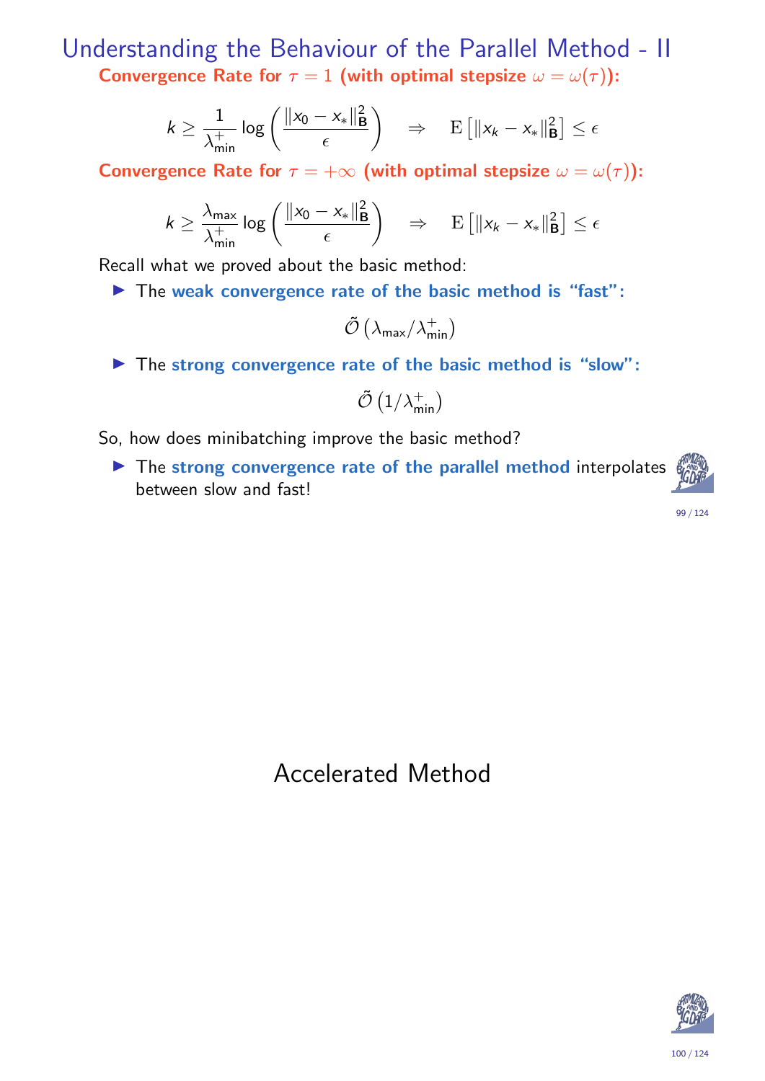Understanding the Behaviour of the Parallel Method - II Convergence Rate for  $\tau = 1$  (with optimal stepsize  $\omega = \omega(\tau)$ ):

$$
k \geq \frac{1}{\lambda_{\min}^+} \log \left( \frac{\|x_0 - x_*\|_{\mathbf{B}}^2}{\epsilon} \right) \quad \Rightarrow \quad \mathrm{E} \left[ \|x_k - x_*\|_{\mathbf{B}}^2 \right] \leq \epsilon
$$

Convergence Rate for  $\tau = +\infty$  (with optimal stepsize  $\omega = \omega(\tau)$ ):

$$
k \geq \frac{\lambda_{\max}}{\lambda_{\min}^+} \log \left( \frac{\|x_0 - x_*\|_{\mathbf{B}}^2}{\epsilon} \right) \quad \Rightarrow \quad \mathrm{E} \left[ \|x_k - x_*\|_{\mathbf{B}}^2 \right] \leq \epsilon
$$

Recall what we proved about the basic method:

 $\blacktriangleright$  The weak convergence rate of the basic method is "fast":

$$
\tilde{\mathcal{O}}\left(\lambda_{\mathsf{max}}/\lambda_{\mathsf{min}}^+\right)
$$

 $\blacktriangleright$  The strong convergence rate of the basic method is "slow":

$$
\tilde{\mathcal{O}}\left(1/\lambda_{\min}^+\right)
$$

So, how does minibatching improve the basic method?

 $\blacktriangleright$  The strong convergence rate of the parallel method interpolates between slow and fast!



99 / 124

#### Accelerated Method

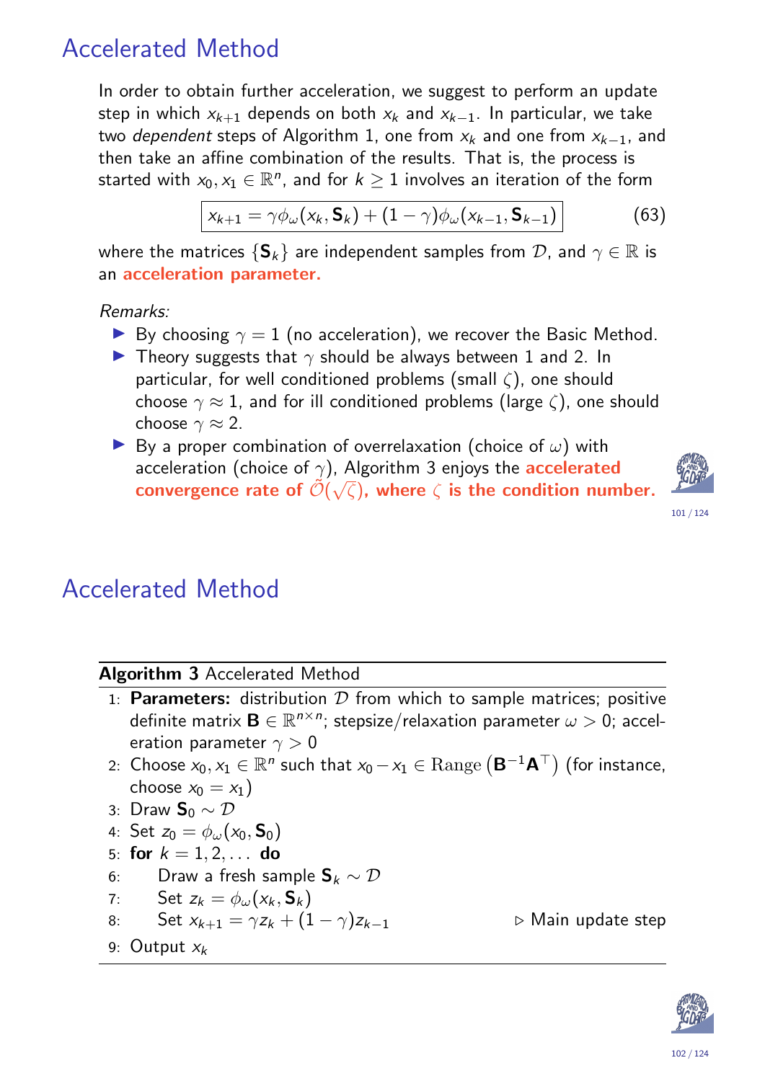## Accelerated Method

In order to obtain further acceleration, we suggest to perform an update step in which  $x_{k+1}$  depends on both  $x_k$  and  $x_{k-1}$ . In particular, we take two dependent steps of Algorithm 1, one from  $x_k$  and one from  $x_{k-1}$ , and then take an affine combination of the results. That is, the process is started with  $x_0, x_1 \in \mathbb{R}^n$ , and for  $k \geq 1$  involves an iteration of the form

$$
x_{k+1} = \gamma \phi_{\omega}(x_k, \mathbf{S}_k) + (1 - \gamma) \phi_{\omega}(x_{k-1}, \mathbf{S}_{k-1})
$$
(63)

where the matrices  $\{S_k\}$  are independent samples from  $\mathcal{D}$ , and  $\gamma \in \mathbb{R}$  is an acceleration parameter.

Remarks:

- **I** By choosing  $\gamma = 1$  (no acceleration), we recover the Basic Method.
- **I** Theory suggests that  $\gamma$  should be always between 1 and 2. In particular, for well conditioned problems (small  $\zeta$ ), one should choose  $\gamma \approx 1$ , and for ill conditioned problems (large  $\zeta$ ), one should choose  $\gamma \approx 2$ .
- **IDED** By a proper combination of overrelaxation (choice of  $\omega$ ) with acceleration (choice of  $\gamma$ ), Algorithm 3 enjoys the **accelerated** convergence rate of  $\tilde{\mathcal{O}}(\sqrt{\zeta})$ , where  $\zeta$  is the condition number.



101 / 124

## Accelerated Method

#### Algorithm 3 Accelerated Method

- 1: **Parameters:** distribution  $D$  from which to sample matrices; positive definite matrix  $\mathbf{B} \in \mathbb{R}^{n \times n}$ ; stepsize/relaxation parameter  $\omega > 0$ ; acceleration parameter  $\gamma > 0$
- 2: Choose  $x_0, x_1 \in \mathbb{R}^n$  such that  $x_0 x_1 \in \mathrm{Range}\left( \mathsf{B}^{-1} \mathsf{A}^\top \right)$  (for instance, choose  $x_0 = x_1$ )
- 3: [D](#page-9-0)raw  $\mathbf{S}_0$  ~  $\mathcal{D}$

<span id="page-50-0"></span>9: Output  $x_k$ 

- 4: Set  $z_0=\phi_\omega({x_0}, \mathsf{S}_0)$
- 5: for  $k = 1, 2, ...$  do
- 6: Draw a fresh sample  $\mathbf{S}_k \sim \mathcal{D}$
- 7: Set  $z_k = \phi_\omega(x_k, \mathsf{S}_k)$

8: Set 
$$
x_{k+1} = \gamma z_k + (1 - \gamma)z_{k-1}
$$

 $▶$  Main update step

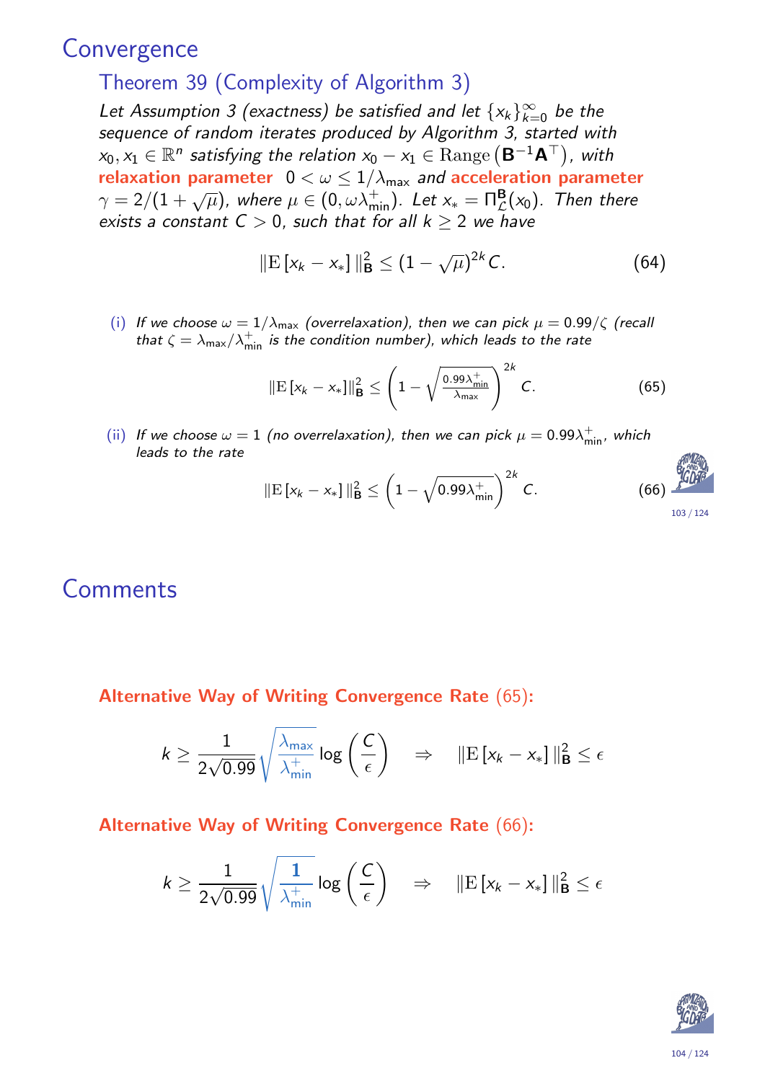#### **Convergence**

#### Theorem 39 (Complexity of Algorithm 3)

Let Assumption 3 (exactness) be satisfied and let  $\{x_k\}_{k=0}^\infty$  be the sequence of random iterates produced by Algorithm 3, started with  $x_0, x_1 \in \mathbb{R}^n$  satisfying the relation  $x_0 - x_1 \in \mathrm{Range}\left(\mathsf{B}^{-1}\mathsf{A}^\top\right)$ , with relaxation parameter  $0 < \omega \leq 1/\lambda_{\text{max}}$  and acceleration parameter  $\gamma = 2/(1+\sqrt{\mu})$ , where  $\mu \in (0, \omega \lambda_{\min}^+)$ . Let  $x_* = \prod_{\mathcal{L}}^{\mathbf{B}}(x_0)$ . Then there exists a constant  $C > 0$ , such that for all  $k \geq 2$  we have

$$
\|\mathbf{E}\left[x_k - x_*\right]\|_{\mathbf{B}}^2 \le (1 - \sqrt{\mu})^{2k} C. \tag{64}
$$

(i) If we choose  $\omega = 1/\lambda_{\text{max}}$  (overrelaxation), then we can pick  $\mu = 0.99/\zeta$  (recall that  $\zeta = \lambda_{\sf max}/\lambda_{\sf min}^+$  is the condition number), which leads to the rate

$$
\|\mathbf{E}\left[x_{k}-x_{*}\right]\|_{\mathbf{B}}^{2} \leq \left(1-\sqrt{\frac{0.99\lambda_{\min}^{+}}{\lambda_{\max}}}\right)^{2k} C.
$$
 (65)

(ii) If we choose  $\omega = 1$  (no overrelaxation), then we can pick  $\mu = 0.99 \lambda_{\min}^+$ , which leads to the rate

$$
\|\mathbf{E}\left[x_k - x_*\right]\|_{\mathbf{B}}^2 \le \left(1 - \sqrt{0.99\lambda_{\min}^+}\right)^{2k} C. \tag{66}
$$

#### **Comments**

Alternative Way of Writing Convergence Rate (65):

$$
k \ge \frac{1}{2\sqrt{0.99}}\sqrt{\frac{\lambda_{\max}}{\lambda_{\min}^+}}\log\left(\frac{C}{\epsilon}\right) \quad \Rightarrow \quad \|\text{E}\left[x_k - x_*\right]\|_{\text{B}}^2 \le \epsilon
$$

#### Alternative Way of Writi[ng](#page-51-0) Convergence Rate (66):

<span id="page-51-0"></span>
$$
k \ge \frac{1}{2\sqrt{0.99}}\sqrt{\frac{1}{\lambda_{\min}^+}}\log\left(\frac{C}{\epsilon}\right) \quad \Rightarrow \quad \|\mathbf{E}\left[x_k - x_*\right]\|_{\mathbf{B}}^2 \le \epsilon
$$



**ATIMIZATIO**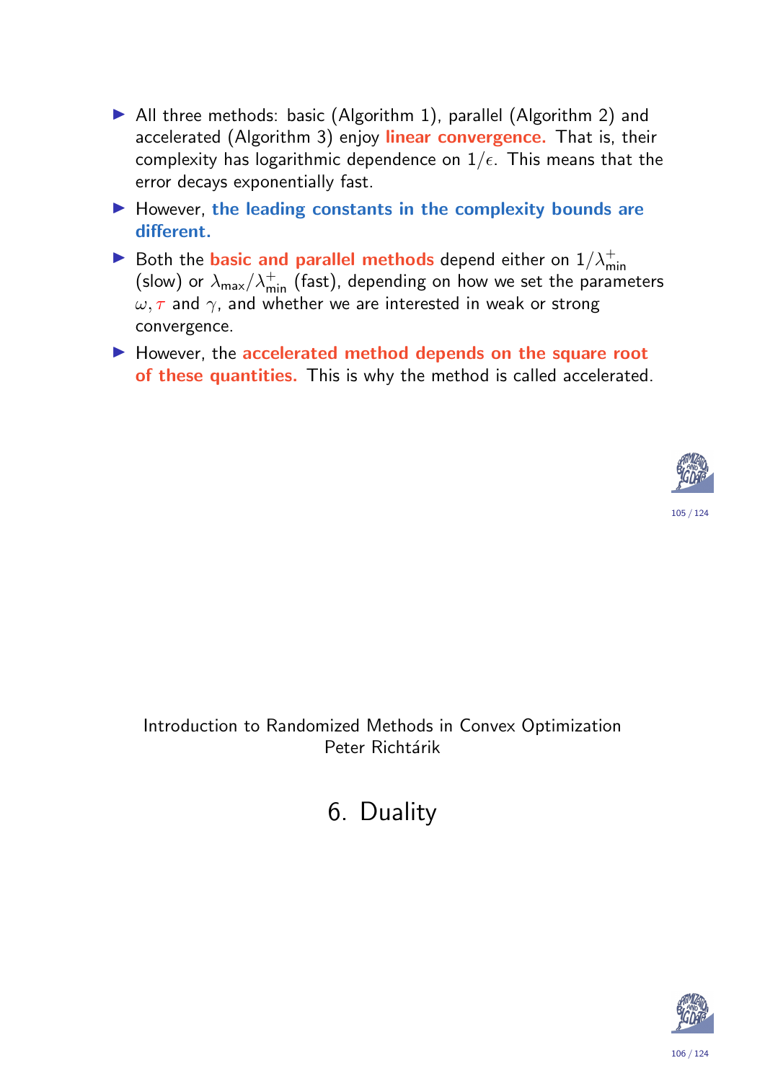- $\blacktriangleright$  All three methods: basic (Algorithm 1), parallel (Algorithm 2) and accelerated (Algorithm 3) enjoy linear convergence. That is, their complexity has logarithmic dependence on  $1/\epsilon$ . This means that the error decays exponentially fast.
- $\blacktriangleright$  However, the leading constants in the complexity bounds are different.
- Both the basic and parallel methods depend either on  $1/\lambda_{\min}^+$ (slow) or  $\lambda_{\sf max}/\lambda_{\sf min}^+$  (fast), depending on how we set the parameters  $\omega, \tau$  and  $\gamma$ , and whether we are interested in weak or strong convergence.
- $\blacktriangleright$  However, the accelerated method depends on the square root of these quantities. This is why the method is called accelerated.



Introduction to Randomized Methods in Convex Optimization Peter Richtárik

6. D[u](#page-47-0)ality

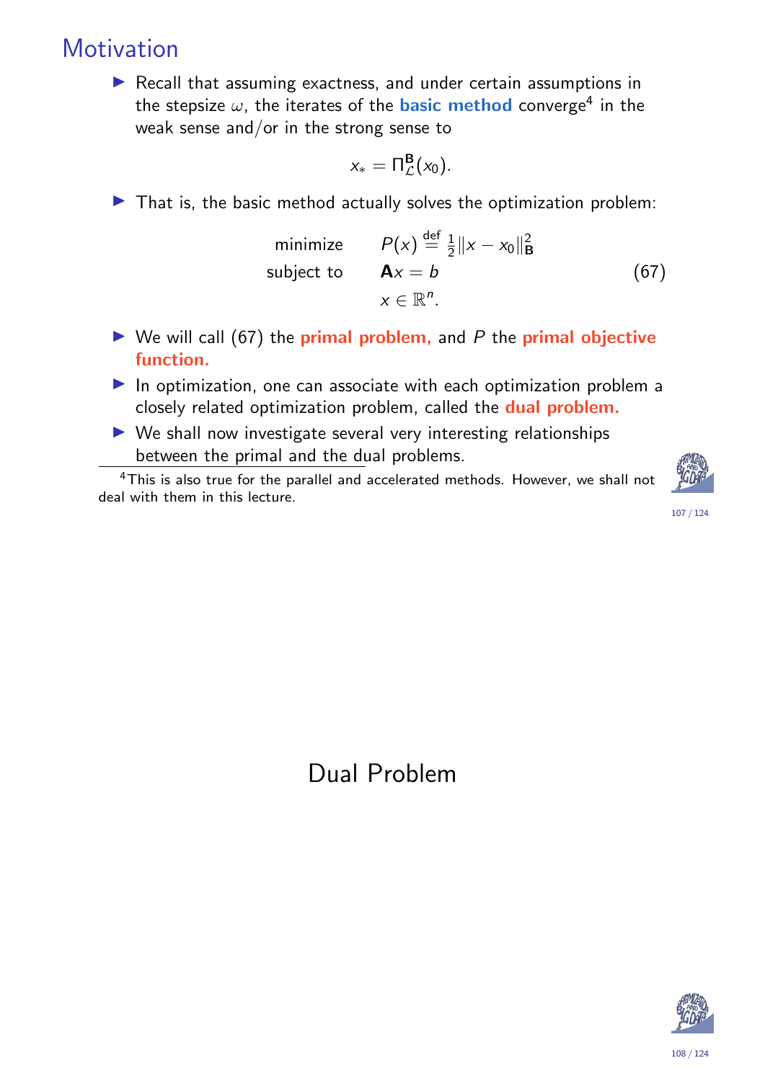## **Motivation**

 $\blacktriangleright$  Recall that assuming exactness, and under certain assumptions in the stepsize  $\omega$ , the iterates of the basic method converge<sup>4</sup> in the weak sense and/or in the strong sense to

$$
x_* = \Pi^{\mathbf{B}}_{\mathcal{L}}(x_0).
$$

 $\blacktriangleright$  That is, the basic method actually solves the optimization problem:

minimize 
$$
P(x) \stackrel{\text{def}}{=} \frac{1}{2} ||x - x_0||^2
$$
  
subject to  $\mathbf{A}x = b$  (67)  
 $x \in \mathbb{R}^n$ .

- $\triangleright$  We will call (67) the **primal problem**, and P the **primal objective** function.
- $\blacktriangleright$  In optimization, one can associate with each optimization problem a closely related optimization problem, called the dual problem.
- $\triangleright$  We shall now investigate several very interesting relationships between the primal and the dual problems.

<sup>4</sup>This is also true for the parallel and accelerated methods. However, we shall not deal with them in this lecture.



107 / 124

Dual Problem

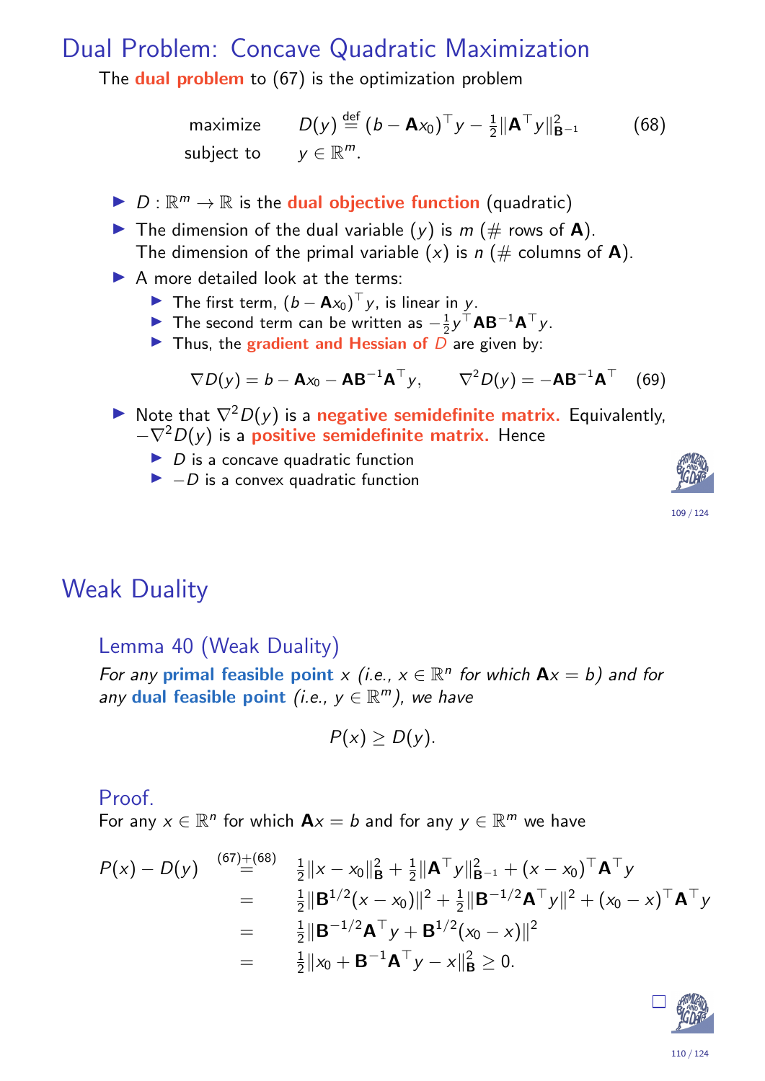#### Dual Problem: Concave Quadratic Maximization

The **dual problem** to (67) is the optimization problem

maximize 
$$
D(y) \stackrel{\text{def}}{=} (b - Ax_0)^\top y - \frac{1}{2} ||A^\top y||_{B^{-1}}^2
$$
 (68)  
subject to  $y \in \mathbb{R}^m$ .

- $\blacktriangleright$   $D:\mathbb{R}^m\to\mathbb{R}$  is the **dual objective function** (quadratic)
- $\blacktriangleright$  The dimension of the dual variable  $(y)$  is  $m \ (\#$  rows of **A**). The dimension of the primal variable  $(x)$  is  $n \neq$  columns of **A**).
- $\triangleright$  A more detailed look at the terms:
	- The first term,  $(b Ax_0)^\top y$ , is linear in y.
	- The second term can be written as  $-\frac{1}{2}$  $\frac{1}{2}$ y<sup>T</sup>**AB**<sup>-1</sup>**A**<sup>T</sup>y.
	- In Thus, the gradient and Hessian of  $\overline{D}$  are given by:

$$
\nabla D(y) = b - \mathbf{A}x_0 - \mathbf{A}\mathbf{B}^{-1}\mathbf{A}^{\top}y, \qquad \nabla^2 D(y) = -\mathbf{A}\mathbf{B}^{-1}\mathbf{A}^{\top} \quad (69)
$$

- ► Note that  $\nabla^2 D(y)$  is a negative semidefinite matrix. Equivalently,  $-\nabla^2D(y)$  is a **positive semidefinite matrix.** Hence
	- $\triangleright$  D is a concave quadratic function
	- $\blacktriangleright$  -D is a convex quadratic function





#### Weak Duality

Lemma 40 (Weak Duality)

For any primal feasible point  $x$  (i.e.,  $x \in \mathbb{R}^n$  for which  $A x = b$ ) and for any dual feasible point (i.e.,  $y \in \mathbb{R}^m$ ), we have

<span id="page-54-0"></span>
$$
P(x)\geq D(y).
$$

#### Proof.

For any  $x \in \mathbb{R}^n$  for which  $\mathbf{A}x = b$  and for any  $y \in \mathbb{R}^m$  we have

$$
P(x) - D(y) \stackrel{(67) + (68)}{=} \frac{1}{2} \|x - x_0\|_{\mathbf{B}}^2 + \frac{1}{2} \|\mathbf{A}^\top y\|_{\mathbf{B}^{-1}}^2 + (x - x_0)^\top \mathbf{A}^\top y
$$
  
\n
$$
= \frac{1}{2} \|\mathbf{B}^{1/2} (x - x_0)\|^2 + \frac{1}{2} \|\mathbf{B}^{-1/2} \mathbf{A}^\top y\|^2 + (x_0 - x)^\top \mathbf{A}^\top y
$$
  
\n
$$
= \frac{1}{2} \|\mathbf{B}^{-1/2} \mathbf{A}^\top y + \mathbf{B}^{1/2} (x_0 - x) \|^2
$$
  
\n
$$
= \frac{1}{2} \|x_0 + \mathbf{B}^{-1} \mathbf{A}^\top y - x\|_{\mathbf{B}}^2 \ge 0.
$$

<span id="page-54-1"></span>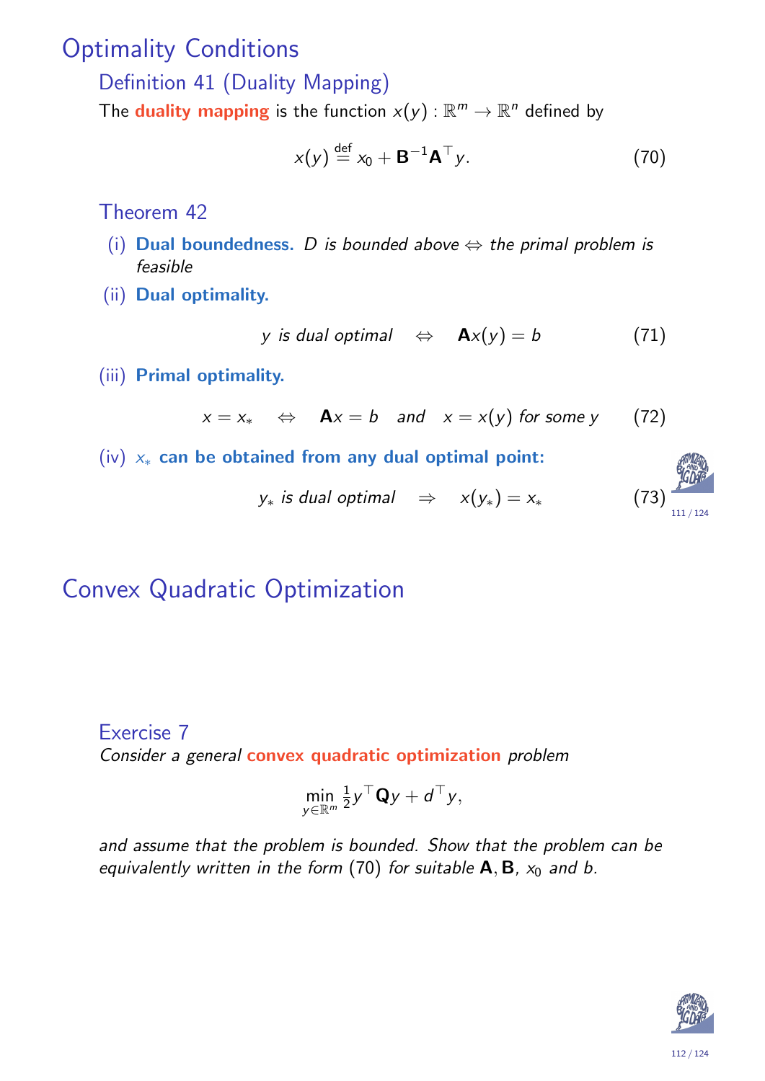### Optimality Conditions

Definition 41 (Duality Mapping)

The **duality mapping** is the function  $x(y)$  :  $\mathbb{R}^m \to \mathbb{R}^n$  defined by

$$
x(y) \stackrel{\text{def}}{=} x_0 + \mathbf{B}^{-1} \mathbf{A}^\top y. \tag{70}
$$

Theorem 42

- (i) Dual boundedness. D is bounded above  $\Leftrightarrow$  the primal problem is feasible
- (ii) Dual optimality.

$$
y \text{ is dual optimal } \Leftrightarrow \textbf{A}x(y) = b \tag{71}
$$

(iii) Primal optimality.

$$
x = x_* \Leftrightarrow \mathbf{A}x = b
$$
 and  $x = x(y)$  for some y (72)

(iv)  $x_*$  can be obtained from any dual optimal point:

$$
y_*
$$
 is dual optimal  $\Rightarrow$   $x(y_*) = x_*$  (73)

## Convex Quadratic Optimization

#### Exercise 7

Consider a general convex quadratic optimization problem

$$
\min_{y\in\mathbb{R}^m}\tfrac{1}{2}y^\top\mathbf{Q}y+d^\top y,
$$

<span id="page-55-0"></span>and assume that the problem is bounded. Show that the problem can be equivalently written in the form (70) for suitable  $A, B, x_0$  and b.

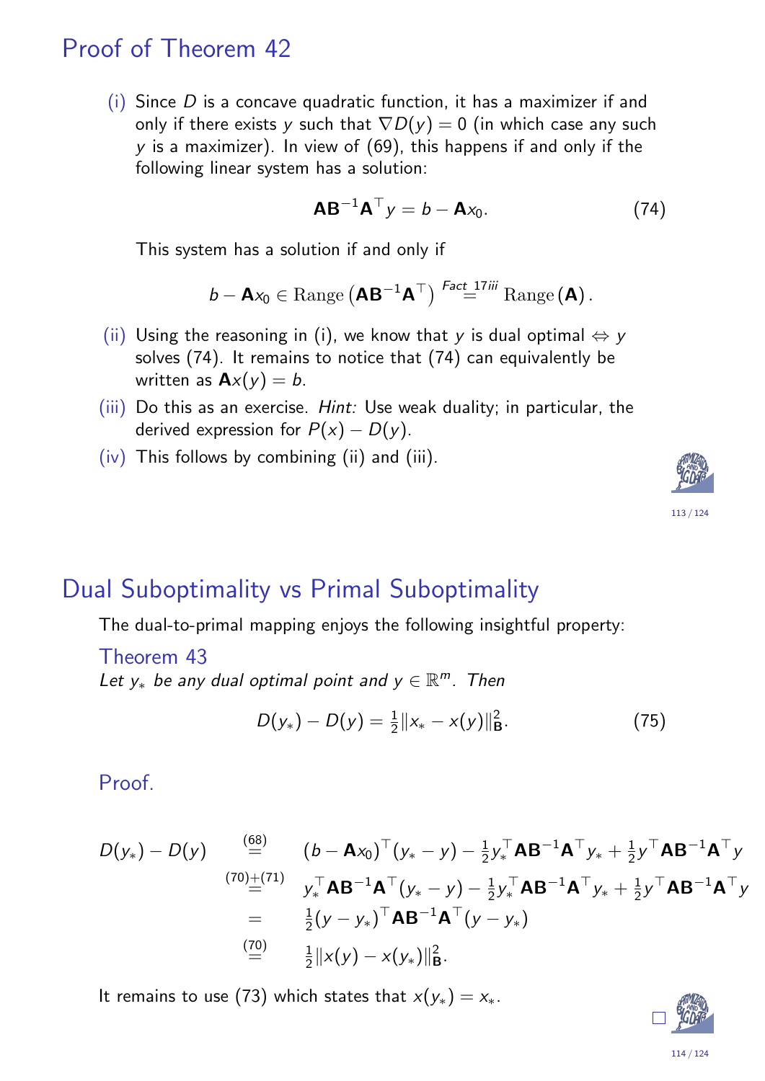### Proof of Theorem 42

(i) Since  $D$  is a concave quadratic function, it has a maximizer if and only if there exists y such that  $\nabla D(y) = 0$  (in which case any such  $y$  is a maximizer). In view of  $(69)$ , this happens if and only if the following linear system has a solution:

$$
\mathbf{A}\mathbf{B}^{-1}\mathbf{A}^{\top}y = b - \mathbf{A}x_0. \tag{74}
$$

This system has a solution if and only if

$$
b - \mathbf{A} x_0 \in \text{Range} \left( \mathbf{A} \mathbf{B}^{-1} \mathbf{A}^\top \right) \stackrel{\text{Fact 17iii}}{=} \text{Range} \left( \mathbf{A} \right).
$$

- (ii) Using the reasoning in (i), we know that y is dual optimal  $\Leftrightarrow$  y solves (74). It remains to notice that (74) can equivalently be written as  $\mathbf{A}x(y) = b$ .
- (iii) Do this as an exercise. Hint: Use weak duality; in particular, the derived expression for  $P(x) - D(y)$ .
- (iv) This follows by combining (ii) and (iii).



The dual-to-primal mapping enjoys the following insightful property:

Theorem 43 Let  $y_*$  be any dual optimal point and  $y \in \mathbb{R}^m$ . Then

$$
D(y_*) - D(y) = \frac{1}{2} ||x_* - x(y)||^2_{\mathbf{B}}.
$$
 (75)

Proof.

<span id="page-56-0"></span>
$$
D(y_*) - D(y) \stackrel{\text{(68)}}{=} (b - Ax_0)^\top (y_* - y) - \frac{1}{2} y_*^\top AB^{-1}A^\top y_* + \frac{1}{2} y^\top AB^{-1}A^\top y
$$
\n
$$
\stackrel{(70)\pm(71)}{=} y_*^\top AB^{-1}A^\top (y_* - y) - \frac{1}{2} y_*^\top AB^{-1}A^\top y_* + \frac{1}{2} y^\top AB^{-1}A^\top y
$$
\n
$$
= \frac{1}{2} (y - y_*)^\top AB^{-1}A^\top (y - y_*)
$$
\n
$$
\stackrel{\text{(70)}}{=} \frac{1}{2} ||x(y) - x(y_*)||_B^2.
$$

It re[ma](#page-55-0)ins to use (73) which states that  $x(y_*) = x_*$ .



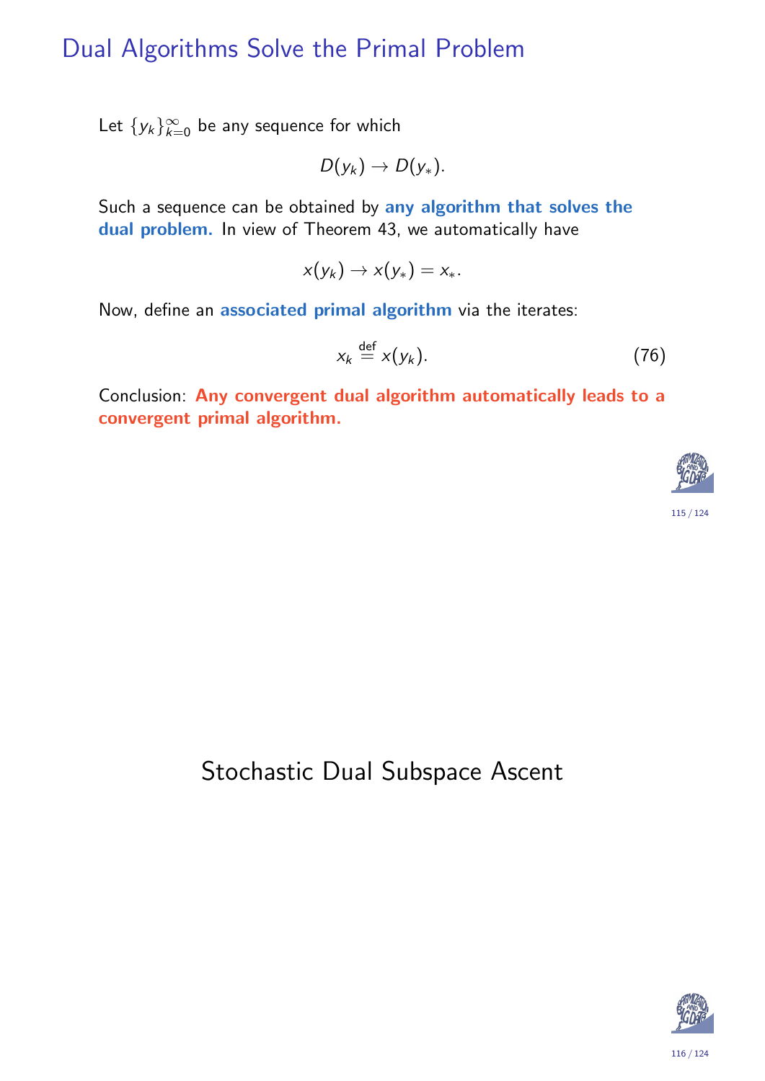## Dual Algorithms Solve the Primal Problem

Let  $\{y_k\}_{k=0}^{\infty}$  be any sequence for which

$$
D(y_k) \to D(y_*).
$$

Such a sequence can be obtained by any algorithm that solves the dual problem. In view of Theorem 43, we automatically have

$$
x(y_k) \to x(y_*) = x_*.
$$

Now, define an associated primal algorithm via the iterates:

$$
x_k \stackrel{\text{def}}{=} x(y_k). \tag{76}
$$

Conclusion: Any convergent dual algorithm automatically leads to a convergent primal algorithm.



#### Stochastic Dual Subspace Ascent

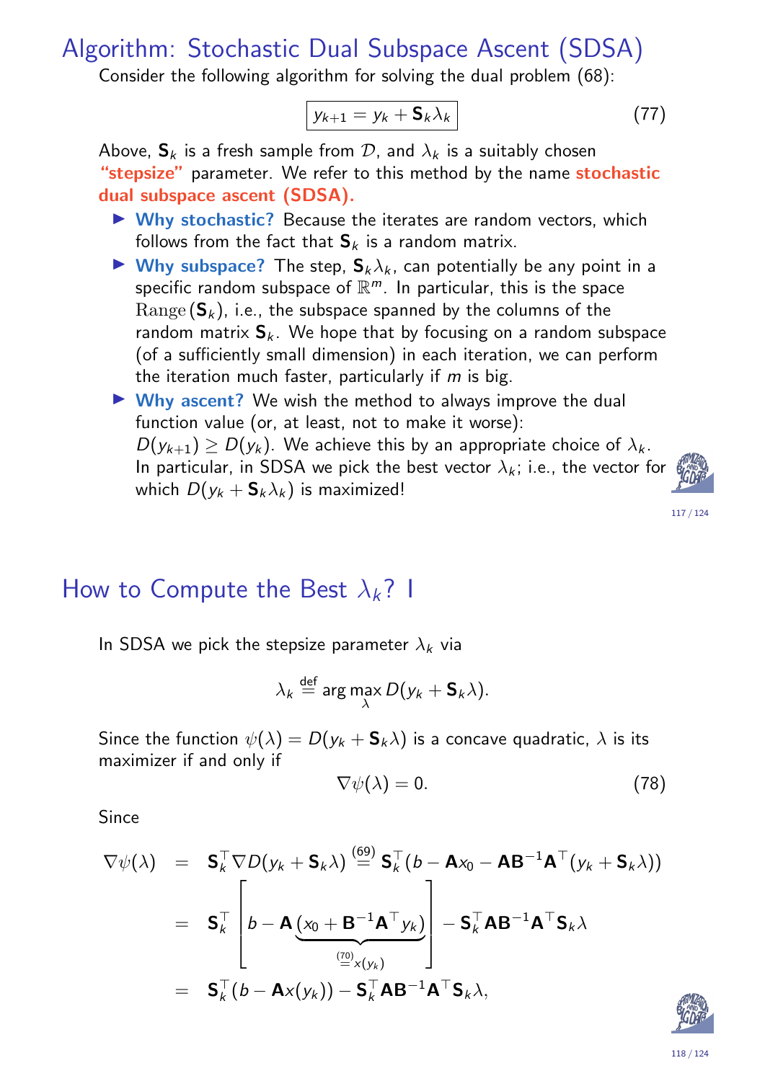Algorithm: Stochastic Dual Subspace Ascent (SDSA)

Consider the following algorithm for solving the dual problem (68):

$$
y_{k+1} = y_k + \mathbf{S}_k \lambda_k \tag{77}
$$

Above,  $S_k$  is a fresh sample from  $D$ , and  $\lambda_k$  is a suitably chosen "stepsize" parameter. We refer to this method by the name stochastic dual subspace ascent (SDSA).

- $\triangleright$  Why stochastic? Because the iterates are random vectors, which follows from the fact that  $S_k$  is a random matrix.
- $\triangleright$  Why subspace? The step,  $S_k \lambda_k$ , can potentially be any point in a specific random subspace of  $\mathbb{R}^m$ . In particular, this is the space  $\mathrm{Range}\left(\mathsf{S}_k\right)$ , i.e., the subspace spanned by the columns of the random matrix  $S_k$ . We hope that by focusing on a random subspace (of a sufficiently small dimension) in each iteration, we can perform the iteration much faster, particularly if  $m$  is big.
- $\triangleright$  Why ascent? We wish the method to always improve the dual function value (or, at least, not to make it worse):  $D(y_{k+1}) \geq D(y_k)$ . We achieve this by an appropriate choice of  $\lambda_k$ . In particular, in SDSA we pick the best vector  $\lambda_k$ ; i.e., the vector for which  $D(y_k + \mathsf{S}_k \lambda_k)$  is maximized!



117 / 124

#### How to Compute the Best  $\lambda_k$ ? I

In SDSA we pick the stepsize parameter  $\lambda_k$  via

$$
\lambda_k \stackrel{\text{def}}{=} \arg \max_{\lambda} D(y_k + \mathbf{S}_k \lambda).
$$

Since the function  $\psi(\lambda) = D(y_k + S_k \lambda)$  is a concave quadratic,  $\lambda$  is its maximizer if and only if

$$
\nabla \psi(\lambda) = 0. \tag{78}
$$

<span id="page-58-0"></span>**Since** 

$$
\nabla \psi(\lambda) = \mathbf{S}_{k}^{\top} \nabla D(y_{k} + \mathbf{S}_{k} \lambda) \stackrel{(69)}{=} \mathbf{S}_{k}^{\top} (b - \mathbf{A} x_{0} - \mathbf{A} \mathbf{B}^{-1} \mathbf{A}^{\top} (y_{k} + \mathbf{S}_{k} \lambda))
$$
  
\n
$$
= \mathbf{S}_{k}^{\top} \left[ b - \mathbf{A} \underbrace{(x_{0} + \mathbf{B}^{-1} \mathbf{A}^{\top} y_{k})}_{\stackrel{(70)}{=} x(y_{k})} \right] - \mathbf{S}_{k}^{\top} \mathbf{A} \mathbf{B}^{-1} \mathbf{A}^{\top} \mathbf{S}_{k} \lambda
$$
  
\n
$$
= \mathbf{S}_{k}^{\top} (b - \mathbf{A} x(y_{k})) - \mathbf{S}_{k}^{\top} \mathbf{A} \mathbf{B}^{-1} \mathbf{A}^{\top} \mathbf{S}_{k} \lambda,
$$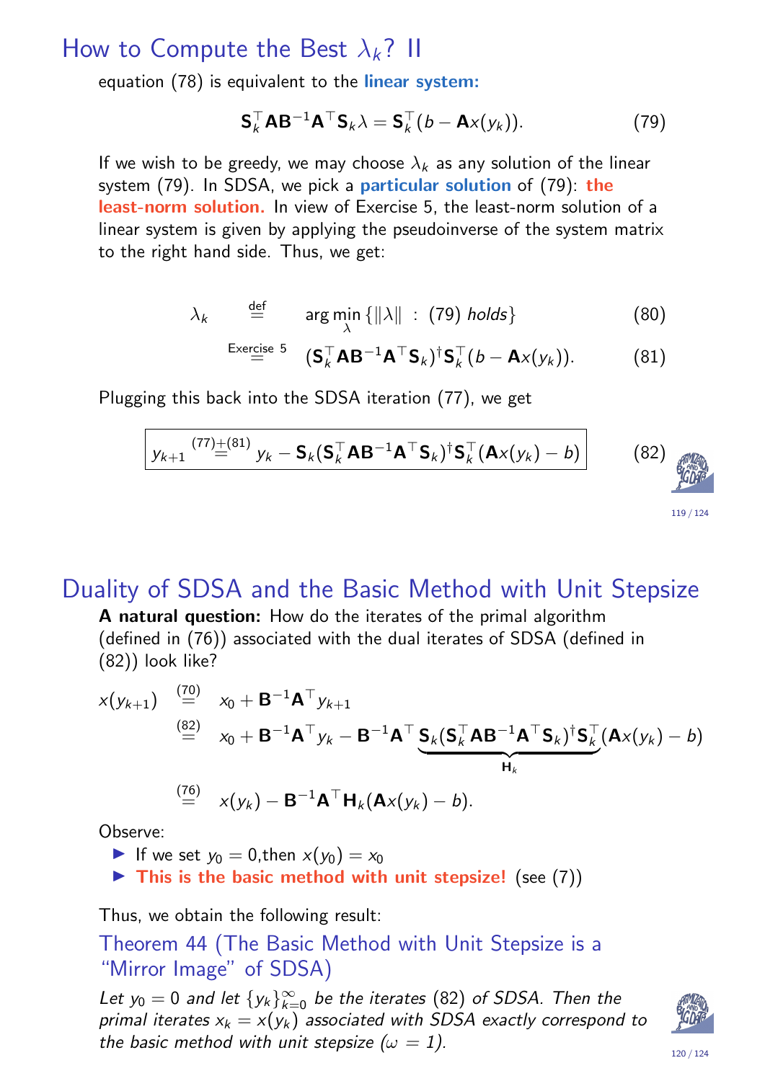#### How to Compute the Best  $\lambda_k$ ? II

equation (78) is equivalent to the *linear system*:

$$
\mathbf{S}_{k}^{\top} \mathbf{A} \mathbf{B}^{-1} \mathbf{A}^{\top} \mathbf{S}_{k} \lambda = \mathbf{S}_{k}^{\top} (b - \mathbf{A} \mathbf{x} (y_{k})). \tag{79}
$$

If we wish to be greedy, we may choose  $\lambda_k$  as any solution of the linear system (79). In SDSA, we pick a particular solution of (79): the least-norm solution. In view of Exercise 5, the least-norm solution of a linear system is given by applying the pseudoinverse of the system matrix to the right hand side. Thus, we get:

$$
\lambda_k \qquad \stackrel{\text{def}}{=} \qquad \arg \min_{\lambda} \{ \|\lambda\| \; : \; (79) \; holds \} \tag{80}
$$

$$
\stackrel{\text{Exercise 5}}{=} (\mathbf{S}_{k}^{\top} \mathbf{A} \mathbf{B}^{-1} \mathbf{A}^{\top} \mathbf{S}_{k})^{\dagger} \mathbf{S}_{k}^{\top} (b - \mathbf{A} \mathbf{x} (y_{k})). \tag{81}
$$

Plugging this back into the SDSA iteration (77), we get

$$
\boxed{y_{k+1} \stackrel{(77)\pm(81)}{=} y_k - \mathsf{S}_k(\mathsf{S}_k^\top \mathsf{AB}^{-1} \mathsf{A}^\top \mathsf{S}_k)^\dagger \mathsf{S}_k^\top (\mathsf{A} \times (y_k) - b)}
$$
(82)

#### Duality of SDSA and the Basic Method with Unit Stepsize

A natural question: How do the iterates of the primal algorithm (defined in (76)) associated with the dual iterates of SDSA (defined in (82)) look like?

$$
x(y_{k+1}) \stackrel{\text{(70)}}{=} x_0 + \mathbf{B}^{-1} \mathbf{A}^\top y_{k+1}
$$
\n
$$
\stackrel{\text{(82)}}{=} x_0 + \mathbf{B}^{-1} \mathbf{A}^\top y_k - \mathbf{B}^{-1} \mathbf{A}^\top \underbrace{\mathbf{S}_k (\mathbf{S}_k^\top \mathbf{A} \mathbf{B}^{-1} \mathbf{A}^\top \mathbf{S}_k)^{\dagger} \mathbf{S}_k^\top (\mathbf{A} x(y_k) - b)}_{\mathbf{H}_k}
$$
\n
$$
\stackrel{\text{(76)}}{=} x(y_k) - \mathbf{B}^{-1} \mathbf{A}^\top \mathbf{H}_k (\mathbf{A} x(y_k) - b).
$$

[O](#page-55-0)bserve:

<span id="page-59-0"></span>If we set  $y_0 = 0$  $y_0 = 0$  $y_0 = 0$ , then  $x(y_0) = x_0$ 

 $\triangleright$  This is the basic method with unit stepsize! (see (7))

Thus, we obtain the following result:

Theorem 44 (The [Ba](#page-59-0)sic Me[th](#page-9-1)od with Unit Stepsize is a "Mirro[r](#page-18-1) Image" of SDSA)

<span id="page-59-3"></span><span id="page-59-2"></span><span id="page-59-1"></span>Let  $y_0 = 0$  and let  $\{y_k\}_{k=0}^{\infty}$  be the iterates (82) of SDSA. Then the [pri](#page-58-0)[ma](#page-59-1)l iterates  $x_k = x(y_k)$  associated with SDSA exactly correspond to the basic method with [u](#page-59-2)nit stepsize  $(\omega = 1)$ .



119 / 124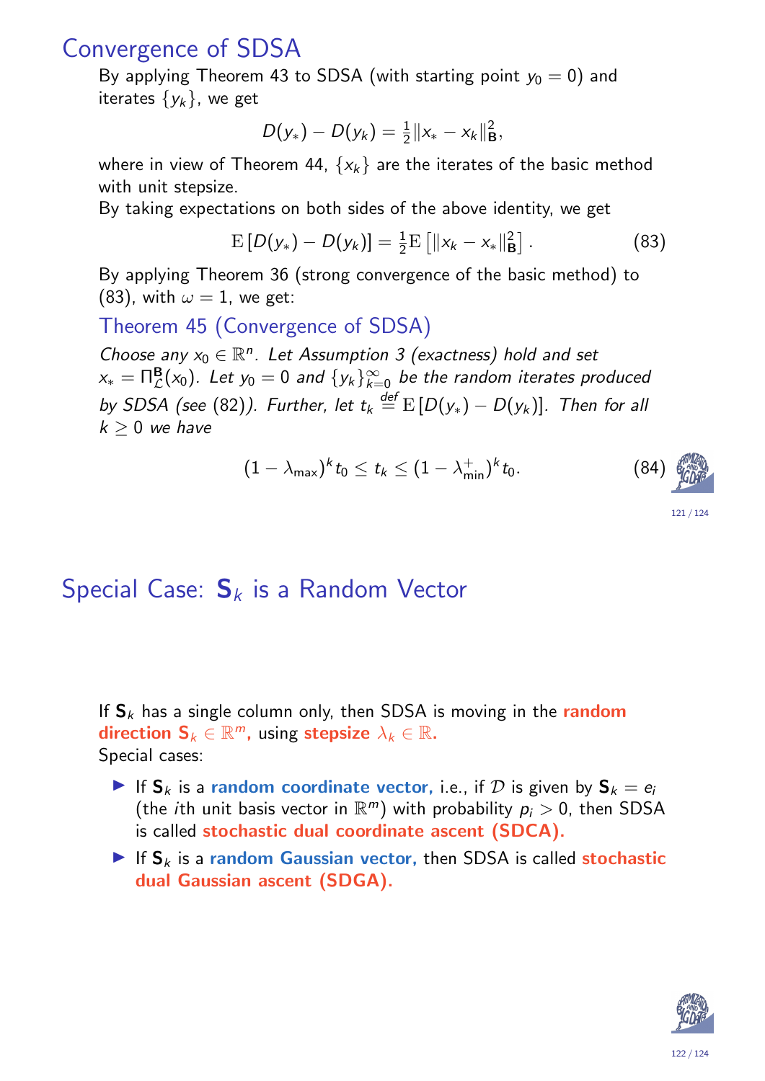#### Convergence of SDSA

By applying Theorem 43 to SDSA (with starting point  $y_0 = 0$ ) and iterates  $\{y_k\}$ , we get

$$
D(y_*)-D(y_k)=\tfrac{1}{2}\|x_*-x_k\|_{\mathbf{B}}^2,
$$

where in view of Theorem 44,  $\{x_k\}$  are the iterates of the basic method with unit stepsize.

By taking expectations on both sides of the above identity, we get

$$
E[D(y_*) - D(y_k)] = \frac{1}{2}E[[|x_k - x_*||_B^2]. \qquad (83)
$$

By applying Theorem 36 (strong convergence of the basic method) to (83), with  $\omega = 1$ , we get:

Theorem 45 (Convergence of SDSA)

Choose any  $x_0 \in \mathbb{R}^n$ . Let Assumption 3 (exactness) hold and set  $x_* = \mathsf{\Pi}^\mathsf{B}_\mathcal{L}(x_0).$  Let  $y_0 = 0$  and  $\{y_k\}_{k=0}^\infty$  be the random iterates produced by SDSA (see (82)). Further, let  $t_k \stackrel{\sf def}{=} \operatorname{E}\left[D(y_*)-D(y_k)\right]$ . Then for all  $k > 0$  we have

$$
(1-\lambda_{\max})^k t_0 \leq t_k \leq (1-\lambda_{\min}^+)^k t_0. \tag{84}
$$



# Special Case:  $S_k$  is a Random Vector

If  $S_k$  has a single column only, then SDSA is moving in the random direction  $\mathbf{S}_k \in \mathbb{R}^m$ , using stepsize  $\lambda_k \in \mathbb{R}$ . Special cases:

- If  $S_k$  $S_k$  is a random coordinate vector, i.e., if D is given by  $S_k = e_i$ (the *i*th unit basis vector in  $\mathbb{R}^m$ ) with probability  $p_i > 0$ , then SDSA is cal[led](#page-59-3) stochastic dual coordinate ascent (SDCA).
- If  $S_k$  is a random Gaussian vector, then SDSA is called stochastic dual Gaussian ascent (SDGA).